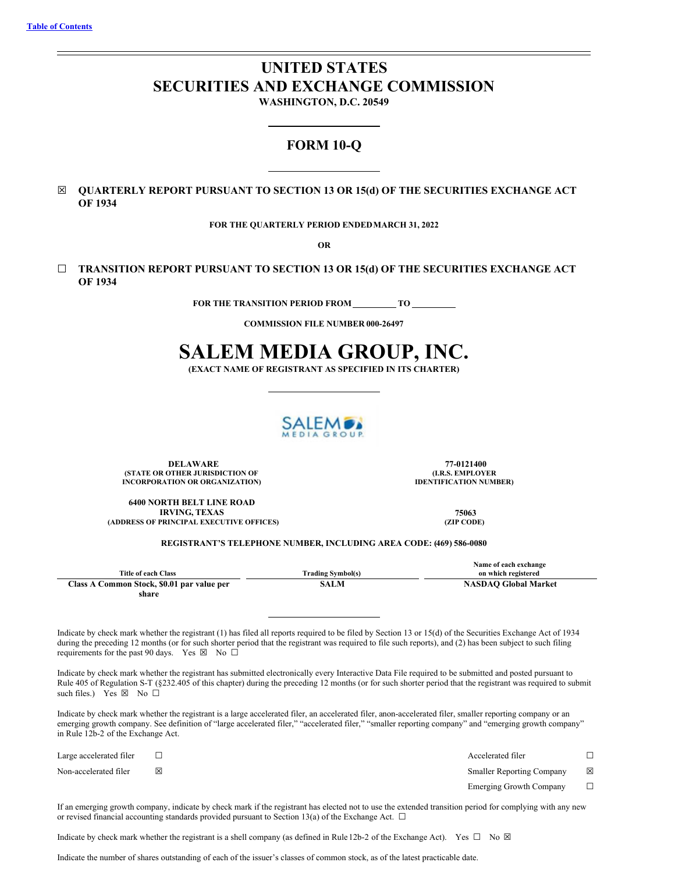# **UNITED STATES SECURITIES AND EXCHANGE COMMISSION**

**WASHINGTON, D.C. 20549**

# **FORM 10-Q**

☒ **QUARTERLY REPORT PURSUANT TO SECTION 13 OR 15(d) OF THE SECURITIES EXCHANGE ACT OF 1934**

**FOR THE QUARTERLY PERIOD ENDEDMARCH 31, 2022**

**OR**

☐ **TRANSITION REPORT PURSUANT TO SECTION 13 OR 15(d) OF THE SECURITIES EXCHANGE ACT OF 1934**

**FOR THE TRANSITION PERIOD FROM TO**

**COMMISSION FILE NUMBER 000-26497**

# **SALEM MEDIA GROUP, INC.**

**(EXACT NAME OF REGISTRANT AS SPECIFIED IN ITS CHARTER)**



**DELAWARE 77-0121400 (STATE OR OTHER JURISDICTION OF INCORPORATION OR ORGANIZATION)**

**(I.R.S. EMPLOYER IDENTIFICATION NUMBER)**

**6400 NORTH BELT LINE ROAD IRVING, TEXAS 75063 (ADDRESS OF PRINCIPAL EXECUTIVE OFFICES) (ZIP CODE)**

#### **REGISTRANT'S TELEPHONE NUMBER, INCLUDING AREA CODE: (469) 586-0080**

|                                            |                          | Name of each exchange       |
|--------------------------------------------|--------------------------|-----------------------------|
| Title of each Class                        | <b>Trading Symbol(s)</b> | on which registered         |
| Class A Common Stock, \$0.01 par value per | <b>SALM</b>              | <b>NASDAO Global Market</b> |
| share                                      |                          |                             |

Indicate by check mark whether the registrant (1) has filed all reports required to be filed by Section 13 or 15(d) of the Securities Exchange Act of 1934 during the preceding 12 months (or for such shorter period that the registrant was required to file such reports), and (2) has been subject to such filing requirements for the past 90 days. Yes  $\boxtimes$  No  $\Box$ 

Indicate by check mark whether the registrant has submitted electronically every Interactive Data File required to be submitted and posted pursuant to Rule 405 of Regulation S-T (§232.405 of this chapter) during the preceding 12 months (or for such shorter period that the registrant was required to submit such files.) Yes  $\boxtimes$  No  $\Box$ 

Indicate by check mark whether the registrant is a large accelerated filer, an accelerated filer, anon-accelerated filer, smaller reporting company or an emerging growth company. See definition of "large accelerated filer," "accelerated filer," "smaller reporting company" and "emerging growth company" in Rule 12b-2 of the Exchange Act.

| Large accelerated filer |   | Accelerated filer                |             |
|-------------------------|---|----------------------------------|-------------|
| Non-accelerated filer   | ⊠ | <b>Smaller Reporting Company</b> | $\boxtimes$ |
|                         |   | Emerging Growth Company          |             |

If an emerging growth company, indicate by check mark if the registrant has elected not to use the extended transition period for complying with any new or revised financial accounting standards provided pursuant to Section 13(a) of the Exchange Act.  $\Box$ 

Indicate by check mark whether the registrant is a shell company (as defined in Rule 12b-2 of the Exchange Act). Yes  $\Box$  No  $\boxtimes$ 

Indicate the number of shares outstanding of each of the issuer's classes of common stock, as of the latest practicable date.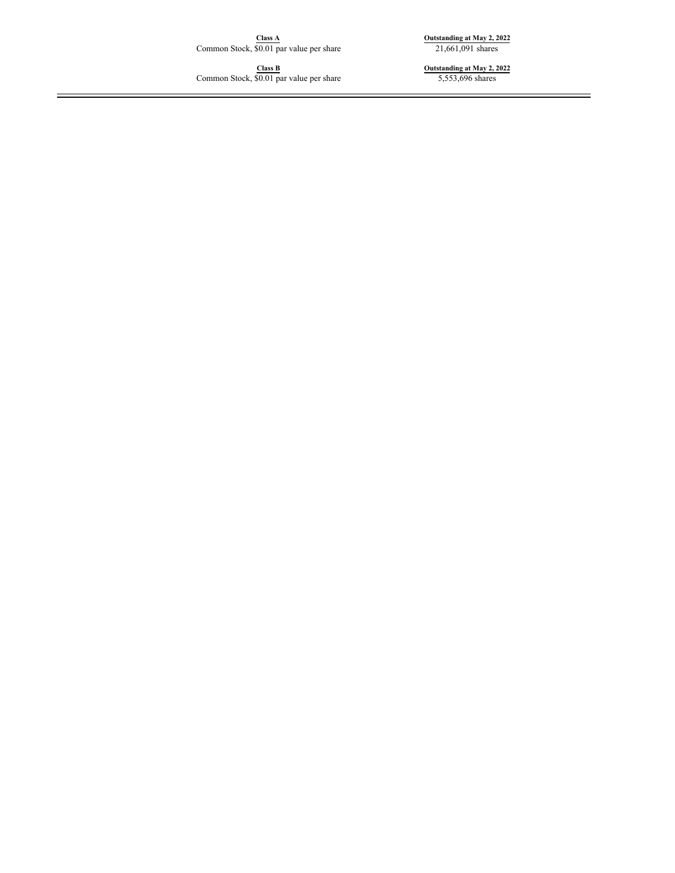**Class A Outstanding at May 2, 2022**

 $\frac{Class B}{S0.01}$  par value per share

**Class B Outstanding at May 2, 2022**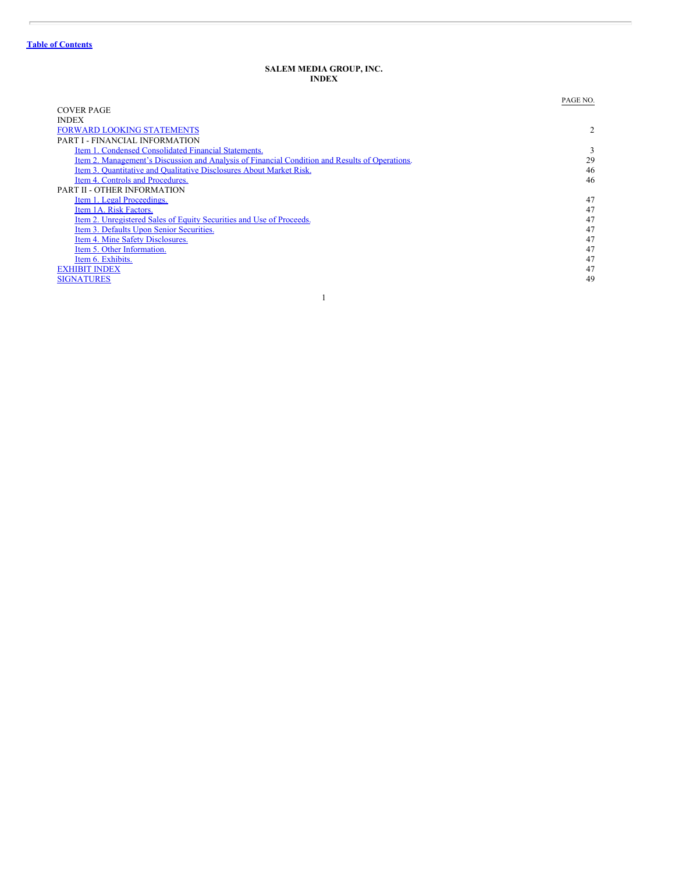#### **SALEM MEDIA GROUP, INC. INDEX**

<span id="page-2-0"></span>

|                                                                                                | PAGE NO. |
|------------------------------------------------------------------------------------------------|----------|
| <b>COVER PAGE</b>                                                                              |          |
| <b>INDEX</b>                                                                                   |          |
| <b>FORWARD LOOKING STATEMENTS</b>                                                              | 2        |
| PART I - FINANCIAL INFORMATION                                                                 |          |
| Item 1. Condensed Consolidated Financial Statements.                                           | 3        |
| Item 2. Management's Discussion and Analysis of Financial Condition and Results of Operations. | 29       |
| Item 3. Quantitative and Qualitative Disclosures About Market Risk.                            | 46       |
| Item 4. Controls and Procedures.                                                               | 46       |
| PART II - OTHER INFORMATION                                                                    |          |
| Item 1. Legal Proceedings.                                                                     | 47       |
| Item 1A. Risk Factors.                                                                         | 47       |
| Item 2. Unregistered Sales of Equity Securities and Use of Proceeds.                           | 47       |
| Item 3. Defaults Upon Senior Securities.                                                       | 47       |
| Item 4. Mine Safety Disclosures.                                                               | 47       |
| Item 5. Other Information.                                                                     | 47       |
| Item 6. Exhibits.                                                                              | 47       |
| <b>EXHIBIT INDEX</b>                                                                           | 47       |
| <b>SIGNATURES</b>                                                                              | 49       |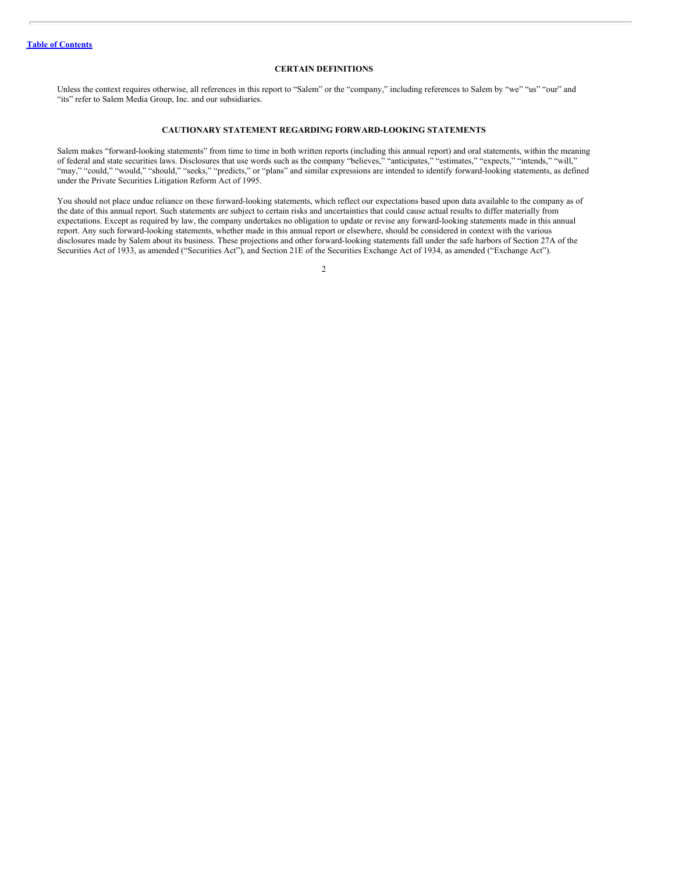# **CERTAIN DEFINITIONS**

Unless the context requires otherwise, all references in this report to "Salem" or the "company," including references to Salem by "we" "us" "our" and "its" refer to Salem Media Group, Inc. and our subsidiaries.

# **CAUTIONARY STATEMENT REGARDING FORWARD-LOOKING STATEMENTS**

<span id="page-3-0"></span>Salem makes "forward-looking statements" from time to time in both written reports (including this annual report) and oral statements, within the meaning of federal and state securities laws. Disclosures that use words such as the company "believes," "anticipates," "estimates," "expects," "intends," "will," "may," "could," "would," "should," "seeks," "predicts," or "plans" and similar expressions are intended to identify forward-looking statements, as defined under the Private Securities Litigation Reform Act of 1995.

You should not place undue reliance on these forward-looking statements, which reflect our expectations based upon data available to the company as of the date of this annual report. Such statements are subject to certain risks and uncertainties that could cause actual results to differ materially from expectations. Except as required by law, the company undertakes no obligation to update or revise any forward-looking statements made in this annual report. Any such forward-looking statements, whether made in this annual report or elsewhere, should be considered in context with the various disclosures made by Salem about its business. These projections and other forward-looking statements fall under the safe harbors of Section 27A of the Securities Act of 1933, as amended ("Securities Act"), and Section 21E of the Securities Exchange Act of 1934, as amended ("Exchange Act").

 $\overline{2}$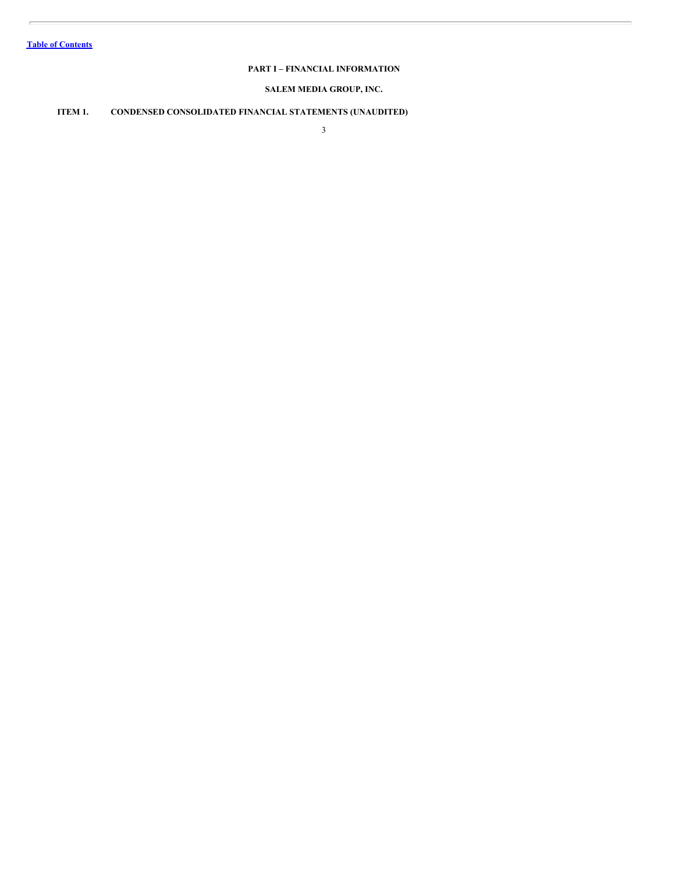# **PART I – FINANCIAL INFORMATION**

**SALEM MEDIA GROUP, INC.**

# <span id="page-4-0"></span>**ITEM 1. CONDENSED CONSOLIDATED FINANCIAL STATEMENTS (UNAUDITED)**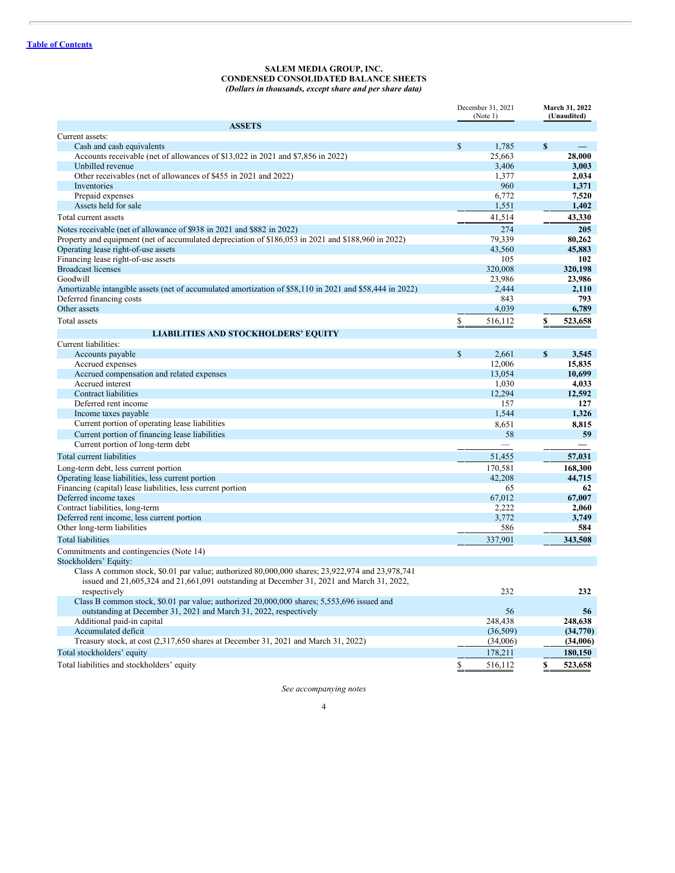# **SALEM MEDIA GROUP, INC.**

**CONDENSED CONSOLIDATED BALANCE SHEETS** *(Dollars in thousands, except share and per share data)*

|                                                                                                                                                                                                              | December 31, 2021 |    | March 31, 2022 |
|--------------------------------------------------------------------------------------------------------------------------------------------------------------------------------------------------------------|-------------------|----|----------------|
| <b>ASSETS</b>                                                                                                                                                                                                | (Note 1)          |    | (Unaudited)    |
| Current assets:                                                                                                                                                                                              |                   |    |                |
| Cash and cash equivalents                                                                                                                                                                                    | \$<br>1.785       | S  |                |
| Accounts receivable (net of allowances of \$13,022 in 2021 and \$7,856 in 2022)                                                                                                                              | 25,663            |    | 28,000         |
| Unbilled revenue                                                                                                                                                                                             | 3,406             |    | 3,003          |
| Other receivables (net of allowances of \$455 in 2021 and 2022)                                                                                                                                              | 1,377             |    | 2,034          |
| Inventories                                                                                                                                                                                                  | 960               |    | 1,371          |
| Prepaid expenses                                                                                                                                                                                             | 6,772             |    | 7,520          |
| Assets held for sale                                                                                                                                                                                         | 1,551             |    | 1,402          |
| Total current assets                                                                                                                                                                                         | 41,514            |    | 43,330         |
| Notes receivable (net of allowance of \$938 in 2021 and \$882 in 2022)                                                                                                                                       | 274               |    | 205            |
| Property and equipment (net of accumulated depreciation of \$186,053 in 2021 and \$188,960 in 2022)                                                                                                          | 79.339            |    | 80.262         |
| Operating lease right-of-use assets                                                                                                                                                                          | 43,560            |    | 45,883         |
| Financing lease right-of-use assets                                                                                                                                                                          | 105               |    | 102            |
| <b>Broadcast licenses</b>                                                                                                                                                                                    | 320,008           |    | 320,198        |
| Goodwill                                                                                                                                                                                                     | 23,986            |    | 23,986         |
| Amortizable intangible assets (net of accumulated amortization of \$58,110 in 2021 and \$58,444 in 2022)                                                                                                     | 2,444             |    | 2.110          |
| Deferred financing costs                                                                                                                                                                                     | 843               |    | 793            |
| Other assets                                                                                                                                                                                                 | 4,039             |    | 6,789          |
| <b>Total</b> assets                                                                                                                                                                                          | \$<br>516,112     | \$ | 523,658        |
|                                                                                                                                                                                                              |                   |    |                |
| <b>LIABILITIES AND STOCKHOLDERS' EQUITY</b><br>Current liabilities:                                                                                                                                          |                   |    |                |
| Accounts payable                                                                                                                                                                                             | \$<br>2,661       | S  | 3,545          |
| Accrued expenses                                                                                                                                                                                             | 12,006            |    | 15,835         |
| Accrued compensation and related expenses                                                                                                                                                                    | 13,054            |    | 10,699         |
| Accrued interest                                                                                                                                                                                             | 1,030             |    | 4,033          |
| <b>Contract liabilities</b>                                                                                                                                                                                  | 12,294            |    | 12,592         |
| Deferred rent income                                                                                                                                                                                         | 157               |    | 127            |
| Income taxes payable                                                                                                                                                                                         | 1,544             |    | 1,326          |
| Current portion of operating lease liabilities                                                                                                                                                               | 8,651             |    | 8,815          |
| Current portion of financing lease liabilities                                                                                                                                                               | 58                |    | 59             |
| Current portion of long-term debt                                                                                                                                                                            |                   |    |                |
| Total current liabilities                                                                                                                                                                                    | 51,455            |    | 57,031         |
|                                                                                                                                                                                                              | 170,581           |    | 168,300        |
| Long-term debt, less current portion<br>Operating lease liabilities, less current portion                                                                                                                    | 42,208            |    | 44,715         |
| Financing (capital) lease liabilities, less current portion                                                                                                                                                  | 65                |    | 62             |
| Deferred income taxes                                                                                                                                                                                        | 67,012            |    | 67,007         |
| Contract liabilities, long-term                                                                                                                                                                              | 2.222             |    | 2,060          |
| Deferred rent income, less current portion                                                                                                                                                                   | 3,772             |    | 3,749          |
| Other long-term liabilities                                                                                                                                                                                  | 586               |    | 584            |
| <b>Total liabilities</b>                                                                                                                                                                                     | 337,901           |    | 343,508        |
|                                                                                                                                                                                                              |                   |    |                |
| Commitments and contingencies (Note 14)<br>Stockholders' Equity:                                                                                                                                             |                   |    |                |
| Class A common stock, \$0.01 par value; authorized 80,000,000 shares; 23,922,974 and 23,978,741<br>issued and 21,605,324 and 21,661,091 outstanding at December 31, 2021 and March 31, 2022,<br>respectively | 232               |    | 232            |
| Class B common stock, \$0.01 par value; authorized 20,000,000 shares; 5,553,696 issued and                                                                                                                   |                   |    |                |
| outstanding at December 31, 2021 and March 31, 2022, respectively                                                                                                                                            | 56                |    | 56             |
| Additional paid-in capital                                                                                                                                                                                   | 248,438           |    | 248,638        |
| Accumulated deficit                                                                                                                                                                                          | (36, 509)         |    | (34,770)       |
| Treasury stock, at cost (2,317,650 shares at December 31, 2021 and March 31, 2022)                                                                                                                           | (34,006)          |    | (34,006)       |
| Total stockholders' equity                                                                                                                                                                                   | 178,211           |    | 180,150        |
| Total liabilities and stockholders' equity                                                                                                                                                                   | \$<br>516,112     | \$ | 523,658        |

*See accompanying notes*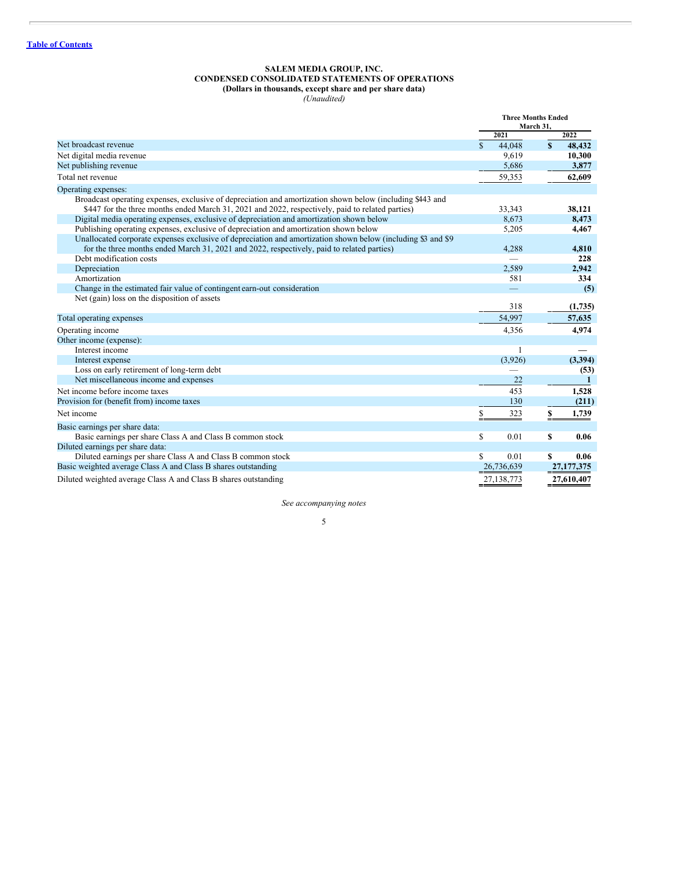# **SALEM MEDIA GROUP, INC. CONDENSED CONSOLIDATED STATEMENTS OF OPERATIONS (Dollars in thousands, except share and per share data)**

*(Unaudited)*

|                                                                                                                                                                                                               | <b>Three Months Ended</b><br>March 31, |                          |    |              |
|---------------------------------------------------------------------------------------------------------------------------------------------------------------------------------------------------------------|----------------------------------------|--------------------------|----|--------------|
|                                                                                                                                                                                                               |                                        | 2021                     |    | 2022         |
| Net broadcast revenue                                                                                                                                                                                         | $\mathcal{S}$                          | 44,048                   | \$ | 48,432       |
| Net digital media revenue                                                                                                                                                                                     |                                        | 9,619                    |    | 10,300       |
| Net publishing revenue                                                                                                                                                                                        |                                        | 5,686                    |    | 3,877        |
| Total net revenue                                                                                                                                                                                             |                                        | 59,353                   |    | 62,609       |
| Operating expenses:                                                                                                                                                                                           |                                        |                          |    |              |
| Broadcast operating expenses, exclusive of depreciation and amortization shown below (including \$443 and<br>\$447 for the three months ended March 31, 2021 and 2022, respectively, paid to related parties) |                                        | 33,343                   |    | 38,121       |
| Digital media operating expenses, exclusive of depreciation and amortization shown below                                                                                                                      |                                        | 8,673                    |    | 8,473        |
| Publishing operating expenses, exclusive of depreciation and amortization shown below                                                                                                                         |                                        | 5,205                    |    | 4,467        |
| Unallocated corporate expenses exclusive of depreciation and amortization shown below (including \$3 and \$9)<br>for the three months ended March 31, 2021 and 2022, respectively, paid to related parties)   |                                        | 4,288                    |    | 4,810        |
| Debt modification costs                                                                                                                                                                                       |                                        |                          |    | 228          |
| Depreciation                                                                                                                                                                                                  |                                        | 2,589                    |    | 2,942        |
| Amortization                                                                                                                                                                                                  |                                        | 581                      |    | 334          |
| Change in the estimated fair value of contingent earn-out consideration                                                                                                                                       |                                        | $\overline{\phantom{0}}$ |    | (5)          |
| Net (gain) loss on the disposition of assets                                                                                                                                                                  |                                        | 318                      |    | (1,735)      |
| Total operating expenses                                                                                                                                                                                      |                                        | 54,997                   |    | 57,635       |
| Operating income                                                                                                                                                                                              |                                        | 4,356                    |    | 4,974        |
| Other income (expense):                                                                                                                                                                                       |                                        |                          |    |              |
| Interest income                                                                                                                                                                                               |                                        | 1                        |    |              |
| Interest expense                                                                                                                                                                                              |                                        | (3,926)                  |    | (3,394)      |
| Loss on early retirement of long-term debt                                                                                                                                                                    |                                        |                          |    | (53)         |
| Net miscellaneous income and expenses                                                                                                                                                                         |                                        | 22                       |    | $\mathbf{1}$ |
| Net income before income taxes                                                                                                                                                                                |                                        | 453                      |    | 1,528        |
| Provision for (benefit from) income taxes                                                                                                                                                                     |                                        | 130                      |    | (211)        |
| Net income                                                                                                                                                                                                    | \$                                     | 323                      | \$ | 1,739        |
| Basic earnings per share data:                                                                                                                                                                                |                                        |                          |    |              |
| Basic earnings per share Class A and Class B common stock                                                                                                                                                     | S                                      | 0.01                     | \$ | 0.06         |
| Diluted earnings per share data:                                                                                                                                                                              |                                        |                          |    |              |
| Diluted earnings per share Class A and Class B common stock                                                                                                                                                   | Ŝ.                                     | 0.01                     | \$ | 0.06         |
| Basic weighted average Class A and Class B shares outstanding                                                                                                                                                 |                                        | 26,736,639               |    | 27, 177, 375 |
| Diluted weighted average Class A and Class B shares outstanding                                                                                                                                               |                                        | 27,138,773               |    | 27,610,407   |

*See accompanying notes*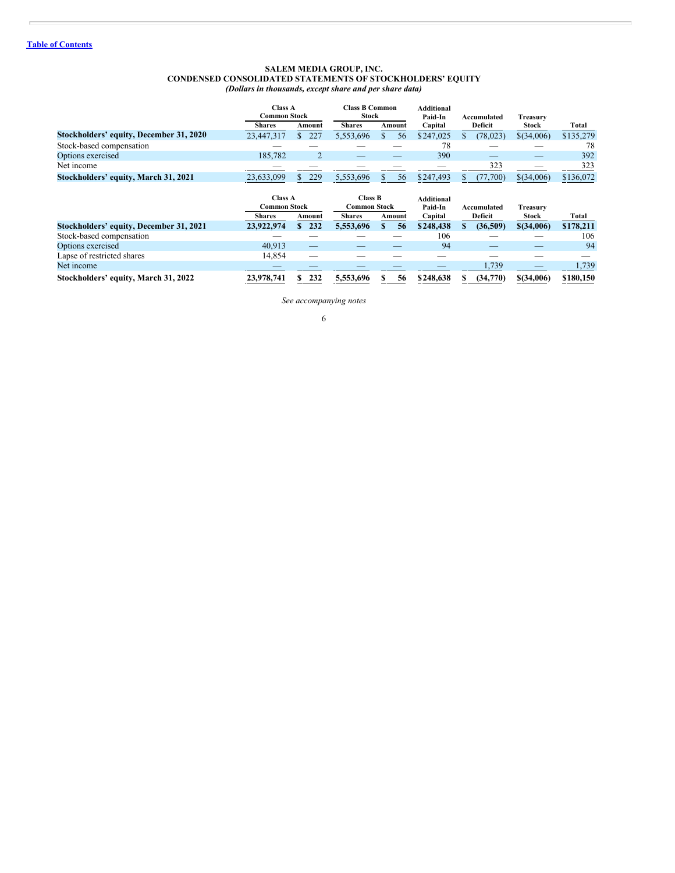#### **SALEM MEDIA GROUP, INC. CONDENSED CONSOLIDATED STATEMENTS OF STOCKHOLDERS' EQUITY** *(Dollars in thousands, except share and per share data)*

|                                         | <b>Class A</b>      |                | <b>Class B Common</b> |          | Additional |             |              |           |
|-----------------------------------------|---------------------|----------------|-----------------------|----------|------------|-------------|--------------|-----------|
|                                         | <b>Common Stock</b> |                | <b>Stock</b>          |          | Paid-In    | Accumulated | Treasury     |           |
|                                         | <b>Shares</b>       | Amount         | <b>Shares</b>         | Amount   | Capital    | Deficit     | Stock        | Total     |
| Stockholders' equity, December 31, 2020 | 23,447,317          | 227            | 5,553,696             | 56       | \$247,025  | (78, 023)   | \$(34,006)   | \$135,279 |
| Stock-based compensation                |                     |                |                       |          | 78         |             |              | 78        |
| Options exercised                       | 185,782             | $\overline{2}$ | _                     |          | 390        |             |              | 392       |
| Net income                              |                     |                |                       |          |            | 323         |              | 323       |
| Stockholders' equity, March 31, 2021    | 23,633,099          | 229<br>S.      | 5,553,696             | 56<br>S. | \$247,493  | (77,700)    | \$(34,006)   | \$136,072 |
|                                         |                     |                |                       |          |            |             |              |           |
|                                         | <b>Class A</b>      |                | <b>Class B</b>        |          | Additional |             |              |           |
|                                         | <b>Common Stock</b> |                | <b>Common Stock</b>   |          | Paid-In    | Accumulated | Treasury     |           |
|                                         | <b>Shares</b>       | Amount         | <b>Shares</b>         | Amount   | Capital    | Deficit     | Stock        | Total     |
| Stockholders' equity, December 31, 2021 | 23,922,974          | 232            | 5,553,696             | 56       | \$248,438  | (36,509)    | $$$ (34,006) | \$178,211 |
| Stock-based compensation                |                     |                |                       |          | 106        |             |              | 106       |
| Options exercised                       | 40,913              |                |                       |          | 94         |             |              | 94        |
| Lapse of restricted shares              | 14,854              |                |                       |          |            |             |              |           |
| Net income                              |                     |                |                       |          |            | 1,739       |              | 1,739     |

*See accompanying notes*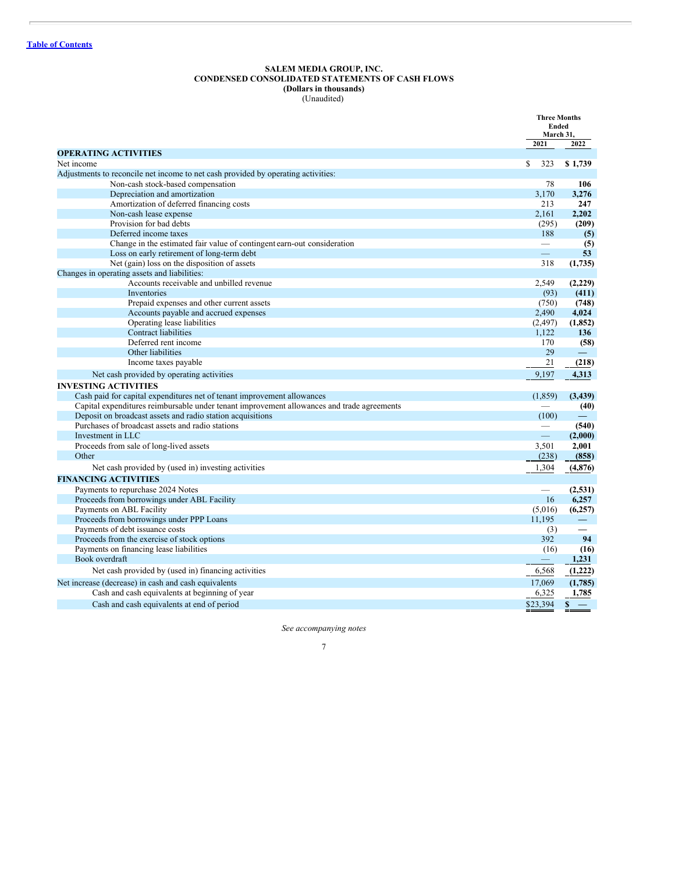#### **SALEM MEDIA GROUP, INC. CONDENSED CONSOLIDATED STATEMENTS OF CASH FLOWS (Dollars in thousands)** (Unaudited)

|                                                                                            | <b>Three Months</b><br>Ended<br>March 31, |                  |
|--------------------------------------------------------------------------------------------|-------------------------------------------|------------------|
|                                                                                            | 2021                                      | 2022             |
| <b>OPERATING ACTIVITIES</b>                                                                |                                           |                  |
| Net income                                                                                 | $\mathbb{S}$<br>323                       | \$1,739          |
| Adjustments to reconcile net income to net cash provided by operating activities:          |                                           |                  |
| Non-cash stock-based compensation                                                          | 78                                        | 106              |
| Depreciation and amortization                                                              | 3,170                                     | 3,276            |
| Amortization of deferred financing costs                                                   | 213                                       | 247              |
| Non-cash lease expense                                                                     | 2.161                                     | 2,202            |
| Provision for bad debts                                                                    | (295)                                     | (209)            |
| Deferred income taxes                                                                      | 188                                       | (5)              |
| Change in the estimated fair value of contingent earn-out consideration                    | $\overline{\phantom{0}}$                  | (5)              |
| Loss on early retirement of long-term debt                                                 |                                           | 53               |
| Net (gain) loss on the disposition of assets                                               | 318                                       | (1,735)          |
| Changes in operating assets and liabilities:                                               |                                           |                  |
| Accounts receivable and unbilled revenue                                                   | 2,549                                     | (2,229)          |
| <b>Inventories</b>                                                                         | (93)                                      | (411)            |
| Prepaid expenses and other current assets                                                  | (750)                                     | (748)            |
| Accounts payable and accrued expenses                                                      | 2,490                                     | 4,024            |
| Operating lease liabilities                                                                | (2, 497)                                  | (1, 852)         |
| <b>Contract liabilities</b>                                                                | 1.122                                     | 136              |
| Deferred rent income                                                                       | 170                                       | (58)             |
| Other liabilities                                                                          | 29                                        |                  |
| Income taxes payable                                                                       | 21                                        | (218)            |
| Net cash provided by operating activities                                                  | 9,197                                     | 4,313            |
| <b>INVESTING ACTIVITIES</b>                                                                |                                           |                  |
| Cash paid for capital expenditures net of tenant improvement allowances                    | (1, 859)                                  | (3,439)          |
| Capital expenditures reimbursable under tenant improvement allowances and trade agreements |                                           | (40)             |
| Deposit on broadcast assets and radio station acquisitions                                 | (100)                                     |                  |
| Purchases of broadcast assets and radio stations                                           | $\overbrace{\phantom{12332}}$             | (540)            |
| Investment in LLC                                                                          | $\equiv$                                  | (2,000)          |
| Proceeds from sale of long-lived assets                                                    | 3,501                                     | 2,001            |
| Other                                                                                      | (238)                                     | (858)            |
| Net cash provided by (used in) investing activities                                        | 1,304                                     | (4, 876)         |
| <b>FINANCING ACTIVITIES</b>                                                                |                                           |                  |
|                                                                                            |                                           |                  |
| Payments to repurchase 2024 Notes                                                          | 16                                        | (2,531)          |
| Proceeds from borrowings under ABL Facility                                                | (5,016)                                   | 6,257            |
| Payments on ABL Facility                                                                   |                                           | (6,257)          |
| Proceeds from borrowings under PPP Loans                                                   | 11,195                                    |                  |
| Payments of debt issuance costs                                                            | (3)                                       |                  |
| Proceeds from the exercise of stock options                                                | 392                                       | 94               |
| Payments on financing lease liabilities                                                    | (16)                                      | (16)             |
| Book overdraft                                                                             |                                           | 1,231            |
| Net cash provided by (used in) financing activities                                        | 6,568                                     | (1,222)          |
| Net increase (decrease) in cash and cash equivalents                                       | 17.069                                    | (1,785)          |
| Cash and cash equivalents at beginning of year                                             | 6,325                                     | 1,785            |
| Cash and cash equivalents at end of period                                                 | \$23,394                                  | $\underline{\$}$ |

*See accompanying notes*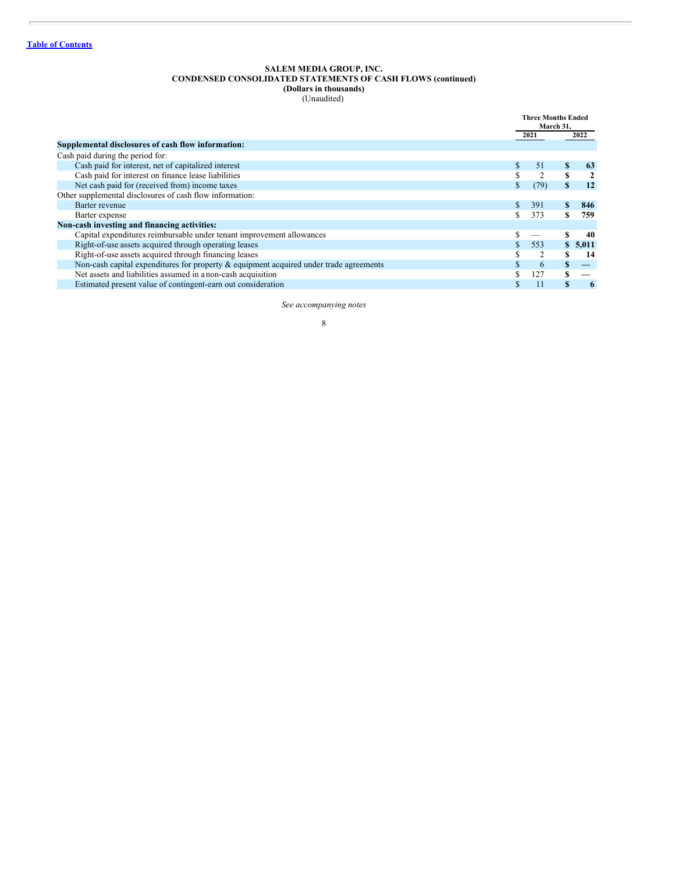#### **SALEM MEDIA GROUP, INC. CONDENSED CONSOLIDATED STATEMENTS OF CASH FLOWS (continued) (Dollars in thousands)** (Unaudited)

|                                                                                           | <b>Three Months Ended</b><br>March 31, |      |   |         |
|-------------------------------------------------------------------------------------------|----------------------------------------|------|---|---------|
|                                                                                           |                                        | 2021 |   | 2022    |
| Supplemental disclosures of cash flow information:                                        |                                        |      |   |         |
| Cash paid during the period for:                                                          |                                        |      |   |         |
| Cash paid for interest, net of capitalized interest                                       |                                        | 51   | S | 63      |
| Cash paid for interest on finance lease liabilities                                       |                                        |      | S | 2       |
| Net cash paid for (received from) income taxes                                            |                                        | (79) | S | 12      |
| Other supplemental disclosures of cash flow information:                                  |                                        |      |   |         |
| Barter revenue                                                                            |                                        | 391  |   | 846     |
| Barter expense                                                                            |                                        | 373  | S | 759     |
| Non-cash investing and financing activities:                                              |                                        |      |   |         |
| Capital expenditures reimbursable under tenant improvement allowances                     |                                        |      |   | 40      |
| Right-of-use assets acquired through operating leases                                     |                                        | 553  |   | \$5,011 |
| Right-of-use assets acquired through financing leases                                     |                                        |      |   | 14      |
| Non-cash capital expenditures for property $\&$ equipment acquired under trade agreements |                                        | 6    |   |         |
| Net assets and liabilities assumed in a non-cash acquisition                              |                                        | 127  |   |         |
| Estimated present value of contingent-earn out consideration                              | ъ                                      |      |   | 6       |

*See accompanying notes*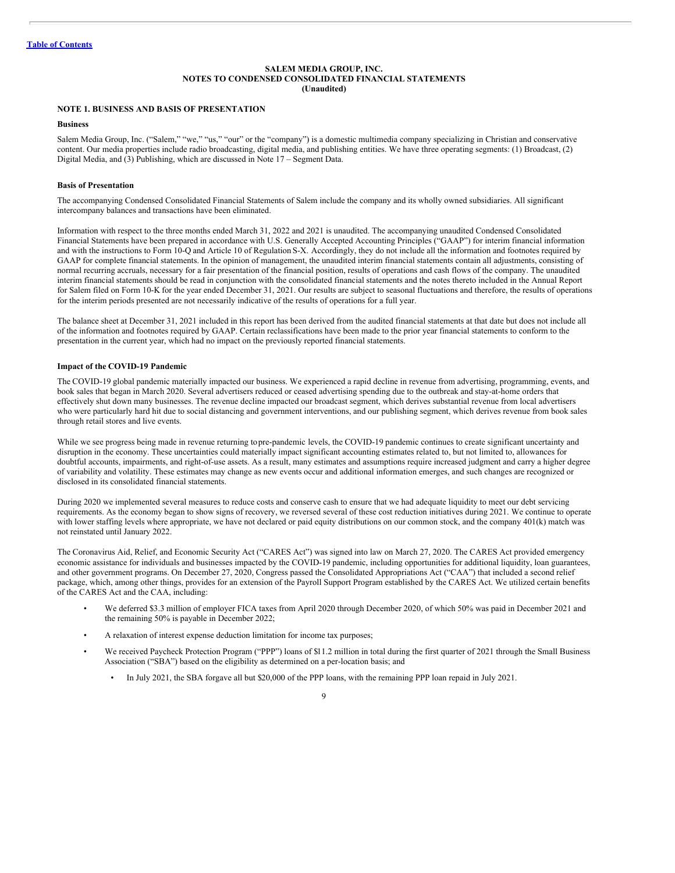## **SALEM MEDIA GROUP, INC. NOTES TO CONDENSED CONSOLIDATED FINANCIAL STATEMENTS (Unaudited)**

# **NOTE 1. BUSINESS AND BASIS OF PRESENTATION**

#### **Business**

Salem Media Group, Inc. ("Salem," "we," "us," "our" or the "company") is a domestic multimedia company specializing in Christian and conservative content. Our media properties include radio broadcasting, digital media, and publishing entities. We have three operating segments: (1) Broadcast, (2) Digital Media, and (3) Publishing, which are discussed in Note 17 – Segment Data.

#### **Basis of Presentation**

The accompanying Condensed Consolidated Financial Statements of Salem include the company and its wholly owned subsidiaries. All significant intercompany balances and transactions have been eliminated.

Information with respect to the three months ended March 31, 2022 and 2021 is unaudited. The accompanying unaudited Condensed Consolidated Financial Statements have been prepared in accordance with U.S. Generally Accepted Accounting Principles ("GAAP") for interim financial information and with the instructions to Form 10-Q and Article 10 of Regulation S-X. Accordingly, they do not include all the information and footnotes required by GAAP for complete financial statements. In the opinion of management, the unaudited interim financial statements contain all adjustments, consisting of normal recurring accruals, necessary for a fair presentation of the financial position, results of operations and cash flows of the company. The unaudited interim financial statements should be read in conjunction with the consolidated financial statements and the notes thereto included in the Annual Report for Salem filed on Form 10-K for the year ended December 31, 2021. Our results are subject to seasonal fluctuations and therefore, the results of operations for the interim periods presented are not necessarily indicative of the results of operations for a full year.

The balance sheet at December 31, 2021 included in this report has been derived from the audited financial statements at that date but does not include all of the information and footnotes required by GAAP. Certain reclassifications have been made to the prior year financial statements to conform to the presentation in the current year, which had no impact on the previously reported financial statements.

#### **Impact of the COVID-19 Pandemic**

The COVID-19 global pandemic materially impacted our business. We experienced a rapid decline in revenue from advertising, programming, events, and book sales that began in March 2020. Several advertisers reduced or ceased advertising spending due to the outbreak and stay-at-home orders that effectively shut down many businesses. The revenue decline impacted our broadcast segment, which derives substantial revenue from local advertisers who were particularly hard hit due to social distancing and government interventions, and our publishing segment, which derives revenue from book sales through retail stores and live events.

While we see progress being made in revenue returning topre-pandemic levels, the COVID-19 pandemic continues to create significant uncertainty and disruption in the economy. These uncertainties could materially impact significant accounting estimates related to, but not limited to, allowances for doubtful accounts, impairments, and right-of-use assets. As a result, many estimates and assumptions require increased judgment and carry a higher degree of variability and volatility. These estimates may change as new events occur and additional information emerges, and such changes are recognized or disclosed in its consolidated financial statements.

During 2020 we implemented several measures to reduce costs and conserve cash to ensure that we had adequate liquidity to meet our debt servicing requirements. As the economy began to show signs of recovery, we reversed several of these cost reduction initiatives during 2021. We continue to operate with lower staffing levels where appropriate, we have not declared or paid equity distributions on our common stock, and the company 401(k) match was not reinstated until January 2022.

The Coronavirus Aid, Relief, and Economic Security Act ("CARES Act") was signed into law on March 27, 2020. The CARES Act provided emergency economic assistance for individuals and businesses impacted by the COVID-19 pandemic, including opportunities for additional liquidity, loan guarantees, and other government programs. On December 27, 2020, Congress passed the Consolidated Appropriations Act ("CAA") that included a second relief package, which, among other things, provides for an extension of the Payroll Support Program established by the CARES Act. We utilized certain benefits of the CARES Act and the CAA, including:

- We deferred \$3.3 million of employer FICA taxes from April 2020 through December 2020, of which 50% was paid in December 2021 and the remaining 50% is payable in December 2022;
- A relaxation of interest expense deduction limitation for income tax purposes;
- We received Paycheck Protection Program ("PPP") loans of \$11.2 million in total during the first quarter of 2021 through the Small Business Association ("SBA") based on the eligibility as determined on a per-location basis; and
	- In July 2021, the SBA forgave all but \$20,000 of the PPP loans, with the remaining PPP loan repaid in July 2021.

 $\overline{Q}$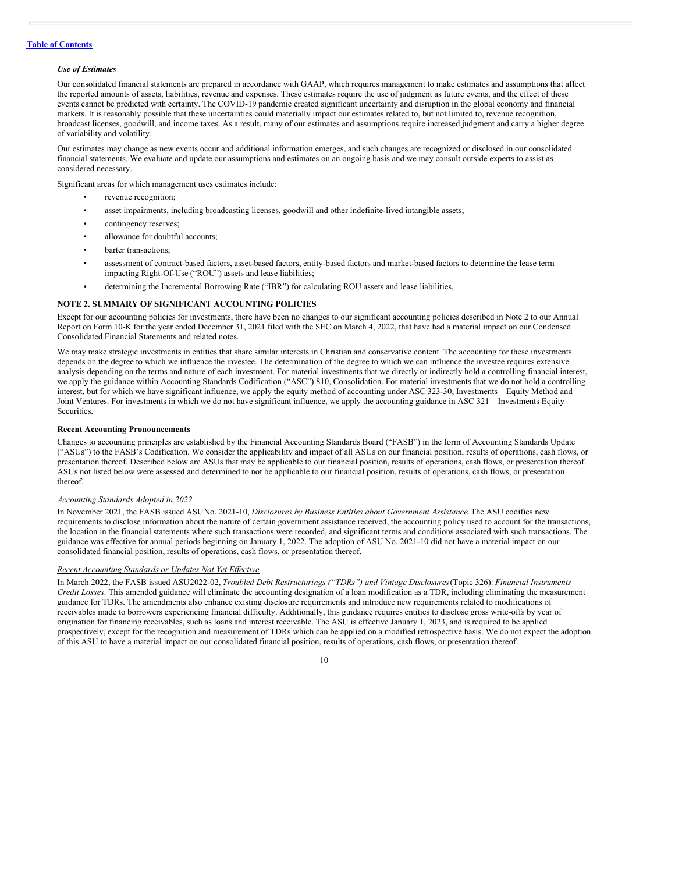#### *Use of Estimates*

Our consolidated financial statements are prepared in accordance with GAAP, which requires management to make estimates and assumptions that affect the reported amounts of assets, liabilities, revenue and expenses. These estimates require the use of judgment as future events, and the effect of these events cannot be predicted with certainty. The COVID-19 pandemic created significant uncertainty and disruption in the global economy and financial markets. It is reasonably possible that these uncertainties could materially impact our estimates related to, but not limited to, revenue recognition, broadcast licenses, goodwill, and income taxes. As a result, many of our estimates and assumptions require increased judgment and carry a higher degree of variability and volatility.

Our estimates may change as new events occur and additional information emerges, and such changes are recognized or disclosed in our consolidated financial statements. We evaluate and update our assumptions and estimates on an ongoing basis and we may consult outside experts to assist as considered necessary.

Significant areas for which management uses estimates include:

- revenue recognition;
- asset impairments, including broadcasting licenses, goodwill and other indefinite-lived intangible assets;
- contingency reserves:
- allowance for doubtful accounts;
- barter transactions:
- assessment of contract-based factors, asset-based factors, entity-based factors and market-based factors to determine the lease term impacting Right-Of-Use ("ROU") assets and lease liabilities;
- determining the Incremental Borrowing Rate ("IBR") for calculating ROU assets and lease liabilities,

# **NOTE 2. SUMMARY OF SIGNIFICANT ACCOUNTING POLICIES**

Except for our accounting policies for investments, there have been no changes to our significant accounting policies described in Note 2 to our Annual Report on Form 10-K for the year ended December 31, 2021 filed with the SEC on March 4, 2022, that have had a material impact on our Condensed Consolidated Financial Statements and related notes.

We may make strategic investments in entities that share similar interests in Christian and conservative content. The accounting for these investments depends on the degree to which we influence the investee. The determination of the degree to which we can influence the investee requires extensive analysis depending on the terms and nature of each investment. For material investments that we directly or indirectly hold a controlling financial interest, we apply the guidance within Accounting Standards Codification ("ASC") 810, Consolidation. For material investments that we do not hold a controlling interest, but for which we have significant influence, we apply the equity method of accounting under ASC 323-30, Investments – Equity Method and Joint Ventures. For investments in which we do not have significant influence, we apply the accounting guidance in ASC 321 – Investments Equity **Securities** 

#### **Recent Accounting Pronouncements**

Changes to accounting principles are established by the Financial Accounting Standards Board ("FASB") in the form of Accounting Standards Update ("ASUs") to the FASB's Codification. We consider the applicability and impact of all ASUs on our financial position, results of operations, cash flows, or presentation thereof. Described below are ASUs that may be applicable to our financial position, results of operations, cash flows, or presentation thereof. ASUs not listed below were assessed and determined to not be applicable to our financial position, results of operations, cash flows, or presentation thereof.

#### *Accounting Standards Adopted in 2022*

In November 2021, the FASB issued ASUNo. 2021-10, *Disclosures by Business Entities about Government Assistance*. The ASU codifies new requirements to disclose information about the nature of certain government assistance received, the accounting policy used to account for the transactions, the location in the financial statements where such transactions were recorded, and significant terms and conditions associated with such transactions. The guidance was effective for annual periods beginning on January 1, 2022. The adoption of ASU No. 2021-10 did not have a material impact on our consolidated financial position, results of operations, cash flows, or presentation thereof.

# *Recent Accounting Standards or Updates Not Yet Ef ective*

In March 2022, the FASB issued ASU2022-02, *Troubled Debt Restructurings ("TDRs") and Vintage Disclosures*(Topic 326): *Financial Instruments – Credit Losses*. This amended guidance will eliminate the accounting designation of a loan modification as a TDR, including eliminating the measurement guidance for TDRs. The amendments also enhance existing disclosure requirements and introduce new requirements related to modifications of receivables made to borrowers experiencing financial difficulty. Additionally, this guidance requires entities to disclose gross write-offs by year of origination for financing receivables, such as loans and interest receivable. The ASU is effective January 1, 2023, and is required to be applied prospectively, except for the recognition and measurement of TDRs which can be applied on a modified retrospective basis. We do not expect the adoption of this ASU to have a material impact on our consolidated financial position, results of operations, cash flows, or presentation thereof.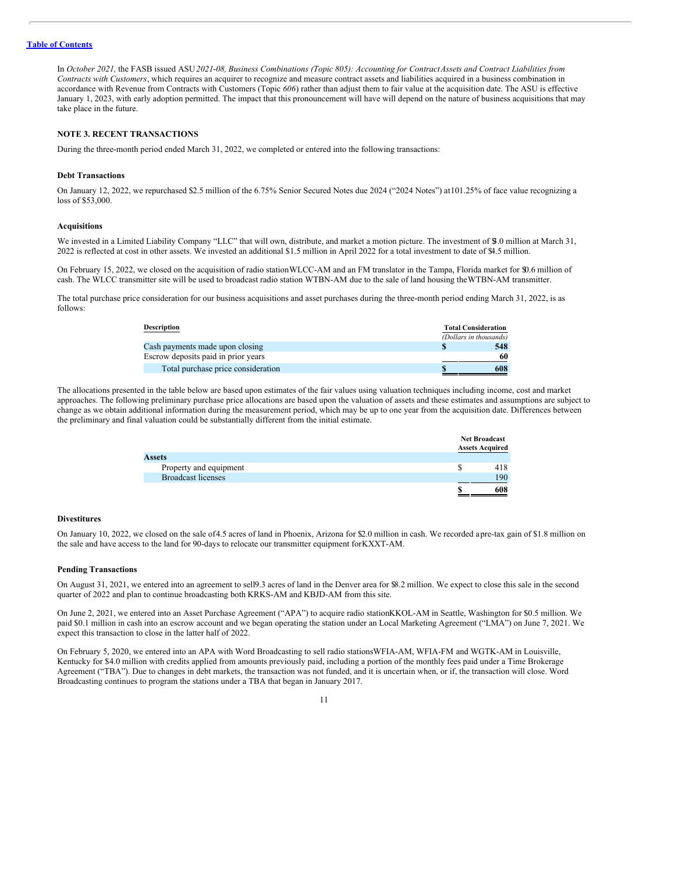In October 2021, the FASB issued ASU 2021-08, Business Combinations (Topic 805): Accounting for Contract Assets and Contract Liabilities from *Contracts with Customers*, which requires an acquirer to recognize and measure contract assets and liabilities acquired in a business combination in accordance with Revenue from Contracts with Customers (Topic *606*) rather than adjust them to fair value at the acquisition date. The ASU is effective January 1, 2023, with early adoption permitted. The impact that this pronouncement will have will depend on the nature of business acquisitions that may take place in the future.

# **NOTE 3. RECENT TRANSACTIONS**

During the three-month period ended March 31, 2022, we completed or entered into the following transactions:

#### **Debt Transactions**

On January 12, 2022, we repurchased \$2.5 million of the 6.75% Senior Secured Notes due 2024 ("2024 Notes") at101.25% of face value recognizing a loss of \$53,000.

#### **Acquisitions**

We invested in a Limited Liability Company "LLC" that will own, distribute, and market a motion picture. The investment of \$3.0 million at March 31, 2022 is reflected at cost in other assets. We invested an additional \$1.5 million in April 2022 for a total investment to date of \$4.5 million.

On February 15, 2022, we closed on the acquisition of radio stationWLCC-AM and an FM translator in the Tampa, Florida market for \$0.6 million of cash. The WLCC transmitter site will be used to broadcast radio station WTBN-AM due to the sale of land housing theWTBN-AM transmitter.

The total purchase price consideration for our business acquisitions and asset purchases during the three-month period ending March 31, 2022, is as follows:

| Description                         | <b>Total Consideration</b> |  |
|-------------------------------------|----------------------------|--|
|                                     | (Dollars in thousands)     |  |
| Cash payments made upon closing     | 548                        |  |
| Escrow deposits paid in prior years | 60                         |  |
| Total purchase price consideration  | 608                        |  |

The allocations presented in the table below are based upon estimates of the fair values using valuation techniques including income, cost and market approaches. The following preliminary purchase price allocations are based upon the valuation of assets and these estimates and assumptions are subject to change as we obtain additional information during the measurement period, which may be up to one year from the acquisition date. Differences between the preliminary and final valuation could be substantially different from the initial estimate.

|                           | <b>Net Broadcast</b><br><b>Assets Acquired</b> |
|---------------------------|------------------------------------------------|
| <b>Assets</b>             |                                                |
| Property and equipment    | 418                                            |
| <b>Broadcast licenses</b> | 190                                            |
|                           | 608                                            |

# **Divestitures**

On January 10, 2022, we closed on the sale of4.5 acres of land in Phoenix, Arizona for \$2.0 million in cash. We recorded apre-tax gain of \$1.8 million on the sale and have access to the land for 90-days to relocate our transmitter equipment forKXXT-AM.

#### **Pending Transactions**

On August 31, 2021, we entered into an agreement to sell9.3 acres of land in the Denver area for \$8.2 million. We expect to close this sale in the second quarter of 2022 and plan to continue broadcasting both KRKS-AM and KBJD-AM from this site.

On June 2, 2021, we entered into an Asset Purchase Agreement ("APA") to acquire radio stationKKOL-AM in Seattle, Washington for \$0.5 million. We paid \$0.1 million in cash into an escrow account and we began operating the station under an Local Marketing Agreement ("LMA") on June 7, 2021. We expect this transaction to close in the latter half of 2022.

On February 5, 2020, we entered into an APA with Word Broadcasting to sell radio stationsWFIA-AM, WFIA-FM and WGTK-AM in Louisville, Kentucky for \$4.0 million with credits applied from amounts previously paid, including a portion of the monthly fees paid under a Time Brokerage Agreement ("TBA"). Due to changes in debt markets, the transaction was not funded, and it is uncertain when, or if, the transaction will close. Word Broadcasting continues to program the stations under a TBA that began in January 2017.

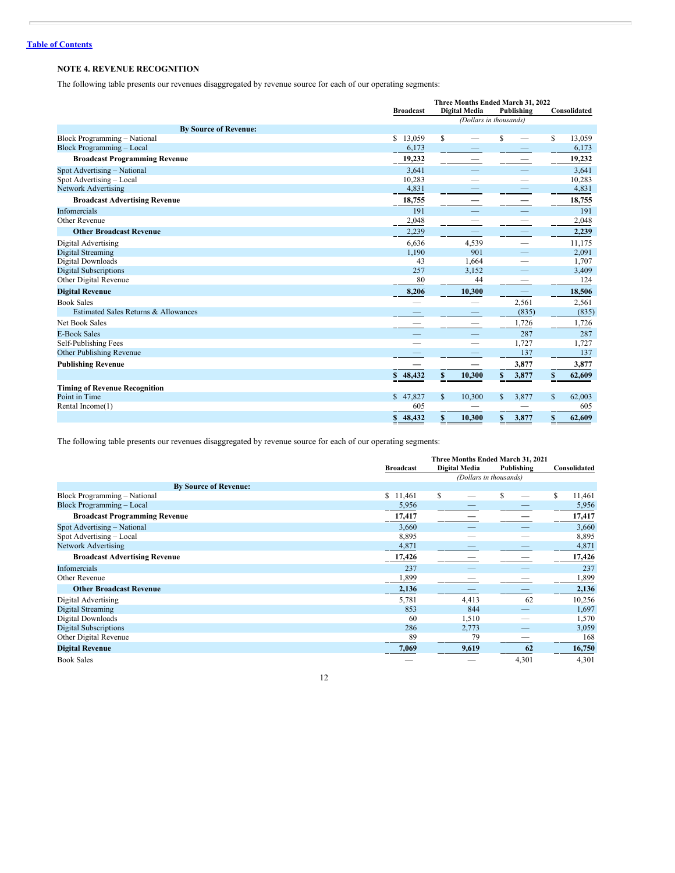# **NOTE 4. REVENUE RECOGNITION**

The following table presents our revenues disaggregated by revenue source for each of our operating segments:

|                                      | <b>Broadcast</b> | Three Months Ended March 31, 2022<br><b>Digital Media</b><br>Publishing |                          |          |       |    | Consolidated |  |  |
|--------------------------------------|------------------|-------------------------------------------------------------------------|--------------------------|----------|-------|----|--------------|--|--|
|                                      |                  |                                                                         | (Dollars in thousands)   |          |       |    |              |  |  |
| <b>By Source of Revenue:</b>         |                  |                                                                         |                          |          |       |    |              |  |  |
| <b>Block Programming - National</b>  | \$13,059         | S                                                                       |                          | S        |       | S  | 13,059       |  |  |
| <b>Block Programming - Local</b>     | 6,173            |                                                                         |                          |          |       |    | 6,173        |  |  |
| <b>Broadcast Programming Revenue</b> | 19,232           |                                                                         |                          |          |       |    | 19,232       |  |  |
| Spot Advertising - National          | 3,641            |                                                                         |                          |          |       |    | 3,641        |  |  |
| Spot Advertising - Local             | 10,283           |                                                                         |                          |          |       |    | 10,283       |  |  |
| <b>Network Advertising</b>           | 4,831            |                                                                         |                          |          |       |    | 4,831        |  |  |
| <b>Broadcast Advertising Revenue</b> | 18,755           |                                                                         |                          |          |       |    | 18,755       |  |  |
| <b>Infomercials</b>                  | 191              |                                                                         |                          |          |       |    | 191          |  |  |
| Other Revenue                        | 2,048            |                                                                         |                          |          |       |    | 2,048        |  |  |
| <b>Other Broadcast Revenue</b>       | 2,239            |                                                                         |                          |          |       |    | 2,239        |  |  |
| Digital Advertising                  | 6,636            |                                                                         | 4,539                    |          |       |    | 11,175       |  |  |
| Digital Streaming                    | 1,190            |                                                                         | 901                      |          |       |    | 2,091        |  |  |
| Digital Downloads                    | 43               |                                                                         | 1.664                    |          |       |    | 1,707        |  |  |
| <b>Digital Subscriptions</b>         | 257              |                                                                         | 3,152                    |          |       |    | 3,409        |  |  |
| Other Digital Revenue                | 80               |                                                                         | 44                       |          |       |    | 124          |  |  |
| <b>Digital Revenue</b>               | 8.206            |                                                                         | 10.300                   |          |       |    | 18,506       |  |  |
| <b>Book Sales</b>                    |                  |                                                                         | $\overline{\phantom{0}}$ |          | 2,561 |    | 2,561        |  |  |
| Estimated Sales Returns & Allowances |                  |                                                                         |                          |          | (835) |    | (835)        |  |  |
| <b>Net Book Sales</b>                |                  |                                                                         | $\sim$                   |          | 1,726 |    | 1,726        |  |  |
| <b>E-Book Sales</b>                  |                  |                                                                         |                          |          | 287   |    | 287          |  |  |
| Self-Publishing Fees                 |                  |                                                                         |                          |          | 1,727 |    | 1,727        |  |  |
| Other Publishing Revenue             |                  |                                                                         |                          |          | 137   |    | 137          |  |  |
| <b>Publishing Revenue</b>            |                  |                                                                         |                          |          | 3,877 |    | 3,877        |  |  |
|                                      | \$48,432         | \$                                                                      | 10,300                   | \$       | 3,877 | \$ | 62,609       |  |  |
| <b>Timing of Revenue Recognition</b> |                  |                                                                         |                          |          |       |    |              |  |  |
| Point in Time                        | \$47,827         | S                                                                       | 10,300                   | <b>S</b> | 3.877 | S  | 62,003       |  |  |
| Rental Income(1)                     | 605              |                                                                         |                          |          |       |    | 605          |  |  |
|                                      | \$48,432         | \$                                                                      | 10,300                   | S        | 3,877 | \$ | 62,609       |  |  |

The following table presents our revenues disaggregated by revenue source for each of our operating segments:

|                                      |                  | Three Months Ended March 31, 2021<br>Consolidated |            |             |  |
|--------------------------------------|------------------|---------------------------------------------------|------------|-------------|--|
|                                      | <b>Broadcast</b> | Digital Media                                     | Publishing |             |  |
| <b>By Source of Revenue:</b>         |                  | (Dollars in thousands)                            |            |             |  |
| <b>Block Programming - National</b>  | \$11,461         | S                                                 | £.         | 11,461<br>S |  |
| <b>Block Programming - Local</b>     | 5,956            |                                                   |            | 5,956       |  |
| <b>Broadcast Programming Revenue</b> | 17,417           |                                                   |            | 17,417      |  |
| Spot Advertising - National          | 3,660            |                                                   |            | 3,660       |  |
| Spot Advertising - Local             | 8,895            |                                                   |            | 8,895       |  |
| Network Advertising                  | 4,871            |                                                   |            | 4,871       |  |
| <b>Broadcast Advertising Revenue</b> | 17,426           |                                                   |            | 17,426      |  |
| Infomercials                         | 237              |                                                   |            | 237         |  |
| Other Revenue                        | 1,899            |                                                   |            | 1,899       |  |
| <b>Other Broadcast Revenue</b>       | 2,136            |                                                   |            | 2,136       |  |
| Digital Advertising                  | 5,781            | 4,413                                             | 62         | 10,256      |  |
| Digital Streaming                    | 853              | 844                                               |            | 1,697       |  |
| Digital Downloads                    | 60               | 1,510                                             |            | 1,570       |  |
| <b>Digital Subscriptions</b>         | 286              | 2,773                                             |            | 3,059       |  |
| Other Digital Revenue                | 89               | 79                                                |            | 168         |  |
| <b>Digital Revenue</b>               | 7,069            | 9,619                                             | 62         | 16,750      |  |
| <b>Book Sales</b>                    |                  |                                                   | 4,301      | 4,301       |  |

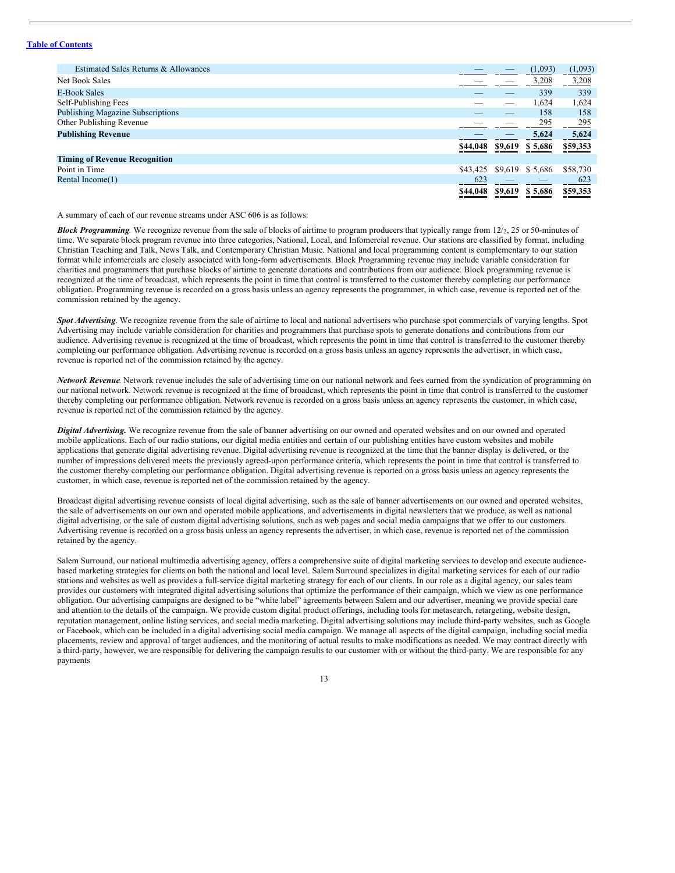| Estimated Sales Returns & Allowances     |          |         | (1,093)         | (1,093)         |
|------------------------------------------|----------|---------|-----------------|-----------------|
| Net Book Sales                           |          |         | 3,208           | 3,208           |
| <b>E-Book Sales</b>                      |          |         | 339             | 339             |
| Self-Publishing Fees                     |          | __      | 1,624           | 1,624           |
| <b>Publishing Magazine Subscriptions</b> |          |         | 158             | 158             |
| Other Publishing Revenue                 |          |         | 295             | 295             |
| <b>Publishing Revenue</b>                |          |         | 5,624           | 5,624           |
|                                          | \$44,048 | \$9,619 | \$5,686         | <u>\$59,353</u> |
| <b>Timing of Revenue Recognition</b>     |          |         |                 |                 |
| Point in Time                            | \$43,425 |         | \$9,619 \$5,686 | \$58,730        |
| Rental Income(1)                         | 623      |         |                 | 623             |
|                                          | \$44,048 |         | \$9,619 \$5,686 | \$59,353        |

A summary of each of our revenue streams under ASC 606 is as follows:

**Block Programming**. We recognize revenue from the sale of blocks of airtime to program producers that typically range from  $12/2$ , 25 or 50-minutes of time. We separate block program revenue into three categories, National, Local, and Infomercial revenue. Our stations are classified by format, including Christian Teaching and Talk, News Talk, and Contemporary Christian Music. National and local programming content is complementary to our station format while infomercials are closely associated with long-form advertisements. Block Programming revenue may include variable consideration for charities and programmers that purchase blocks of airtime to generate donations and contributions from our audience. Block programming revenue is recognized at the time of broadcast, which represents the point in time that control is transferred to the customer thereby completing our performance obligation. Programming revenue is recorded on a gross basis unless an agency represents the programmer, in which case, revenue is reported net of the commission retained by the agency.

*Spot Advertising*. We recognize revenue from the sale of airtime to local and national advertisers who purchase spot commercials of varying lengths. Spot Advertising may include variable consideration for charities and programmers that purchase spots to generate donations and contributions from our audience. Advertising revenue is recognized at the time of broadcast, which represents the point in time that control is transferred to the customer thereby completing our performance obligation. Advertising revenue is recorded on a gross basis unless an agency represents the advertiser, in which case, revenue is reported net of the commission retained by the agency.

*Network Revenue.* Network revenue includes the sale of advertising time on our national network and fees earned from the syndication of programming on our national network. Network revenue is recognized at the time of broadcast, which represents the point in time that control is transferred to the customer thereby completing our performance obligation. Network revenue is recorded on a gross basis unless an agency represents the customer, in which case, revenue is reported net of the commission retained by the agency.

*Digital Advertising.* We recognize revenue from the sale of banner advertising on our owned and operated websites and on our owned and operated mobile applications. Each of our radio stations, our digital media entities and certain of our publishing entities have custom websites and mobile applications that generate digital advertising revenue. Digital advertising revenue is recognized at the time that the banner display is delivered, or the number of impressions delivered meets the previously agreed-upon performance criteria, which represents the point in time that control is transferred to the customer thereby completing our performance obligation. Digital advertising revenue is reported on a gross basis unless an agency represents the customer, in which case, revenue is reported net of the commission retained by the agency.

Broadcast digital advertising revenue consists of local digital advertising, such as the sale of banner advertisements on our owned and operated websites, the sale of advertisements on our own and operated mobile applications, and advertisements in digital newsletters that we produce, as well as national digital advertising, or the sale of custom digital advertising solutions, such as web pages and social media campaigns that we offer to our customers. Advertising revenue is recorded on a gross basis unless an agency represents the advertiser, in which case, revenue is reported net of the commission retained by the agency.

Salem Surround, our national multimedia advertising agency, offers a comprehensive suite of digital marketing services to develop and execute audiencebased marketing strategies for clients on both the national and local level. Salem Surround specializes in digital marketing services for each of our radio stations and websites as well as provides a full-service digital marketing strategy for each of our clients. In our role as a digital agency, our sales team provides our customers with integrated digital advertising solutions that optimize the performance of their campaign, which we view as one performance obligation. Our advertising campaigns are designed to be "white label" agreements between Salem and our advertiser, meaning we provide special care and attention to the details of the campaign. We provide custom digital product offerings, including tools for metasearch, retargeting, website design, reputation management, online listing services, and social media marketing. Digital advertising solutions may include third-party websites, such as Google or Facebook, which can be included in a digital advertising social media campaign. We manage all aspects of the digital campaign, including social media placements, review and approval of target audiences, and the monitoring of actual results to make modifications as needed. We may contract directly with a third-party, however, we are responsible for delivering the campaign results to our customer with or without the third-party. We are responsible for any payments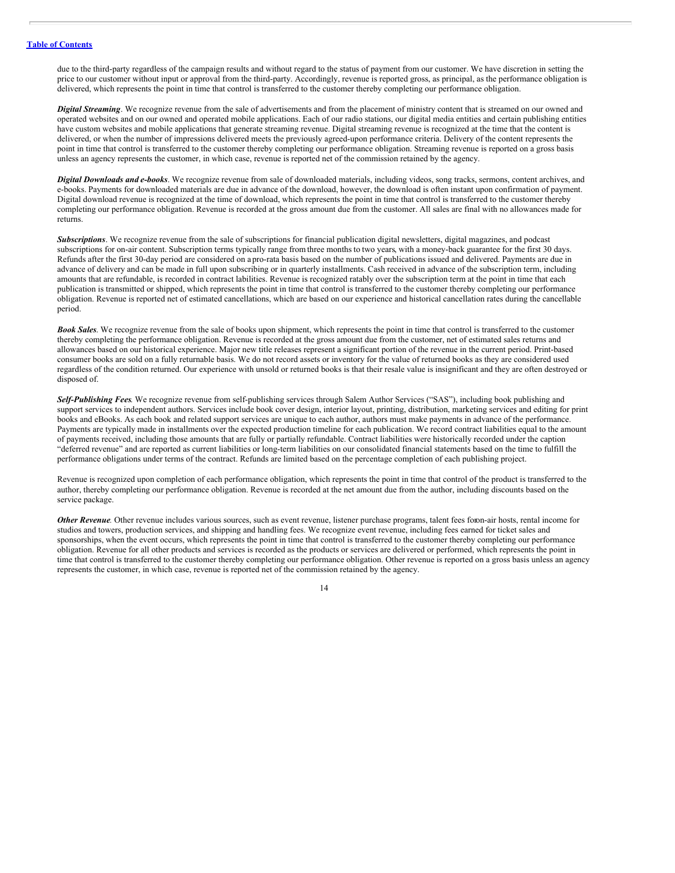due to the third-party regardless of the campaign results and without regard to the status of payment from our customer. We have discretion in setting the price to our customer without input or approval from the third-party. Accordingly, revenue is reported gross, as principal, as the performance obligation is delivered, which represents the point in time that control is transferred to the customer thereby completing our performance obligation.

*Digital Streaming*. We recognize revenue from the sale of advertisements and from the placement of ministry content that is streamed on our owned and operated websites and on our owned and operated mobile applications. Each of our radio stations, our digital media entities and certain publishing entities have custom websites and mobile applications that generate streaming revenue. Digital streaming revenue is recognized at the time that the content is delivered, or when the number of impressions delivered meets the previously agreed-upon performance criteria. Delivery of the content represents the point in time that control is transferred to the customer thereby completing our performance obligation. Streaming revenue is reported on a gross basis unless an agency represents the customer, in which case, revenue is reported net of the commission retained by the agency.

*Digital Downloads and e-books*. We recognize revenue from sale of downloaded materials, including videos, song tracks, sermons, content archives, and e-books. Payments for downloaded materials are due in advance of the download, however, the download is often instant upon confirmation of payment. Digital download revenue is recognized at the time of download, which represents the point in time that control is transferred to the customer thereby completing our performance obligation. Revenue is recorded at the gross amount due from the customer. All sales are final with no allowances made for returns.

*Subscriptions*. We recognize revenue from the sale of subscriptions for financial publication digital newsletters, digital magazines, and podcast subscriptions for on-air content. Subscription terms typically range fromthree months to two years, with a money-back guarantee for the first 30 days. Refunds after the first 30-day period are considered on a pro-rata basis based on the number of publications issued and delivered. Payments are due in advance of delivery and can be made in full upon subscribing or in quarterly installments. Cash received in advance of the subscription term, including amounts that are refundable, is recorded in contract labilities. Revenue is recognized ratably over the subscription term at the point in time that each publication is transmitted or shipped, which represents the point in time that control is transferred to the customer thereby completing our performance obligation. Revenue is reported net of estimated cancellations, which are based on our experience and historical cancellation rates during the cancellable period.

**Book Sales**. We recognize revenue from the sale of books upon shipment, which represents the point in time that control is transferred to the customer thereby completing the performance obligation. Revenue is recorded at the gross amount due from the customer, net of estimated sales returns and allowances based on our historical experience. Major new title releases represent a significant portion of the revenue in the current period. Print-based consumer books are sold on a fully returnable basis. We do not record assets or inventory for the value of returned books as they are considered used regardless of the condition returned. Our experience with unsold or returned books is that their resale value is insignificant and they are often destroyed or disposed of.

*Self-Publishing Fees*. We recognize revenue from self-publishing services through Salem Author Services ("SAS"), including book publishing and support services to independent authors. Services include book cover design, interior layout, printing, distribution, marketing services and editing for print books and eBooks. As each book and related support services are unique to each author, authors must make payments in advance of the performance. Payments are typically made in installments over the expected production timeline for each publication. We record contract liabilities equal to the amount of payments received, including those amounts that are fully or partially refundable. Contract liabilities were historically recorded under the caption "deferred revenue" and are reported as current liabilities or long-term liabilities on our consolidated financial statements based on the time to fulfill the performance obligations under terms of the contract. Refunds are limited based on the percentage completion of each publishing project.

Revenue is recognized upon completion of each performance obligation, which represents the point in time that control of the product is transferred to the author, thereby completing our performance obligation. Revenue is recorded at the net amount due from the author, including discounts based on the service package.

*Other Revenue.* Other revenue includes various sources, such as event revenue, listener purchase programs, talent fees foron-air hosts, rental income for studios and towers, production services, and shipping and handling fees. We recognize event revenue, including fees earned for ticket sales and sponsorships, when the event occurs, which represents the point in time that control is transferred to the customer thereby completing our performance obligation. Revenue for all other products and services is recorded as the products or services are delivered or performed, which represents the point in time that control is transferred to the customer thereby completing our performance obligation. Other revenue is reported on a gross basis unless an agency represents the customer, in which case, revenue is reported net of the commission retained by the agency.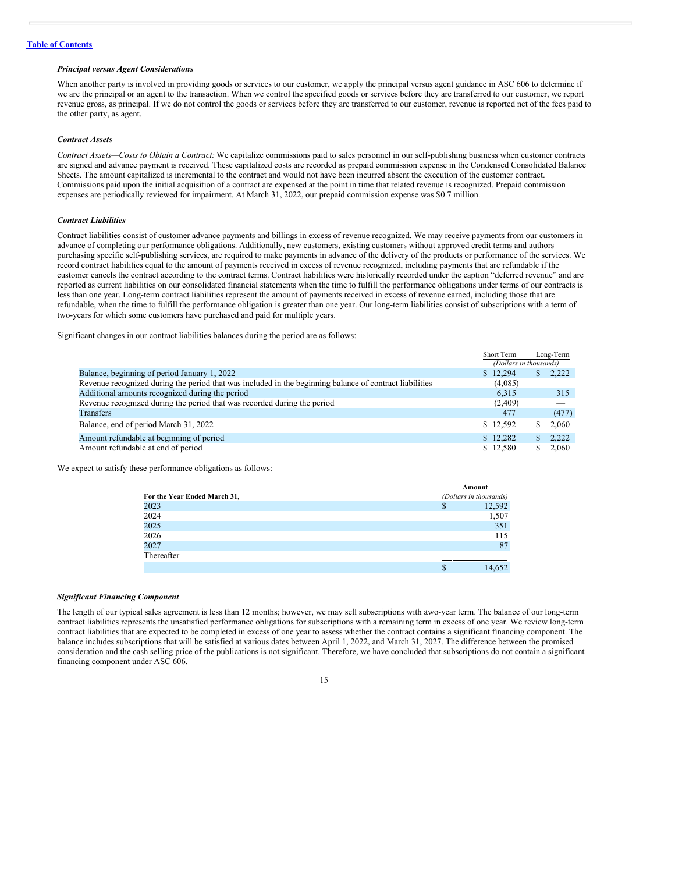#### *Principal versus Agent Considerations*

When another party is involved in providing goods or services to our customer, we apply the principal versus agent guidance in ASC 606 to determine if we are the principal or an agent to the transaction. When we control the specified goods or services before they are transferred to our customer, we report revenue gross, as principal. If we do not control the goods or services before they are transferred to our customer, revenue is reported net of the fees paid to the other party, as agent.

# *Contract Assets*

*Contract Assets—Costs to Obtain a Contract:* We capitalize commissions paid to sales personnel in our self-publishing business when customer contracts are signed and advance payment is received. These capitalized costs are recorded as prepaid commission expense in the Condensed Consolidated Balance Sheets. The amount capitalized is incremental to the contract and would not have been incurred absent the execution of the customer contract. Commissions paid upon the initial acquisition of a contract are expensed at the point in time that related revenue is recognized. Prepaid commission expenses are periodically reviewed for impairment. At March 31, 2022, our prepaid commission expense was \$0.7 million.

# *Contract Liabilities*

Contract liabilities consist of customer advance payments and billings in excess of revenue recognized. We may receive payments from our customers in advance of completing our performance obligations. Additionally, new customers, existing customers without approved credit terms and authors purchasing specific self-publishing services, are required to make payments in advance of the delivery of the products or performance of the services. We record contract liabilities equal to the amount of payments received in excess of revenue recognized, including payments that are refundable if the customer cancels the contract according to the contract terms. Contract liabilities were historically recorded under the caption "deferred revenue" and are reported as current liabilities on our consolidated financial statements when the time to fulfill the performance obligations under terms of our contracts is less than one year. Long-term contract liabilities represent the amount of payments received in excess of revenue earned, including those that are refundable, when the time to fulfill the performance obligation is greater than one year. Our long-term liabilities consist of subscriptions with a term of two-years for which some customers have purchased and paid for multiple years.

Significant changes in our contract liabilities balances during the period are as follows:

|                                                                                                         | <b>Short Term</b>      |    | Long-Term |
|---------------------------------------------------------------------------------------------------------|------------------------|----|-----------|
|                                                                                                         | (Dollars in thousands) |    |           |
| Balance, beginning of period January 1, 2022                                                            | \$12,294               | S  | 2,222     |
| Revenue recognized during the period that was included in the beginning balance of contract liabilities | (4,085)                |    |           |
| Additional amounts recognized during the period                                                         | 6.315                  |    | 315       |
| Revenue recognized during the period that was recorded during the period                                | (2,409)                |    |           |
| Transfers                                                                                               | 477                    |    | (477)     |
| Balance, end of period March 31, 2022                                                                   | \$12,592               | S. | 2,060     |
| Amount refundable at beginning of period                                                                | \$12.282               | S. | 2.222     |
| Amount refundable at end of period                                                                      | \$12.580               | S. | 2,060     |
|                                                                                                         |                        |    |           |

We expect to satisfy these performance obligations as follows:

|                              | Amount                 |
|------------------------------|------------------------|
| For the Year Ended March 31, | (Dollars in thousands) |
| 2023                         | 12,592<br>\$           |
| 2024                         | 1,507                  |
| 2025                         | 351                    |
| 2026                         | 115                    |
| 2027                         | 87                     |
| Thereafter                   |                        |
|                              | 14.652<br>ъ            |

#### *Significant Financing Component*

The length of our typical sales agreement is less than 12 months; however, we may sell subscriptions with atwo-year term. The balance of our long-term contract liabilities represents the unsatisfied performance obligations for subscriptions with a remaining term in excess of one year. We review long-term contract liabilities that are expected to be completed in excess of one year to assess whether the contract contains a significant financing component. The balance includes subscriptions that will be satisfied at various dates between April 1, 2022, and March 31, 2027. The difference between the promised consideration and the cash selling price of the publications is not significant. Therefore, we have concluded that subscriptions do not contain a significant financing component under ASC 606.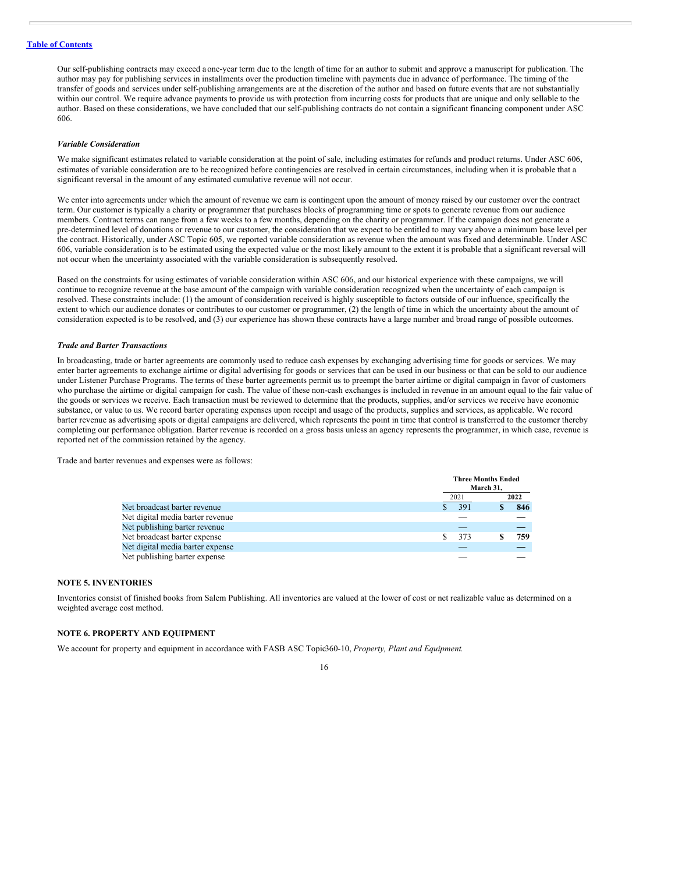Our self-publishing contracts may exceed aone-year term due to the length of time for an author to submit and approve a manuscript for publication. The author may pay for publishing services in installments over the production timeline with payments due in advance of performance. The timing of the transfer of goods and services under self-publishing arrangements are at the discretion of the author and based on future events that are not substantially within our control. We require advance payments to provide us with protection from incurring costs for products that are unique and only sellable to the author. Based on these considerations, we have concluded that our self-publishing contracts do not contain a significant financing component under ASC 606.

#### *Variable Consideration*

We make significant estimates related to variable consideration at the point of sale, including estimates for refunds and product returns. Under ASC 606, estimates of variable consideration are to be recognized before contingencies are resolved in certain circumstances, including when it is probable that a significant reversal in the amount of any estimated cumulative revenue will not occur.

We enter into agreements under which the amount of revenue we earn is contingent upon the amount of money raised by our customer over the contract term. Our customer is typically a charity or programmer that purchases blocks of programming time or spots to generate revenue from our audience members. Contract terms can range from a few weeks to a few months, depending on the charity or programmer. If the campaign does not generate a pre-determined level of donations or revenue to our customer, the consideration that we expect to be entitled to may vary above a minimum base level per the contract. Historically, under ASC Topic 605, we reported variable consideration as revenue when the amount was fixed and determinable. Under ASC 606, variable consideration is to be estimated using the expected value or the most likely amount to the extent it is probable that a significant reversal will not occur when the uncertainty associated with the variable consideration is subsequently resolved.

Based on the constraints for using estimates of variable consideration within ASC 606, and our historical experience with these campaigns, we will continue to recognize revenue at the base amount of the campaign with variable consideration recognized when the uncertainty of each campaign is resolved. These constraints include: (1) the amount of consideration received is highly susceptible to factors outside of our influence, specifically the extent to which our audience donates or contributes to our customer or programmer, (2) the length of time in which the uncertainty about the amount of consideration expected is to be resolved, and (3) our experience has shown these contracts have a large number and broad range of possible outcomes.

#### *Trade and Barter Transactions*

In broadcasting, trade or barter agreements are commonly used to reduce cash expenses by exchanging advertising time for goods or services. We may enter barter agreements to exchange airtime or digital advertising for goods or services that can be used in our business or that can be sold to our audience under Listener Purchase Programs. The terms of these barter agreements permit us to preempt the barter airtime or digital campaign in favor of customers who purchase the airtime or digital campaign for cash. The value of these non-cash exchanges is included in revenue in an amount equal to the fair value of the goods or services we receive. Each transaction must be reviewed to determine that the products, supplies, and/or services we receive have economic substance, or value to us. We record barter operating expenses upon receipt and usage of the products, supplies and services, as applicable. We record barter revenue as advertising spots or digital campaigns are delivered, which represents the point in time that control is transferred to the customer thereby completing our performance obligation. Barter revenue is recorded on a gross basis unless an agency represents the programmer, in which case, revenue is reported net of the commission retained by the agency.

Trade and barter revenues and expenses were as follows:

|                                  | <b>Three Months Ended</b><br>March 31. |  |      |
|----------------------------------|----------------------------------------|--|------|
|                                  | 2021                                   |  | 2022 |
| Net broadcast barter revenue     | 391                                    |  | 846  |
| Net digital media barter revenue |                                        |  |      |
| Net publishing barter revenue    |                                        |  |      |
| Net broadcast barter expense     | 373                                    |  | 759  |
| Net digital media barter expense |                                        |  |      |
| Net publishing barter expense    |                                        |  |      |

# **NOTE 5. INVENTORIES**

Inventories consist of finished books from Salem Publishing. All inventories are valued at the lower of cost or net realizable value as determined on a weighted average cost method.

#### **NOTE 6. PROPERTY AND EQUIPMENT**

We account for property and equipment in accordance with FASB ASC Topic360-10, *Property, Plant and Equipment*.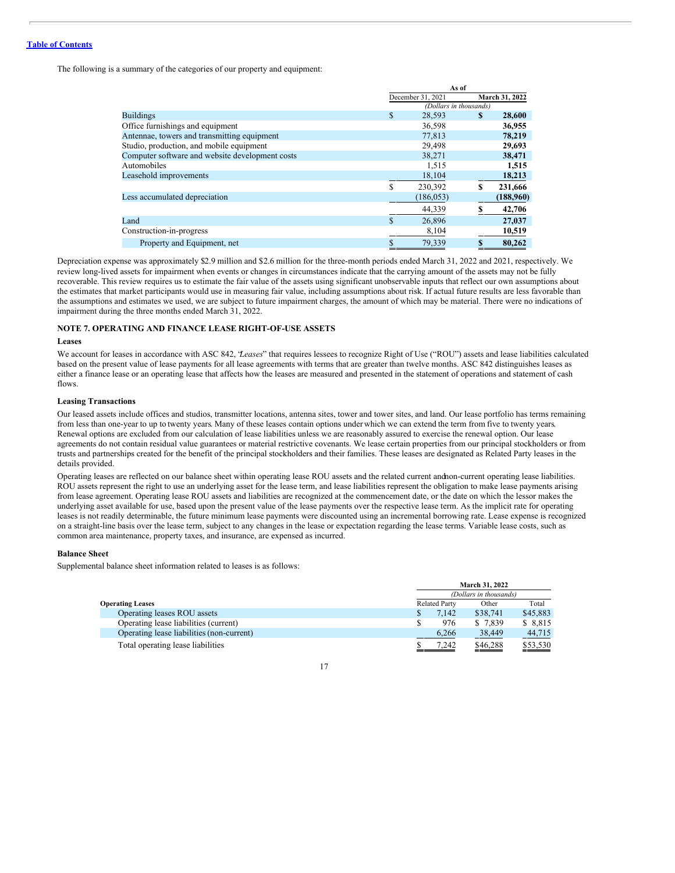The following is a summary of the categories of our property and equipment:

|                                                 |    | As of                  |    |                |  |
|-------------------------------------------------|----|------------------------|----|----------------|--|
|                                                 |    | December 31, 2021      |    | March 31, 2022 |  |
|                                                 |    | (Dollars in thousands) |    |                |  |
| <b>Buildings</b>                                | \$ | 28,593                 | S  | 28,600         |  |
| Office furnishings and equipment                |    | 36,598                 |    | 36,955         |  |
| Antennae, towers and transmitting equipment     |    | 77,813                 |    | 78,219         |  |
| Studio, production, and mobile equipment        |    | 29,498                 |    | 29,693         |  |
| Computer software and website development costs |    | 38,271                 |    | 38,471         |  |
| Automobiles                                     |    | 1,515                  |    | 1,515          |  |
| Leasehold improvements                          |    | 18,104                 |    | 18,213         |  |
|                                                 | S  | 230,392                | S  | 231,666        |  |
| Less accumulated depreciation                   |    | (186, 053)             |    | (188,960)      |  |
|                                                 |    | 44,339                 |    | 42,706         |  |
| Land                                            |    | 26,896                 |    | 27,037         |  |
| Construction-in-progress                        |    | 8,104                  |    | 10,519         |  |
| Property and Equipment, net                     |    | 79.339                 | \$ | 80,262         |  |

Depreciation expense was approximately \$2.9 million and \$2.6 million for the three-month periods ended March 31, 2022 and 2021, respectively. We review long-lived assets for impairment when events or changes in circumstances indicate that the carrying amount of the assets may not be fully recoverable. This review requires us to estimate the fair value of the assets using significant unobservable inputs that reflect our own assumptions about the estimates that market participants would use in measuring fair value, including assumptions about risk. If actual future results are less favorable than the assumptions and estimates we used, we are subject to future impairment charges, the amount of which may be material. There were no indications of impairment during the three months ended March 31, 2022.

# **NOTE 7. OPERATING AND FINANCE LEASE RIGHT-OF-USE ASSETS**

#### **Leases**

We account for leases in accordance with ASC 842, 'Leases'' that requires lessees to recognize Right of Use ("ROU") assets and lease liabilities calculated based on the present value of lease payments for all lease agreements with terms that are greater than twelve months. ASC 842 distinguishes leases as either a finance lease or an operating lease that affects how the leases are measured and presented in the statement of operations and statement of cash flows.

#### **Leasing Transactions**

Our leased assets include offices and studios, transmitter locations, antenna sites, tower and tower sites, and land. Our lease portfolio has terms remaining from less than one-year to up to twenty years. Many of these leases contain options underwhich we can extend the term from five to twenty years. Renewal options are excluded from our calculation of lease liabilities unless we are reasonably assured to exercise the renewal option. Our lease agreements do not contain residual value guarantees or material restrictive covenants. We lease certain properties from our principal stockholders or from trusts and partnerships created for the benefit of the principal stockholders and their families. These leases are designated as Related Party leases in the details provided.

Operating leases are reflected on our balance sheet within operating lease ROU assets and the related current andnon-current operating lease liabilities. ROU assets represent the right to use an underlying asset for the lease term, and lease liabilities represent the obligation to make lease payments arising from lease agreement. Operating lease ROU assets and liabilities are recognized at the commencement date, or the date on which the lessor makes the underlying asset available for use, based upon the present value of the lease payments over the respective lease term. As the implicit rate for operating leases is not readily determinable, the future minimum lease payments were discounted using an incremental borrowing rate. Lease expense is recognized on a straight-line basis over the lease term, subject to any changes in the lease or expectation regarding the lease terms. Variable lease costs, such as common area maintenance, property taxes, and insurance, are expensed as incurred.

#### **Balance Sheet**

Supplemental balance sheet information related to leases is as follows:

|                                           | <b>March 31, 2022</b>  |                      |          |                       |  |  |
|-------------------------------------------|------------------------|----------------------|----------|-----------------------|--|--|
|                                           | (Dollars in thousands) |                      |          |                       |  |  |
| <b>Operating Leases</b>                   |                        | <b>Related Party</b> | Other    | Total                 |  |  |
| Operating leases ROU assets               |                        | 7.142                | \$38,741 | \$45,883              |  |  |
| Operating lease liabilities (current)     |                        | 976                  | \$ 7.839 | \$8,815               |  |  |
| Operating lease liabilities (non-current) |                        | 6.266                | 38,449   | 44,715                |  |  |
| Total operating lease liabilities         |                        | 7.242                | \$46,288 | \$53,530<br>_________ |  |  |

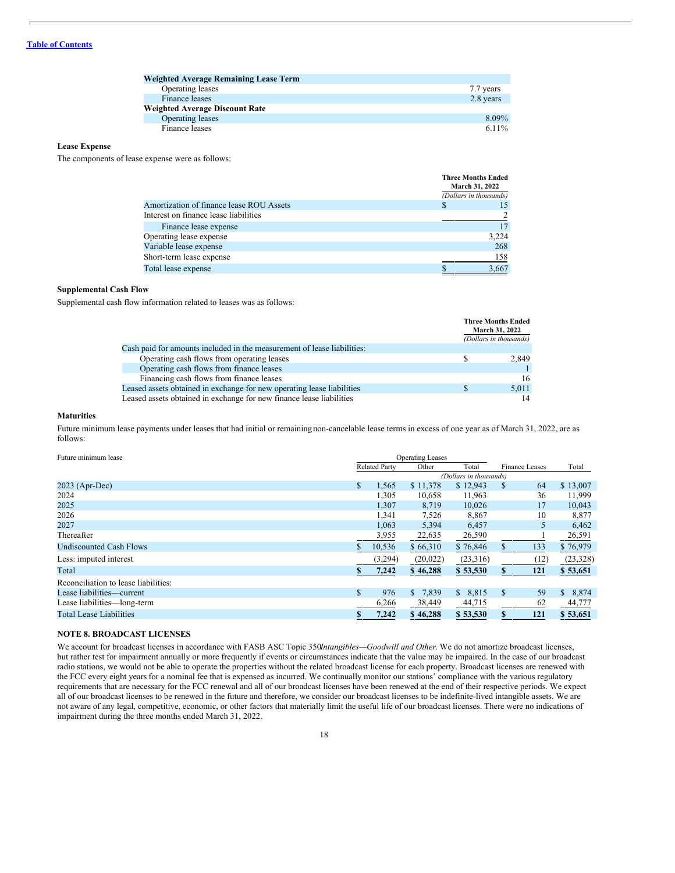| Weighted Average Remaining Lease Term |           |
|---------------------------------------|-----------|
| Operating leases                      | 7.7 years |
| Finance leases                        | 2.8 years |
| Weighted Average Discount Rate        |           |
| Operating leases                      | 8.09%     |
| Finance leases                        | $6.11\%$  |

# **Lease Expense**

The components of lease expense were as follows:

|                                          | <b>Three Months Ended</b><br>March 31, 2022 |                        |  |
|------------------------------------------|---------------------------------------------|------------------------|--|
|                                          |                                             | (Dollars in thousands) |  |
| Amortization of finance lease ROU Assets |                                             |                        |  |
| Interest on finance lease liabilities    |                                             |                        |  |
| Finance lease expense                    |                                             | 17                     |  |
| Operating lease expense                  |                                             | 3,224                  |  |
| Variable lease expense                   |                                             | 268                    |  |
| Short-term lease expense                 |                                             | 158                    |  |
| Total lease expense                      |                                             | 3,667                  |  |

# **Supplemental Cash Flow**

Supplemental cash flow information related to leases was as follows:

|                                                                         | <b>Three Months Ended</b> |       |
|-------------------------------------------------------------------------|---------------------------|-------|
|                                                                         | March 31, 2022            |       |
|                                                                         | (Dollars in thousands)    |       |
| Cash paid for amounts included in the measurement of lease liabilities: |                           |       |
| Operating cash flows from operating leases                              |                           | 2.849 |
| Operating cash flows from finance leases                                |                           |       |
| Financing cash flows from finance leases                                |                           | 16    |
| Leased assets obtained in exchange for new operating lease liabilities  | S                         | 5,011 |
| Leased assets obtained in exchange for new finance lease liabilities    |                           | 14    |

# **Maturities**

Future minimum lease payments under leases that had initial or remaining non-cancelable lease terms in excess of one year as of March 31, 2022, are as follows:

| Future minimum lease                 | <b>Operating Leases</b> |                      |           |                        |               |                       |           |
|--------------------------------------|-------------------------|----------------------|-----------|------------------------|---------------|-----------------------|-----------|
|                                      |                         | <b>Related Party</b> | Other     | Total                  |               | <b>Finance Leases</b> | Total     |
|                                      |                         |                      |           | (Dollars in thousands) |               |                       |           |
| 2023 (Apr-Dec)                       | S                       | 1,565                | \$11,378  | \$12,943               | \$            | 64                    | \$13,007  |
| 2024                                 |                         | 1,305                | 10,658    | 11,963                 |               | 36                    | 11,999    |
| 2025                                 |                         | 1,307                | 8,719     | 10,026                 |               | 17                    | 10,043    |
| 2026                                 |                         | 1,341                | 7,526     | 8,867                  |               | 10                    | 8,877     |
| 2027                                 |                         | 1.063                | 5,394     | 6,457                  |               | 5                     | 6,462     |
| Thereafter                           |                         | 3,955                | 22,635    | 26,590                 |               |                       | 26,591    |
| <b>Undiscounted Cash Flows</b>       |                         | 10,536               | \$66,310  | \$76,846               | \$            | 133                   | \$76,979  |
| Less: imputed interest               |                         | (3,294)              | (20, 022) | (23,316)               |               | (12)                  | (23, 328) |
| Total                                |                         | 7,242                | \$46,288  | \$53,530               | \$            | 121                   | \$53,651  |
| Reconciliation to lease liabilities: |                         |                      |           |                        |               |                       |           |
| Lease liabilities—current            | $\mathbb{S}$            | 976                  | \$7,839   | \$8,815                | <sup>\$</sup> | 59                    | \$8,874   |
| Lease liabilities—long-term          |                         | 6,266                | 38,449    | 44,715                 |               | 62                    | 44,777    |
| <b>Total Lease Liabilities</b>       |                         | 7,242                | \$46,288  | \$53,530               | \$            | 121                   | \$53,651  |

## **NOTE 8. BROADCAST LICENSES**

We account for broadcast licenses in accordance with FASB ASC Topic 350*Intangibles—Goodwill and Other*. We do not amortize broadcast licenses, but rather test for impairment annually or more frequently if events or circumstances indicate that the value may be impaired. In the case of our broadcast radio stations, we would not be able to operate the properties without the related broadcast license for each property. Broadcast licenses are renewed with the FCC every eight years for a nominal fee that is expensed as incurred. We continually monitor our stations' compliance with the various regulatory requirements that are necessary for the FCC renewal and all of our broadcast licenses have been renewed at the end of their respective periods. We expect all of our broadcast licenses to be renewed in the future and therefore, we consider our broadcast licenses to be indefinite-lived intangible assets. We are not aware of any legal, competitive, economic, or other factors that materially limit the useful life of our broadcast licenses. There were no indications of impairment during the three months ended March 31, 2022.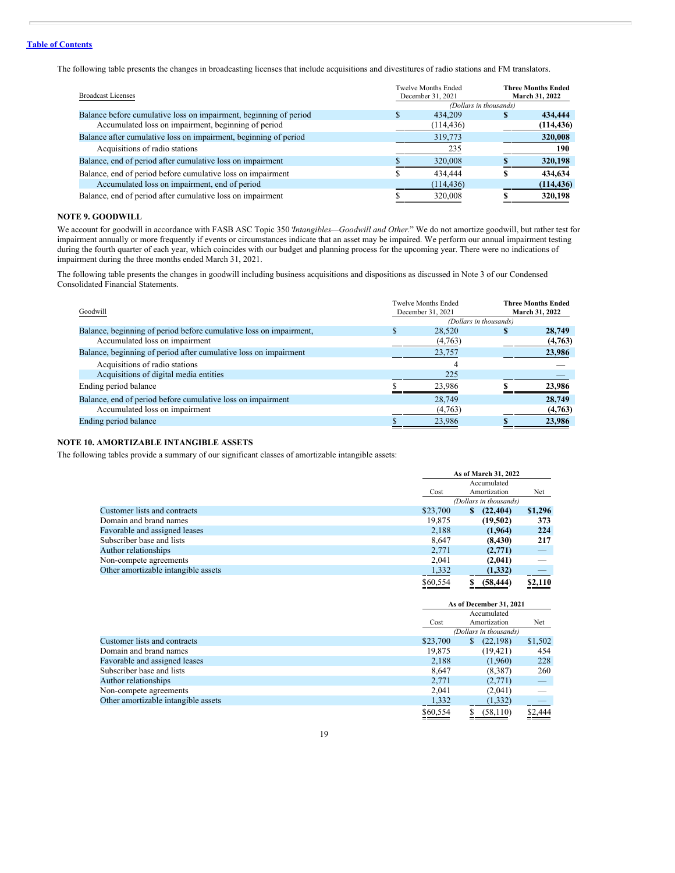The following table presents the changes in broadcasting licenses that include acquisitions and divestitures of radio stations and FM translators.

| <b>Broadcast Licenses</b>                                         |   | Twelve Months Ended<br>December 31, 2021 | <b>Three Months Ended</b><br>March 31, 2022 |            |  |
|-------------------------------------------------------------------|---|------------------------------------------|---------------------------------------------|------------|--|
|                                                                   |   | (Dollars in thousands)                   |                                             |            |  |
| Balance before cumulative loss on impairment, beginning of period | S | 434,209                                  |                                             | 434,444    |  |
| Accumulated loss on impairment, beginning of period               |   | (114, 436)                               |                                             | (114, 436) |  |
| Balance after cumulative loss on impairment, beginning of period  |   | 319,773                                  |                                             | 320,008    |  |
| Acquisitions of radio stations                                    |   | 235                                      |                                             | 190        |  |
| Balance, end of period after cumulative loss on impairment        |   | 320,008                                  |                                             | 320,198    |  |
| Balance, end of period before cumulative loss on impairment       |   | 434,444                                  |                                             | 434,634    |  |
| Accumulated loss on impairment, end of period                     |   | (114, 436)                               |                                             | (114, 436) |  |
| Balance, end of period after cumulative loss on impairment        |   | 320,008                                  |                                             | 320,198    |  |

# **NOTE 9. GOODWILL**

We account for goodwill in accordance with FASB ASC Topic 350 "*Intangibles—Goodwill and Other*." We do not amortize goodwill, but rather test for impairment annually or more frequently if events or circumstances indicate that an asset may be impaired. We perform our annual impairment testing during the fourth quarter of each year, which coincides with our budget and planning process for the upcoming year. There were no indications of impairment during the three months ended March 31, 2021.

The following table presents the changes in goodwill including business acquisitions and dispositions as discussed in Note 3 of our Condensed Consolidated Financial Statements.

| Goodwill                                                           | Twelve Months Ended<br>December 31, 2021 |                        | <b>Three Months Ended</b><br>March 31, 2022 |         |
|--------------------------------------------------------------------|------------------------------------------|------------------------|---------------------------------------------|---------|
|                                                                    |                                          | (Dollars in thousands) |                                             |         |
| Balance, beginning of period before cumulative loss on impairment, |                                          | 28,520                 |                                             | 28,749  |
| Accumulated loss on impairment                                     |                                          | (4,763)                |                                             | (4,763) |
| Balance, beginning of period after cumulative loss on impairment   |                                          | 23,757                 |                                             | 23,986  |
| Acquisitions of radio stations                                     |                                          |                        |                                             |         |
| Acquisitions of digital media entities                             |                                          | 225                    |                                             |         |
| Ending period balance                                              |                                          | 23,986                 |                                             | 23,986  |
| Balance, end of period before cumulative loss on impairment        |                                          | 28,749                 |                                             | 28,749  |
| Accumulated loss on impairment                                     |                                          | (4,763)                |                                             | (4,763) |
| Ending period balance                                              |                                          | 23,986                 |                                             | 23,986  |

# **NOTE 10. AMORTIZABLE INTANGIBLE ASSETS**

The following tables provide a summary of our significant classes of amortizable intangible assets:

|                                     |          | As of March 31, 2022   |         |  |  |  |
|-------------------------------------|----------|------------------------|---------|--|--|--|
|                                     |          | Accumulated            |         |  |  |  |
|                                     | Cost     | Amortization           | Net     |  |  |  |
|                                     |          | (Dollars in thousands) |         |  |  |  |
| Customer lists and contracts        | \$23,700 | (22, 404)<br>S         | \$1,296 |  |  |  |
| Domain and brand names              | 19.875   | (19,502)               | 373     |  |  |  |
| Favorable and assigned leases       | 2,188    | (1,964)                | 224     |  |  |  |
| Subscriber base and lists           | 8.647    | (8, 430)               | 217     |  |  |  |
| Author relationships                | 2,771    | (2,771)                |         |  |  |  |
| Non-compete agreements              | 2,041    | (2,041)                |         |  |  |  |
| Other amortizable intangible assets | 1,332    | (1, 332)               |         |  |  |  |
|                                     | \$60,554 | (58, 444)              | \$2,110 |  |  |  |

|                                     |          | As of December 31, 2021 |         |  |  |  |
|-------------------------------------|----------|-------------------------|---------|--|--|--|
|                                     |          | Accumulated             |         |  |  |  |
|                                     | Cost     | Amortization            | Net     |  |  |  |
|                                     |          | (Dollars in thousands)  |         |  |  |  |
| Customer lists and contracts        | \$23,700 | (22, 198)<br>S          | \$1,502 |  |  |  |
| Domain and brand names              | 19,875   | (19, 421)               | 454     |  |  |  |
| Favorable and assigned leases       | 2,188    | (1,960)                 | 228     |  |  |  |
| Subscriber base and lists           | 8,647    | (8,387)                 | 260     |  |  |  |
| Author relationships                | 2,771    | (2,771)                 |         |  |  |  |
| Non-compete agreements              | 2,041    | (2,041)                 |         |  |  |  |
| Other amortizable intangible assets | 1,332    | (1, 332)                |         |  |  |  |
|                                     | \$60,554 | (58, 110)<br>S          | \$2,444 |  |  |  |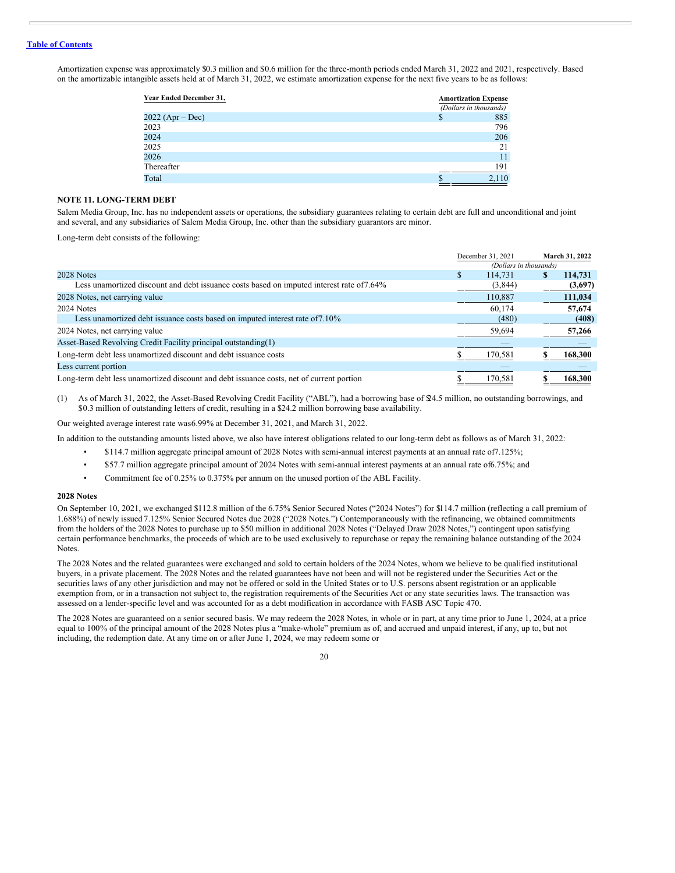Amortization expense was approximately \$0.3 million and \$0.6 million for the three-month periods ended March 31, 2022 and 2021, respectively. Based on the amortizable intangible assets held at of March 31, 2022, we estimate amortization expense for the next five years to be as follows:

| Year Ended December 31, | <b>Amortization Expense</b> |
|-------------------------|-----------------------------|
|                         | (Dollars in thousands)      |
| $2022 (Apr - Dec)$      | 885<br>\$                   |
| 2023                    | 796                         |
| 2024                    | 206                         |
| 2025                    | 21                          |
| 2026                    |                             |
| Thereafter              | 191                         |
| Total                   | 2.110                       |

# **NOTE 11. LONG-TERM DEBT**

Salem Media Group, Inc. has no independent assets or operations, the subsidiary guarantees relating to certain debt are full and unconditional and joint and several, and any subsidiaries of Salem Media Group, Inc. other than the subsidiary guarantors are minor.

Long-term debt consists of the following:

|                                                                                           |   | December 31, 2021      |   | March 31, 2022 |
|-------------------------------------------------------------------------------------------|---|------------------------|---|----------------|
|                                                                                           |   | (Dollars in thousands) |   |                |
| 2028 Notes                                                                                | S | 114,731                | S | 114,731        |
| Less unamortized discount and debt issuance costs based on imputed interest rate of 7.64% |   | (3,844)                |   | (3,697)        |
| 2028 Notes, net carrying value                                                            |   | 110,887                |   | 111,034        |
| 2024 Notes                                                                                |   | 60.174                 |   | 57,674         |
| Less unamortized debt issuance costs based on imputed interest rate of 7.10%              |   | (480)                  |   | (408)          |
| 2024 Notes, net carrying value                                                            |   | 59,694                 |   | 57,266         |
| Asset-Based Revolving Credit Facility principal outstanding (1)                           |   |                        |   |                |
| Long-term debt less unamortized discount and debt issuance costs                          |   | 170,581                |   | 168,300        |
| Less current portion                                                                      |   |                        |   |                |
| Long-term debt less unamortized discount and debt issuance costs, net of current portion  |   | 170.581                |   | 168,300        |

(1) As of March 31, 2022, the Asset-Based Revolving Credit Facility ("ABL"), had a borrowing base of \$24.5 million, no outstanding borrowings, and \$0.3 million of outstanding letters of credit, resulting in a \$24.2 million borrowing base availability.

Our weighted average interest rate was6.99% at December 31, 2021, and March 31, 2022.

In addition to the outstanding amounts listed above, we also have interest obligations related to our long-term debt as follows as of March 31, 2022:

- \$114.7 million aggregate principal amount of 2028 Notes with semi-annual interest payments at an annual rate of7.125%;
- \$57.7 million aggregate principal amount of 2024 Notes with semi-annual interest payments at an annual rate of6.75%; and
- Commitment fee of 0.25% to 0.375% per annum on the unused portion of the ABL Facility.

# **2028 Notes**

On September 10, 2021, we exchanged \$112.8 million of the 6.75% Senior Secured Notes ("2024 Notes") for \$114.7 million (reflecting a call premium of 1.688%) of newly issued 7.125% Senior Secured Notes due 2028 ("2028 Notes.") Contemporaneously with the refinancing, we obtained commitments from the holders of the 2028 Notes to purchase up to \$50 million in additional 2028 Notes ("Delayed Draw 2028 Notes,") contingent upon satisfying certain performance benchmarks, the proceeds of which are to be used exclusively to repurchase or repay the remaining balance outstanding of the 2024 Notes.

The 2028 Notes and the related guarantees were exchanged and sold to certain holders of the 2024 Notes, whom we believe to be qualified institutional buyers, in a private placement. The 2028 Notes and the related guarantees have not been and will not be registered under the Securities Act or the securities laws of any other jurisdiction and may not be offered or sold in the United States or to U.S. persons absent registration or an applicable exemption from, or in a transaction not subject to, the registration requirements of the Securities Act or any state securities laws. The transaction was assessed on a lender-specific level and was accounted for as a debt modification in accordance with FASB ASC Topic 470.

The 2028 Notes are guaranteed on a senior secured basis. We may redeem the 2028 Notes, in whole or in part, at any time prior to June 1, 2024, at a price equal to 100% of the principal amount of the 2028 Notes plus a "make-whole" premium as of, and accrued and unpaid interest, if any, up to, but not including, the redemption date. At any time on or after June 1, 2024, we may redeem some or

<sup>20</sup>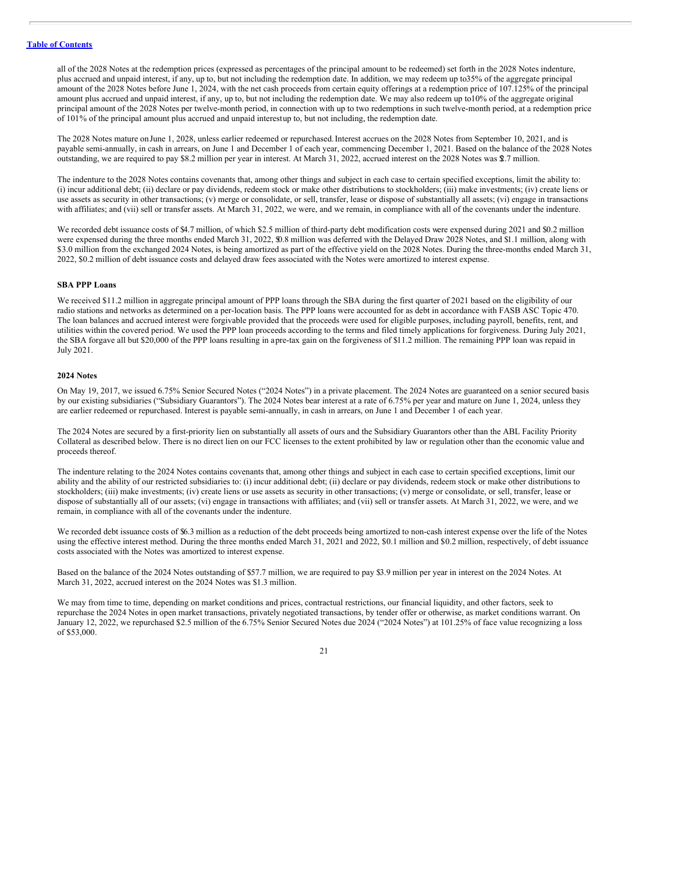all of the 2028 Notes at the redemption prices (expressed as percentages of the principal amount to be redeemed) set forth in the 2028 Notes indenture, plus accrued and unpaid interest, if any, up to, but not including the redemption date. In addition, we may redeem up to35% of the aggregate principal amount of the 2028 Notes before June 1, 2024, with the net cash proceeds from certain equity offerings at a redemption price of 107.125% of the principal amount plus accrued and unpaid interest, if any, up to, but not including the redemption date. We may also redeem up to10% of the aggregate original principal amount of the 2028 Notes per twelve-month period, in connection with up to two redemptions in such twelve-month period, at a redemption price of 101% of the principal amount plus accrued and unpaid interestup to, but not including, the redemption date.

The 2028 Notes mature onJune 1, 2028, unless earlier redeemed or repurchased.Interest accrues on the 2028 Notes from September 10, 2021, and is payable semi-annually, in cash in arrears, on June 1 and December 1 of each year, commencing December 1, 2021. Based on the balance of the 2028 Notes outstanding, we are required to pay \$8.2 million per year in interest. At March 31, 2022, accrued interest on the 2028 Notes was \$2.7 million.

The indenture to the 2028 Notes contains covenants that, among other things and subject in each case to certain specified exceptions, limit the ability to: (i) incur additional debt; (ii) declare or pay dividends, redeem stock or make other distributions to stockholders; (iii) make investments; (iv) create liens or use assets as security in other transactions; (v) merge or consolidate, or sell, transfer, lease or dispose of substantially all assets; (vi) engage in transactions with affiliates; and (vii) sell or transfer assets. At March 31, 2022, we were, and we remain, in compliance with all of the covenants under the indenture.

We recorded debt issuance costs of \$4.7 million, of which \$2.5 million of third-party debt modification costs were expensed during 2021 and \$0.2 million were expensed during the three months ended March 31, 2022, \$0.8 million was deferred with the Delayed Draw 2028 Notes, and \$1.1 million, along with \$3.0 million from the exchanged 2024 Notes, is being amortized as part of the effective yield on the 2028 Notes. During the three-months ended March 31, 2022, \$0.2 million of debt issuance costs and delayed draw fees associated with the Notes were amortized to interest expense.

# **SBA PPP Loans**

We received \$11.2 million in aggregate principal amount of PPP loans through the SBA during the first quarter of 2021 based on the eligibility of our radio stations and networks as determined on a per-location basis. The PPP loans were accounted for as debt in accordance with FASB ASC Topic 470. The loan balances and accrued interest were forgivable provided that the proceeds were used for eligible purposes, including payroll, benefits, rent, and utilities within the covered period. We used the PPP loan proceeds according to the terms and filed timely applications for forgiveness. During July 2021, the SBA forgave all but \$20,000 of the PPP loans resulting in apre-tax gain on the forgiveness of \$11.2 million. The remaining PPP loan was repaid in July 2021.

# **2024 Notes**

On May 19, 2017, we issued 6.75% Senior Secured Notes ("2024 Notes") in a private placement. The 2024 Notes are guaranteed on a senior secured basis by our existing subsidiaries ("Subsidiary Guarantors"). The 2024 Notes bear interest at a rate of 6.75% per year and mature on June 1, 2024, unless they are earlier redeemed or repurchased. Interest is payable semi-annually, in cash in arrears, on June 1 and December 1 of each year.

The 2024 Notes are secured by a first-priority lien on substantially all assets of ours and the Subsidiary Guarantors other than the ABL Facility Priority Collateral as described below. There is no direct lien on our FCC licenses to the extent prohibited by law or regulation other than the economic value and proceeds thereof.

The indenture relating to the 2024 Notes contains covenants that, among other things and subject in each case to certain specified exceptions, limit our ability and the ability of our restricted subsidiaries to: (i) incur additional debt; (ii) declare or pay dividends, redeem stock or make other distributions to stockholders; (iii) make investments; (iv) create liens or use assets as security in other transactions; (v) merge or consolidate, or sell, transfer, lease or dispose of substantially all of our assets; (vi) engage in transactions with affiliates; and (vii) sell or transfer assets. At March 31, 2022, we were, and we remain, in compliance with all of the covenants under the indenture.

We recorded debt issuance costs of \$6.3 million as a reduction of the debt proceeds being amortized to non-cash interest expense over the life of the Notes using the effective interest method. During the three months ended March 31, 2021 and 2022, \$0.1 million and \$0.2 million, respectively, of debt issuance costs associated with the Notes was amortized to interest expense.

Based on the balance of the 2024 Notes outstanding of \$57.7 million, we are required to pay \$3.9 million per year in interest on the 2024 Notes. At March 31, 2022, accrued interest on the 2024 Notes was \$1.3 million.

We may from time to time, depending on market conditions and prices, contractual restrictions, our financial liquidity, and other factors, seek to repurchase the 2024 Notes in open market transactions, privately negotiated transactions, by tender offer or otherwise, as market conditions warrant. On January 12, 2022, we repurchased \$2.5 million of the 6.75% Senior Secured Notes due 2024 ("2024 Notes") at 101.25% of face value recognizing a loss of \$53,000.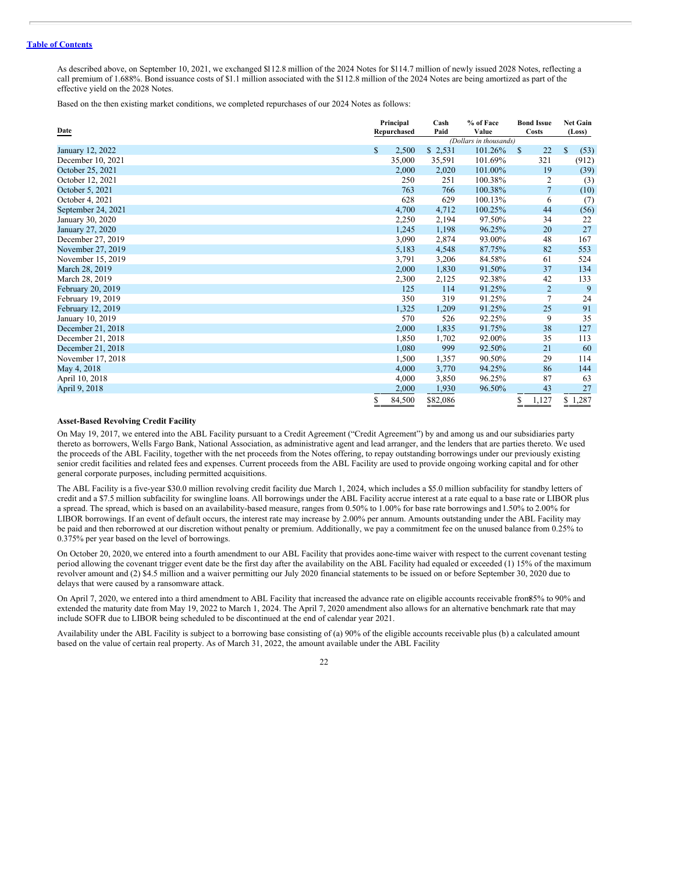As described above, on September 10, 2021, we exchanged \$112.8 million of the 2024 Notes for \$114.7 million of newly issued 2028 Notes, reflecting a call premium of 1.688%. Bond issuance costs of \$1.1 million associated with the \$112.8 million of the 2024 Notes are being amortized as part of the effective yield on the 2028 Notes.

Based on the then existing market conditions, we completed repurchases of our 2024 Notes as follows:

|                    | Principal    | Cash     | % of Face              |    | <b>Bond Issue</b> | <b>Net Gain</b>     |
|--------------------|--------------|----------|------------------------|----|-------------------|---------------------|
| Date               | Repurchased  | Paid     | Value                  |    | Costs             | (Loss)              |
|                    |              |          | (Dollars in thousands) |    |                   |                     |
| January 12, 2022   | \$<br>2,500  | \$2,531  | 101.26%                | S  | 22                | $\mathbf S$<br>(53) |
| December 10, 2021  | 35,000       | 35,591   | 101.69%                |    | 321               | (912)               |
| October 25, 2021   | 2,000        | 2,020    | 101.00%                |    | 19                | (39)                |
| October 12, 2021   | 250          | 251      | 100.38%                |    | $\overline{c}$    | (3)                 |
| October 5, 2021    | 763          | 766      | 100.38%                |    | $\overline{7}$    | (10)                |
| October 4, 2021    | 628          | 629      | 100.13%                |    | 6                 | (7)                 |
| September 24, 2021 | 4,700        | 4,712    | 100.25%                |    | 44                | (56)                |
| January 30, 2020   | 2,250        | 2,194    | 97.50%                 |    | 34                | 22                  |
| January 27, 2020   | 1,245        | 1,198    | 96.25%                 |    | 20                | 27                  |
| December 27, 2019  | 3,090        | 2,874    | 93.00%                 |    | 48                | 167                 |
| November 27, 2019  | 5,183        | 4,548    | 87.75%                 |    | 82                | 553                 |
| November 15, 2019  | 3,791        | 3,206    | 84.58%                 |    | 61                | 524                 |
| March 28, 2019     | 2,000        | 1,830    | 91.50%                 |    | 37                | 134                 |
| March 28, 2019     | 2,300        | 2,125    | 92.38%                 |    | 42                | 133                 |
| February 20, 2019  | 125          | 114      | 91.25%                 |    | 2                 | 9                   |
| February 19, 2019  | 350          | 319      | 91.25%                 |    | 7                 | 24                  |
| February 12, 2019  | 1,325        | 1,209    | 91.25%                 |    | 25                | 91                  |
| January 10, 2019   | 570          | 526      | 92.25%                 |    | 9                 | 35                  |
| December 21, 2018  | 2,000        | 1,835    | 91.75%                 |    | 38                | 127                 |
| December 21, 2018  | 1,850        | 1,702    | 92.00%                 |    | 35                | 113                 |
| December 21, 2018  | 1,080        | 999      | 92.50%                 |    | 21                | 60                  |
| November 17, 2018  | 1,500        | 1,357    | 90.50%                 |    | 29                | 114                 |
| May 4, 2018        | 4,000        | 3,770    | 94.25%                 |    | 86                | 144                 |
| April 10, 2018     | 4,000        | 3,850    | 96.25%                 |    | 87                | 63                  |
| April 9, 2018      | 2,000        | 1,930    | 96.50%                 |    | 43                | 27                  |
|                    | \$<br>84,500 | \$82,086 |                        | \$ | 1,127             | \$1,287             |

#### **Asset-Based Revolving Credit Facility**

On May 19, 2017, we entered into the ABL Facility pursuant to a Credit Agreement ("Credit Agreement") by and among us and our subsidiaries party thereto as borrowers, Wells Fargo Bank, National Association, as administrative agent and lead arranger, and the lenders that are parties thereto. We used the proceeds of the ABL Facility, together with the net proceeds from the Notes offering, to repay outstanding borrowings under our previously existing senior credit facilities and related fees and expenses. Current proceeds from the ABL Facility are used to provide ongoing working capital and for other general corporate purposes, including permitted acquisitions.

The ABL Facility is a five-year \$30.0 million revolving credit facility due March 1, 2024, which includes a \$5.0 million subfacility for standby letters of credit and a \$7.5 million subfacility for swingline loans. All borrowings under the ABL Facility accrue interest at a rate equal to a base rate or LIBOR plus a spread. The spread, which is based on an availability-based measure, ranges from 0.50% to 1.00% for base rate borrowings and1.50% to 2.00% for LIBOR borrowings. If an event of default occurs, the interest rate may increase by 2.00% per annum. Amounts outstanding under the ABL Facility may be paid and then reborrowed at our discretion without penalty or premium. Additionally, we pay a commitment fee on the unused balance from 0.25% to 0.375% per year based on the level of borrowings.

On October 20, 2020, we entered into a fourth amendment to our ABL Facility that provides aone-time waiver with respect to the current covenant testing period allowing the covenant trigger event date be the first day after the availability on the ABL Facility had equaled or exceeded (1) 15% of the maximum revolver amount and (2) \$4.5 million and a waiver permitting our July 2020 financial statements to be issued on or before September 30, 2020 due to delays that were caused by a ransomware attack.

On April 7, 2020, we entered into a third amendment to ABL Facility that increased the advance rate on eligible accounts receivable from85% to 90% and extended the maturity date from May 19, 2022 to March 1, 2024. The April 7, 2020 amendment also allows for an alternative benchmark rate that may include SOFR due to LIBOR being scheduled to be discontinued at the end of calendar year 2021.

Availability under the ABL Facility is subject to a borrowing base consisting of (a) 90% of the eligible accounts receivable plus (b) a calculated amount based on the value of certain real property. As of March 31, 2022, the amount available under the ABL Facility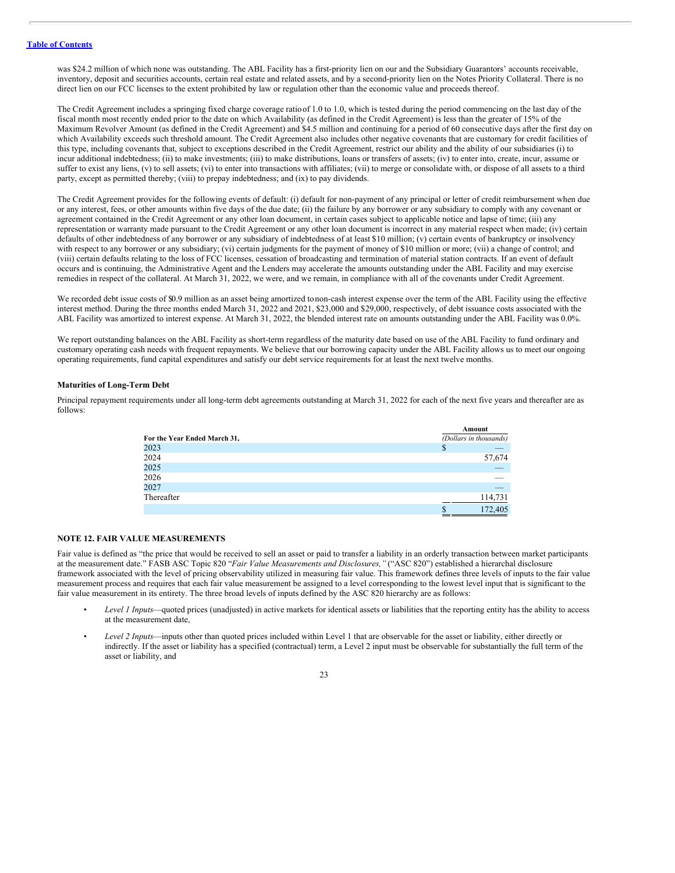was \$24.2 million of which none was outstanding. The ABL Facility has a first-priority lien on our and the Subsidiary Guarantors' accounts receivable, inventory, deposit and securities accounts, certain real estate and related assets, and by a second-priority lien on the Notes Priority Collateral. There is no direct lien on our FCC licenses to the extent prohibited by law or regulation other than the economic value and proceeds thereof.

The Credit Agreement includes a springing fixed charge coverage ratioof 1.0 to 1.0, which is tested during the period commencing on the last day of the fiscal month most recently ended prior to the date on which Availability (as defined in the Credit Agreement) is less than the greater of 15% of the Maximum Revolver Amount (as defined in the Credit Agreement) and \$4.5 million and continuing for a period of 60 consecutive days after the first day on which Availability exceeds such threshold amount. The Credit Agreement also includes other negative covenants that are customary for credit facilities of this type, including covenants that, subject to exceptions described in the Credit Agreement, restrict our ability and the ability of our subsidiaries (i) to incur additional indebtedness; (ii) to make investments; (iii) to make distributions, loans or transfers of assets; (iv) to enter into, create, incur, assume or suffer to exist any liens, (v) to sell assets; (vi) to enter into transactions with affiliates; (vii) to merge or consolidate with, or dispose of all assets to a third party, except as permitted thereby; (viii) to prepay indebtedness; and (ix) to pay dividends.

The Credit Agreement provides for the following events of default: (i) default for non-payment of any principal or letter of credit reimbursement when due or any interest, fees, or other amounts within five days of the due date; (ii) the failure by any borrower or any subsidiary to comply with any covenant or agreement contained in the Credit Agreement or any other loan document, in certain cases subject to applicable notice and lapse of time; (iii) any representation or warranty made pursuant to the Credit Agreement or any other loan document is incorrect in any material respect when made; (iv) certain defaults of other indebtedness of any borrower or any subsidiary of indebtedness of at least \$10 million; (v) certain events of bankruptcy or insolvency with respect to any borrower or any subsidiary; (vi) certain judgments for the payment of money of \$10 million or more; (vii) a change of control; and (viii) certain defaults relating to the loss of FCC licenses, cessation of broadcasting and termination of material station contracts. If an event of default occurs and is continuing, the Administrative Agent and the Lenders may accelerate the amounts outstanding under the ABL Facility and may exercise remedies in respect of the collateral. At March 31, 2022, we were, and we remain, in compliance with all of the covenants under Credit Agreement.

We recorded debt issue costs of \$0.9 million as an asset being amortized tonon-cash interest expense over the term of the ABL Facility using the effective interest method. During the three months ended March 31, 2022 and 2021, \$23,000 and \$29,000, respectively, of debt issuance costs associated with the ABL Facility was amortized to interest expense. At March 31, 2022, the blended interest rate on amounts outstanding under the ABL Facility was 0.0%.

We report outstanding balances on the ABL Facility as short-term regardless of the maturity date based on use of the ABL Facility to fund ordinary and customary operating cash needs with frequent repayments. We believe that our borrowing capacity under the ABL Facility allows us to meet our ongoing operating requirements, fund capital expenditures and satisfy our debt service requirements for at least the next twelve months.

# **Maturities of Long-Term Debt**

Principal repayment requirements under all long-term debt agreements outstanding at March 31, 2022 for each of the next five years and thereafter are as follows:

|                              | Amount                 |
|------------------------------|------------------------|
| For the Year Ended March 31, | (Dollars in thousands) |
| 2023                         | Ф                      |
| 2024                         | 57,674                 |
| 2025                         | _                      |
| 2026                         | __                     |
| 2027                         | _                      |
| Thereafter                   | 114,731                |
|                              | 172,405<br>Ф           |

## **NOTE 12. FAIR VALUE MEASUREMENTS**

Fair value is defined as "the price that would be received to sell an asset or paid to transfer a liability in an orderly transaction between market participants at the measurement date." FASB ASC Topic 820 "*Fair Value Measurements and Disclosures,"* ("ASC 820") established a hierarchal disclosure framework associated with the level of pricing observability utilized in measuring fair value. This framework defines three levels of inputs to the fair value measurement process and requires that each fair value measurement be assigned to a level corresponding to the lowest level input that is significant to the fair value measurement in its entirety. The three broad levels of inputs defined by the ASC 820 hierarchy are as follows:

- *Level 1 Inputs*—quoted prices (unadjusted) in active markets for identical assets or liabilities that the reporting entity has the ability to access at the measurement date,
- *Level 2 Inputs*—inputs other than quoted prices included within Level 1 that are observable for the asset or liability, either directly or indirectly. If the asset or liability has a specified (contractual) term, a Level 2 input must be observable for substantially the full term of the asset or liability, and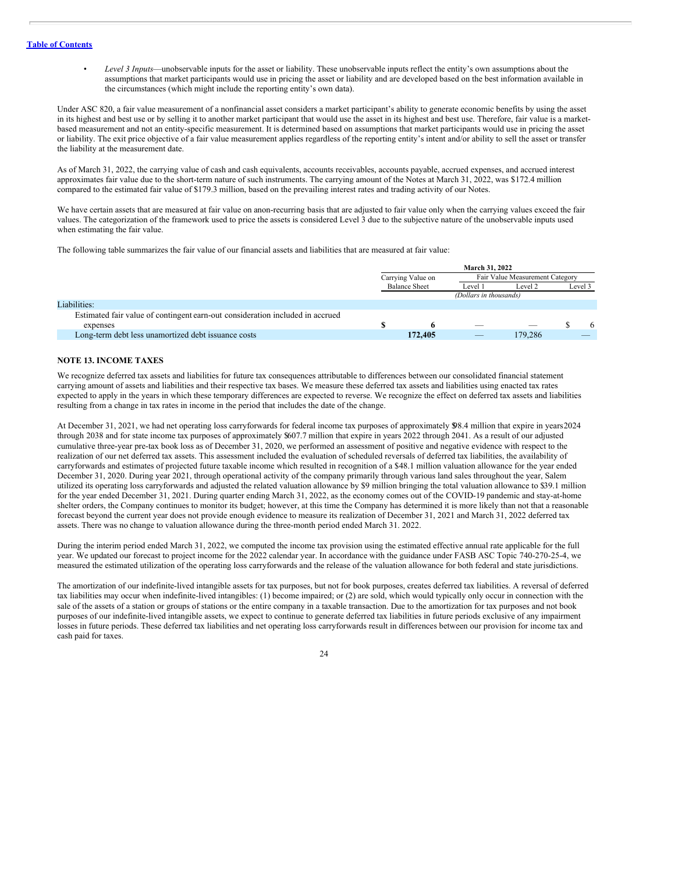• *Level 3 Inputs*—unobservable inputs for the asset or liability. These unobservable inputs reflect the entity's own assumptions about the assumptions that market participants would use in pricing the asset or liability and are developed based on the best information available in the circumstances (which might include the reporting entity's own data).

Under ASC 820, a fair value measurement of a nonfinancial asset considers a market participant's ability to generate economic benefits by using the asset in its highest and best use or by selling it to another market participant that would use the asset in its highest and best use. Therefore, fair value is a marketbased measurement and not an entity-specific measurement. It is determined based on assumptions that market participants would use in pricing the asset or liability. The exit price objective of a fair value measurement applies regardless of the reporting entity's intent and/or ability to sell the asset or transfer the liability at the measurement date.

As of March 31, 2022, the carrying value of cash and cash equivalents, accounts receivables, accounts payable, accrued expenses, and accrued interest approximates fair value due to the short-term nature of such instruments. The carrying amount of the Notes at March 31, 2022, was \$172.4 million compared to the estimated fair value of \$179.3 million, based on the prevailing interest rates and trading activity of our Notes.

We have certain assets that are measured at fair value on anon-recurring basis that are adjusted to fair value only when the carrying values exceed the fair values. The categorization of the framework used to price the assets is considered Level 3 due to the subjective nature of the unobservable inputs used when estimating the fair value.

The following table summarizes the fair value of our financial assets and liabilities that are measured at fair value:

|                                                                               | March 31, 2022                                       |                      |         |         |         |   |  |
|-------------------------------------------------------------------------------|------------------------------------------------------|----------------------|---------|---------|---------|---|--|
|                                                                               | Fair Value Measurement Category<br>Carrying Value on |                      |         |         |         |   |  |
|                                                                               |                                                      | <b>Balance Sheet</b> | Level 1 | Level 2 | Level 3 |   |  |
|                                                                               | (Dollars in thousands)                               |                      |         |         |         |   |  |
| Liabilities:                                                                  |                                                      |                      |         |         |         |   |  |
| Estimated fair value of contingent earn-out consideration included in accrued |                                                      |                      |         |         |         |   |  |
| expenses                                                                      |                                                      |                      | -       |         |         | 6 |  |
| Long-term debt less unamortized debt issuance costs                           |                                                      | 172,405              |         | 179.286 |         |   |  |

# **NOTE 13. INCOME TAXES**

We recognize deferred tax assets and liabilities for future tax consequences attributable to differences between our consolidated financial statement carrying amount of assets and liabilities and their respective tax bases. We measure these deferred tax assets and liabilities using enacted tax rates expected to apply in the years in which these temporary differences are expected to reverse. We recognize the effect on deferred tax assets and liabilities resulting from a change in tax rates in income in the period that includes the date of the change.

At December 31, 2021, we had net operating loss carryforwards for federal income tax purposes of approximately \$98.4 million that expire in years2024 through 2038 and for state income tax purposes of approximately \$607.7 million that expire in years 2022 through 2041. As a result of our adjusted cumulative three-year pre-tax book loss as of December 31, 2020, we performed an assessment of positive and negative evidence with respect to the realization of our net deferred tax assets. This assessment included the evaluation of scheduled reversals of deferred tax liabilities, the availability of carryforwards and estimates of projected future taxable income which resulted in recognition of a \$48.1 million valuation allowance for the year ended December 31, 2020. During year 2021, through operational activity of the company primarily through various land sales throughout the year, Salem utilized its operating loss carryforwards and adjusted the related valuation allowance by \$9 million bringing the total valuation allowance to \$39.1 million for the year ended December 31, 2021. During quarter ending March 31, 2022, as the economy comes out of the COVID-19 pandemic and stay-at-home shelter orders, the Company continues to monitor its budget; however, at this time the Company has determined it is more likely than not that a reasonable forecast beyond the current year does not provide enough evidence to measure its realization of December 31, 2021 and March 31, 2022 deferred tax assets. There was no change to valuation allowance during the three-month period ended March 31. 2022.

During the interim period ended March 31, 2022, we computed the income tax provision using the estimated effective annual rate applicable for the full year. We updated our forecast to project income for the 2022 calendar year. In accordance with the guidance under FASB ASC Topic 740-270-25-4, we measured the estimated utilization of the operating loss carryforwards and the release of the valuation allowance for both federal and state jurisdictions.

The amortization of our indefinite-lived intangible assets for tax purposes, but not for book purposes, creates deferred tax liabilities. A reversal of deferred tax liabilities may occur when indefinite-lived intangibles: (1) become impaired; or (2) are sold, which would typically only occur in connection with the sale of the assets of a station or groups of stations or the entire company in a taxable transaction. Due to the amortization for tax purposes and not book purposes of our indefinite-lived intangible assets, we expect to continue to generate deferred tax liabilities in future periods exclusive of any impairment losses in future periods. These deferred tax liabilities and net operating loss carryforwards result in differences between our provision for income tax and cash paid for taxes.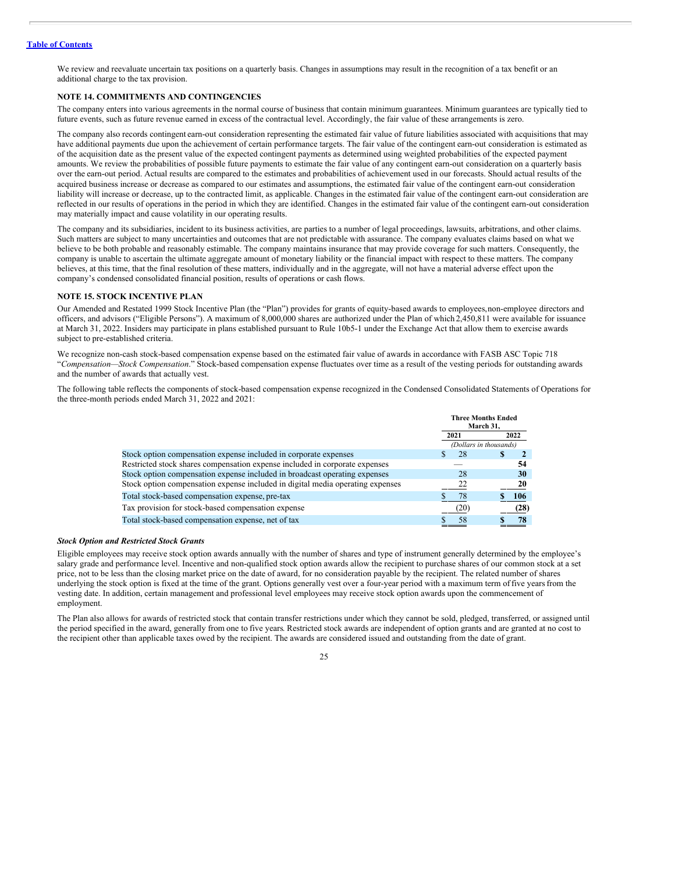We review and reevaluate uncertain tax positions on a quarterly basis. Changes in assumptions may result in the recognition of a tax benefit or an additional charge to the tax provision.

# **NOTE 14. COMMITMENTS AND CONTINGENCIES**

The company enters into various agreements in the normal course of business that contain minimum guarantees. Minimum guarantees are typically tied to future events, such as future revenue earned in excess of the contractual level. Accordingly, the fair value of these arrangements is zero.

The company also records contingent earn-out consideration representing the estimated fair value of future liabilities associated with acquisitions that may have additional payments due upon the achievement of certain performance targets. The fair value of the contingent earn-out consideration is estimated as of the acquisition date as the present value of the expected contingent payments as determined using weighted probabilities of the expected payment amounts. We review the probabilities of possible future payments to estimate the fair value of any contingent earn-out consideration on a quarterly basis over the earn-out period. Actual results are compared to the estimates and probabilities of achievement used in our forecasts. Should actual results of the acquired business increase or decrease as compared to our estimates and assumptions, the estimated fair value of the contingent earn-out consideration liability will increase or decrease, up to the contracted limit, as applicable. Changes in the estimated fair value of the contingent earn-out consideration are reflected in our results of operations in the period in which they are identified. Changes in the estimated fair value of the contingent earn-out consideration may materially impact and cause volatility in our operating results.

The company and its subsidiaries, incident to its business activities, are parties to a number of legal proceedings, lawsuits, arbitrations, and other claims. Such matters are subject to many uncertainties and outcomes that are not predictable with assurance. The company evaluates claims based on what we believe to be both probable and reasonably estimable. The company maintains insurance that may provide coverage for such matters. Consequently, the company is unable to ascertain the ultimate aggregate amount of monetary liability or the financial impact with respect to these matters. The company believes, at this time, that the final resolution of these matters, individually and in the aggregate, will not have a material adverse effect upon the company's condensed consolidated financial position, results of operations or cash flows.

# **NOTE 15. STOCK INCENTIVE PLAN**

Our Amended and Restated 1999 Stock Incentive Plan (the "Plan") provides for grants of equity-based awards to employees,non-employee directors and officers, and advisors ("Eligible Persons"). A maximum of 8,000,000 shares are authorized under the Plan of which 2,450,811 were available for issuance at March 31, 2022. Insiders may participate in plans established pursuant to Rule 10b5-1 under the Exchange Act that allow them to exercise awards subject to pre-established criteria.

We recognize non-cash stock-based compensation expense based on the estimated fair value of awards in accordance with FASB ASC Topic 718 "*Compensation—Stock Compensation*." Stock-based compensation expense fluctuates over time as a result of the vesting periods for outstanding awards and the number of awards that actually vest.

The following table reflects the components of stock-based compensation expense recognized in the Condensed Consolidated Statements of Operations for the three-month periods ended March 31, 2022 and 2021:

|                                                                                | <b>Three Months Ended</b><br>March 31, |      |
|--------------------------------------------------------------------------------|----------------------------------------|------|
|                                                                                | 2021<br>(Dollars in thousands)         | 2022 |
| Stock option compensation expense included in corporate expenses               | 28                                     |      |
| Restricted stock shares compensation expense included in corporate expenses    |                                        | 54   |
| Stock option compensation expense included in broadcast operating expenses     | 28                                     | 30   |
| Stock option compensation expense included in digital media operating expenses | 22                                     | 20   |
| Total stock-based compensation expense, pre-tax                                | 78                                     | 106  |
| Tax provision for stock-based compensation expense                             | (20)                                   | (28) |
| Total stock-based compensation expense, net of tax                             | 58                                     |      |

#### *Stock Option and Restricted Stock Grants*

Eligible employees may receive stock option awards annually with the number of shares and type of instrument generally determined by the employee's salary grade and performance level. Incentive and non-qualified stock option awards allow the recipient to purchase shares of our common stock at a set price, not to be less than the closing market price on the date of award, for no consideration payable by the recipient. The related number of shares underlying the stock option is fixed at the time of the grant. Options generally vest over a four-year period with a maximum term offive yearsfrom the vesting date. In addition, certain management and professional level employees may receive stock option awards upon the commencement of employment.

The Plan also allows for awards of restricted stock that contain transfer restrictions under which they cannot be sold, pledged, transferred, or assigned until the period specified in the award, generally from one to five years. Restricted stock awards are independent of option grants and are granted at no cost to the recipient other than applicable taxes owed by the recipient. The awards are considered issued and outstanding from the date of grant.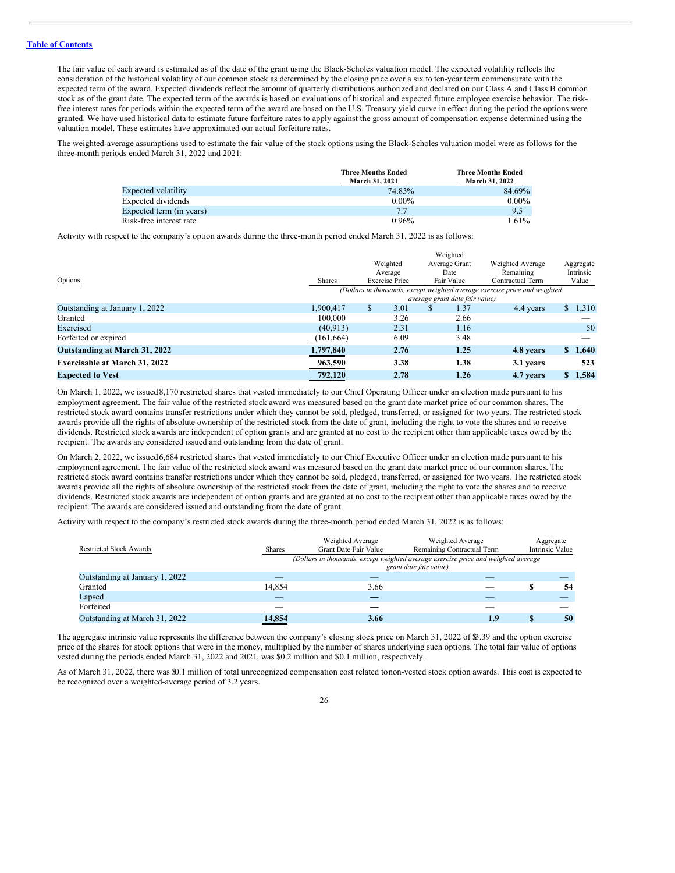The fair value of each award is estimated as of the date of the grant using the Black-Scholes valuation model. The expected volatility reflects the consideration of the historical volatility of our common stock as determined by the closing price over a six to ten-year term commensurate with the expected term of the award. Expected dividends reflect the amount of quarterly distributions authorized and declared on our Class A and Class B common stock as of the grant date. The expected term of the awards is based on evaluations of historical and expected future employee exercise behavior. The riskfree interest rates for periods within the expected term of the award are based on the U.S. Treasury yield curve in effect during the period the options were granted. We have used historical data to estimate future forfeiture rates to apply against the gross amount of compensation expense determined using the valuation model. These estimates have approximated our actual forfeiture rates.

The weighted-average assumptions used to estimate the fair value of the stock options using the Black-Scholes valuation model were as follows for the three-month periods ended March 31, 2022 and 2021:

|                          | <b>Three Months Ended</b> | <b>Three Months Ended</b> |
|--------------------------|---------------------------|---------------------------|
|                          | <b>March 31, 2021</b>     | <b>March 31, 2022</b>     |
| Expected volatility      | 74.83%                    | 84.69%                    |
| Expected dividends       | $0.00\%$                  | $0.00\%$                  |
| Expected term (in years) | 77                        | 9.5                       |
| Risk-free interest rate  | 0.96%                     | $1.61\%$                  |

Activity with respect to the company's option awards during the three-month period ended March 31, 2022 is as follows:

| Options                              | Shares     |                                                                                                                     | Weighted<br>Average<br><b>Exercise Price</b> | Weighted<br>Average Grant<br>Date<br>Fair Value | Weighted Average<br>Remaining<br>Contractual Term | Aggregate<br>Intrinsic<br>Value |
|--------------------------------------|------------|---------------------------------------------------------------------------------------------------------------------|----------------------------------------------|-------------------------------------------------|---------------------------------------------------|---------------------------------|
|                                      |            | (Dollars in thousands, except weighted average exercise price and weighted<br><i>average grant date fair value)</i> |                                              |                                                 |                                                   |                                 |
| Outstanding at January 1, 2022       | 1.900.417  | \$                                                                                                                  | 3.01                                         | 1.37<br>S                                       | 4.4 years                                         | \$1,310                         |
| Granted                              | 100,000    |                                                                                                                     | 3.26                                         | 2.66                                            |                                                   |                                 |
| Exercised                            | (40, 913)  |                                                                                                                     | 2.31                                         | 1.16                                            |                                                   | 50                              |
| Forfeited or expired                 | (161, 664) |                                                                                                                     | 6.09                                         | 3.48                                            |                                                   |                                 |
| Outstanding at March 31, 2022        | 1,797,840  |                                                                                                                     | 2.76                                         | 1.25                                            | 4.8 years                                         | \$1,640                         |
| <b>Exercisable at March 31, 2022</b> | 963,590    |                                                                                                                     | 3.38                                         | 1.38                                            | 3.1 years                                         | 523                             |
| <b>Expected to Vest</b>              | 792,120    |                                                                                                                     | 2.78                                         | 1.26                                            | 4.7 years                                         | \$<br>1,584                     |

On March 1, 2022, we issued8,170 restricted shares that vested immediately to our Chief Operating Officer under an election made pursuant to his employment agreement. The fair value of the restricted stock award was measured based on the grant date market price of our common shares. The restricted stock award contains transfer restrictions under which they cannot be sold, pledged, transferred, or assigned for two years. The restricted stock awards provide all the rights of absolute ownership of the restricted stock from the date of grant, including the right to vote the shares and to receive dividends. Restricted stock awards are independent of option grants and are granted at no cost to the recipient other than applicable taxes owed by the recipient. The awards are considered issued and outstanding from the date of grant.

On March 2, 2022, we issued 6,684 restricted shares that vested immediately to our Chief Executive Officer under an election made pursuant to his employment agreement. The fair value of the restricted stock award was measured based on the grant date market price of our common shares. The restricted stock award contains transfer restrictions under which they cannot be sold, pledged, transferred, or assigned for two years. The restricted stock awards provide all the rights of absolute ownership of the restricted stock from the date of grant, including the right to vote the shares and to receive dividends. Restricted stock awards are independent of option grants and are granted at no cost to the recipient other than applicable taxes owed by the recipient. The awards are considered issued and outstanding from the date of grant.

Activity with respect to the company's restricted stock awards during the three-month period ended March 31, 2022 is as follows:

| <b>Restricted Stock Awards</b> | <b>Shares</b>            | Weighted Average<br>Grant Date Fair Value                                                                    | Weighted Average<br>Remaining Contractual Term | Aggregate<br>Intrinsic Value |
|--------------------------------|--------------------------|--------------------------------------------------------------------------------------------------------------|------------------------------------------------|------------------------------|
|                                |                          | (Dollars in thousands, except weighted average exercise price and weighted average<br>grant date fair value) |                                                |                              |
| Outstanding at January 1, 2022 | _                        |                                                                                                              |                                                |                              |
| Granted                        | 14.854                   | 3.66                                                                                                         |                                                | 54                           |
| Lapsed                         | _                        |                                                                                                              |                                                |                              |
| Forfeited                      | $\overline{\phantom{a}}$ |                                                                                                              |                                                |                              |
| Outstanding at March 31, 2022  | 14.854                   | 3.66                                                                                                         | 1.9                                            | 50                           |

The aggregate intrinsic value represents the difference between the company's closing stock price on March 31, 2022 of \$3.39 and the option exercise price of the shares for stock options that were in the money, multiplied by the number of shares underlying such options. The total fair value of options vested during the periods ended March 31, 2022 and 2021, was \$0.2 million and \$0.1 million, respectively.

As of March 31, 2022, there was \$0.1 million of total unrecognized compensation cost related tonon-vested stock option awards. This cost is expected to be recognized over a weighted-average period of 3.2 years.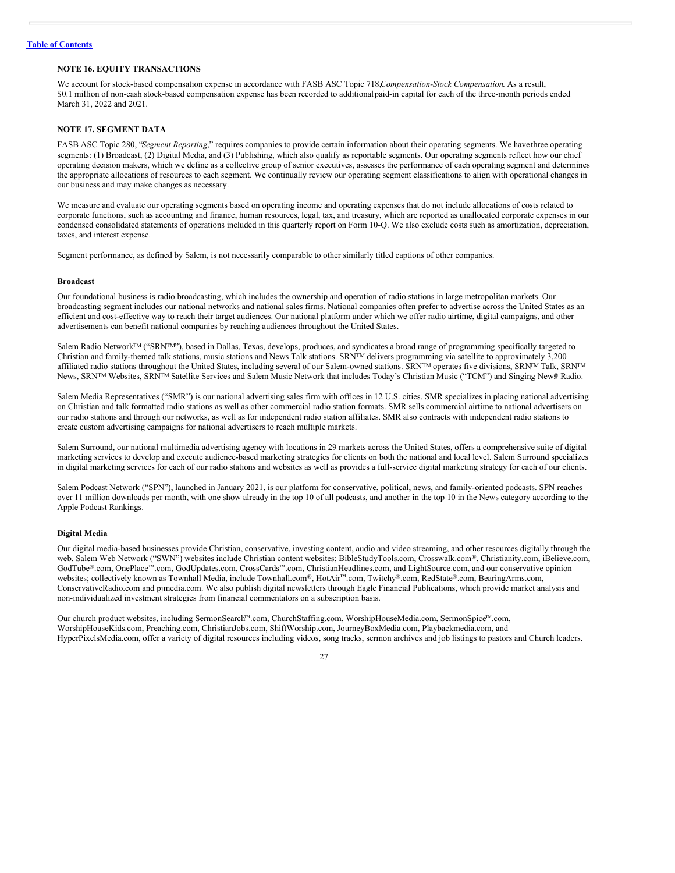# **NOTE 16. EQUITY TRANSACTIONS**

We account for stock-based compensation expense in accordance with FASB ASC Topic 718,*Compensation-Stock Compensation*. As a result, \$0.1 million of non-cash stock-based compensation expense has been recorded to additionalpaid-in capital for each of the three-month periods ended March 31, 2022 and 2021.

# **NOTE 17. SEGMENT DATA**

FASB ASC Topic 280, "*Segment Reporting*," requires companies to provide certain information about their operating segments. We have three operating segments: (1) Broadcast, (2) Digital Media, and (3) Publishing, which also qualify as reportable segments. Our operating segments reflect how our chief operating decision makers, which we define as a collective group of senior executives, assesses the performance of each operating segment and determines the appropriate allocations of resources to each segment. We continually review our operating segment classifications to align with operational changes in our business and may make changes as necessary.

We measure and evaluate our operating segments based on operating income and operating expenses that do not include allocations of costs related to corporate functions, such as accounting and finance, human resources, legal, tax, and treasury, which are reported as unallocated corporate expenses in our condensed consolidated statements of operations included in this quarterly report on Form 10-Q. We also exclude costs such as amortization, depreciation, taxes, and interest expense.

Segment performance, as defined by Salem, is not necessarily comparable to other similarly titled captions of other companies.

#### **Broadcast**

Our foundational business is radio broadcasting, which includes the ownership and operation of radio stations in large metropolitan markets. Our broadcasting segment includes our national networks and national sales firms. National companies often prefer to advertise across the United States as an efficient and cost-effective way to reach their target audiences. Our national platform under which we offer radio airtime, digital campaigns, and other advertisements can benefit national companies by reaching audiences throughout the United States.

Salem Radio Network<sup>TM</sup> ("SRN<sup>TM</sup>"), based in Dallas, Texas, develops, produces, and syndicates a broad range of programming specifically targeted to Christian and family-themed talk stations, music stations and News Talk stations. SRNTM delivers programming via satellite to approximately 3,200 affiliated radio stations throughout the United States, including several of our Salem-owned stations. SRN<sup>TM</sup> operates five divisions, SRN<sup>TM</sup> Talk, SRN<sup>TM</sup> News, SRNTM Websites, SRNTM Satellite Services and Salem Music Network that includes Today's Christian Music ("TCM") and Singing News® Radio.

Salem Media Representatives ("SMR") is our national advertising sales firm with offices in 12 U.S. cities. SMR specializes in placing national advertising on Christian and talk formatted radio stations as well as other commercial radio station formats. SMR sells commercial airtime to national advertisers on our radio stations and through our networks, as well as for independent radio station affiliates. SMR also contracts with independent radio stations to create custom advertising campaigns for national advertisers to reach multiple markets.

Salem Surround, our national multimedia advertising agency with locations in 29 markets across the United States, offers a comprehensive suite of digital marketing services to develop and execute audience-based marketing strategies for clients on both the national and local level. Salem Surround specializes in digital marketing services for each of our radio stations and websites as well as provides a full-service digital marketing strategy for each of our clients.

Salem Podcast Network ("SPN"), launched in January 2021, is our platform for conservative, political, news, and family-oriented podcasts. SPN reaches over 11 million downloads per month, with one show already in the top 10 of all podcasts, and another in the top 10 in the News category according to the Apple Podcast Rankings.

#### **Digital Media**

Our digital media-based businesses provide Christian, conservative, investing content, audio and video streaming, and other resources digitally through the web. Salem Web Network ("SWN") websites include Christian content websites; BibleStudyTools.com, Crosswalk.com®, Christianity.com, iBelieve.com, GodTube®.com, OnePlace™.com, GodUpdates.com, CrossCards™.com, ChristianHeadlines.com, and LightSource.com, and our conservative opinion websites; collectively known as Townhall Media, include Townhall.com®, HotAir™.com, Twitchy®.com, RedState®.com, BearingArms.com, ConservativeRadio.com and pjmedia.com. We also publish digital newsletters through Eagle Financial Publications, which provide market analysis and non-individualized investment strategies from financial commentators on a subscription basis.

Our church product websites, including SermonSearch™.com, ChurchStaffing.com, WorshipHouseMedia.com, SermonSpice™.com, WorshipHouseKids.com, Preaching.com, ChristianJobs.com, ShiftWorship.com, JourneyBoxMedia.com, Playbackmedia.com, and HyperPixelsMedia.com, offer a variety of digital resources including videos, song tracks, sermon archives and job listings to pastors and Church leaders.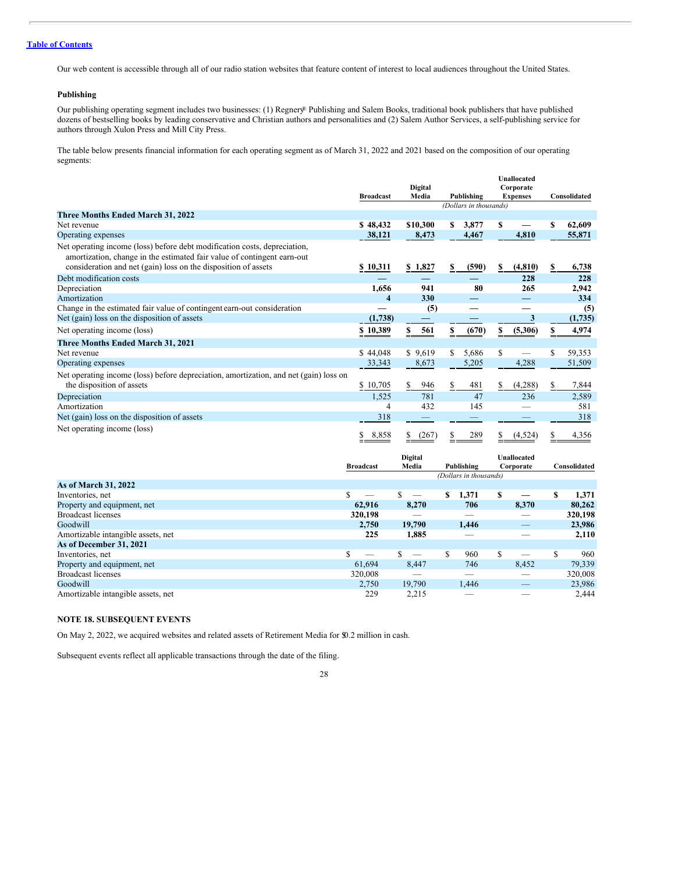Our web content is accessible through all of our radio station websites that feature content of interest to local audiences throughout the United States.

## **Publishing**

Our publishing operating segment includes two businesses: (1) Regnery® Publishing and Salem Books, traditional book publishers that have published dozens of bestselling books by leading conservative and Christian authors and personalities and (2) Salem Author Services, a self-publishing service for authors through Xulon Press and Mill City Press.

The table below presents financial information for each operating segment as of March 31, 2022 and 2021 based on the composition of our operating segments:

|                                                                                                                                                                                                                        | Unallocated         |                |                        |                 |    |              |
|------------------------------------------------------------------------------------------------------------------------------------------------------------------------------------------------------------------------|---------------------|----------------|------------------------|-----------------|----|--------------|
|                                                                                                                                                                                                                        |                     | <b>Digital</b> |                        | Corporate       |    |              |
|                                                                                                                                                                                                                        | <b>Broadcast</b>    | Media          | Publishing             | <b>Expenses</b> |    | Consolidated |
|                                                                                                                                                                                                                        |                     |                | (Dollars in thousands) |                 |    |              |
| Three Months Ended March 31, 2022                                                                                                                                                                                      |                     |                |                        |                 |    |              |
| Net revenue                                                                                                                                                                                                            | \$48,432            | \$10,300       | 3,877<br>\$            | S               | \$ | 62,609       |
| Operating expenses                                                                                                                                                                                                     | 38,121              | 8,473          | 4,467                  | 4,810           |    | 55,871       |
| Net operating income (loss) before debt modification costs, depreciation,<br>amortization, change in the estimated fair value of contingent earn-out<br>consideration and net (gain) loss on the disposition of assets | \$10,311            | \$1,827        | (590)<br>S.            | S.<br>(4, 810)  | S. | 6,738        |
| Debt modification costs                                                                                                                                                                                                |                     |                |                        | 228             |    | 228          |
| Depreciation                                                                                                                                                                                                           | 1,656               | 941            | 80                     | 265             |    | 2,942        |
| Amortization                                                                                                                                                                                                           | $\overline{\bf{4}}$ | 330            |                        |                 |    | 334          |
| Change in the estimated fair value of contingent earn-out consideration                                                                                                                                                |                     | (5)            |                        |                 |    | (5)          |
| Net (gain) loss on the disposition of assets                                                                                                                                                                           | (1,738)             |                |                        | 3               |    | (1,735)      |
| Net operating income (loss)                                                                                                                                                                                            | <u>\$10,389</u>     | 561<br>S.      | (670)<br>Ъ.            | (5,306)<br>\$_  |    | 4,974        |
| Three Months Ended March 31, 2021                                                                                                                                                                                      |                     |                |                        |                 |    |              |
| Net revenue                                                                                                                                                                                                            | \$44,048            | \$9,619        | 5,686<br>S.            | \$              | S. | 59,353       |
| Operating expenses                                                                                                                                                                                                     | 33,343              | 8,673          | 5,205                  | 4,288           |    | 51,509       |
| Net operating income (loss) before depreciation, amortization, and net (gain) loss on<br>the disposition of assets                                                                                                     | \$10,705            | \$<br>946      | 481<br>\$              | \$<br>(4,288)   | S. | 7,844        |
| Depreciation                                                                                                                                                                                                           | 1,525               | 781            | 47                     | 236             |    | 2,589        |
| Amortization                                                                                                                                                                                                           | 4                   | 432            | 145                    |                 |    | 581          |
| Net (gain) loss on the disposition of assets                                                                                                                                                                           | 318                 |                |                        |                 |    | 318          |
| Net operating income (loss)                                                                                                                                                                                            | 8,858               | (267)          | 289                    | (4, 524)        |    | 4,356        |

|                                    |                  | <b>Digital</b> |                        | Unallocated |              |
|------------------------------------|------------------|----------------|------------------------|-------------|--------------|
|                                    | <b>Broadcast</b> | Media          | Publishing             | Corporate   | Consolidated |
|                                    |                  |                | (Dollars in thousands) |             |              |
| As of March 31, 2022               |                  |                |                        |             |              |
| Inventories, net                   | \$<br>-          | S              | 1,371<br>S             | S           | 1,371        |
| Property and equipment, net        | 62.916           | 8.270          | 706                    | 8,370       | 80.262       |
| <b>Broadcast licenses</b>          | 320,198          |                |                        |             | 320,198      |
| Goodwill                           | 2,750            | 19,790         | 1,446                  | _           | 23,986       |
| Amortizable intangible assets, net | 225              | 1,885          |                        |             | 2,110        |
| As of December 31, 2021            |                  |                |                        |             |              |
| Inventories, net                   | \$               | S<br>-         | \$<br>960              | S           | 960          |
| Property and equipment, net        | 61.694           | 8,447          | 746                    | 8,452       | 79,339       |
| <b>Broadcast licenses</b>          | 320,008          | _              |                        |             | 320,008      |
| Goodwill                           | 2.750            | 19,790         | 1,446                  | _           | 23,986       |
| Amortizable intangible assets, net | 229              | 2,215          |                        |             | 2.444        |

# **NOTE 18. SUBSEQUENT EVENTS**

On May 2, 2022, we acquired websites and related assets of Retirement Media for \$0.2 million in cash.

Subsequent events reflect all applicable transactions through the date of the filing.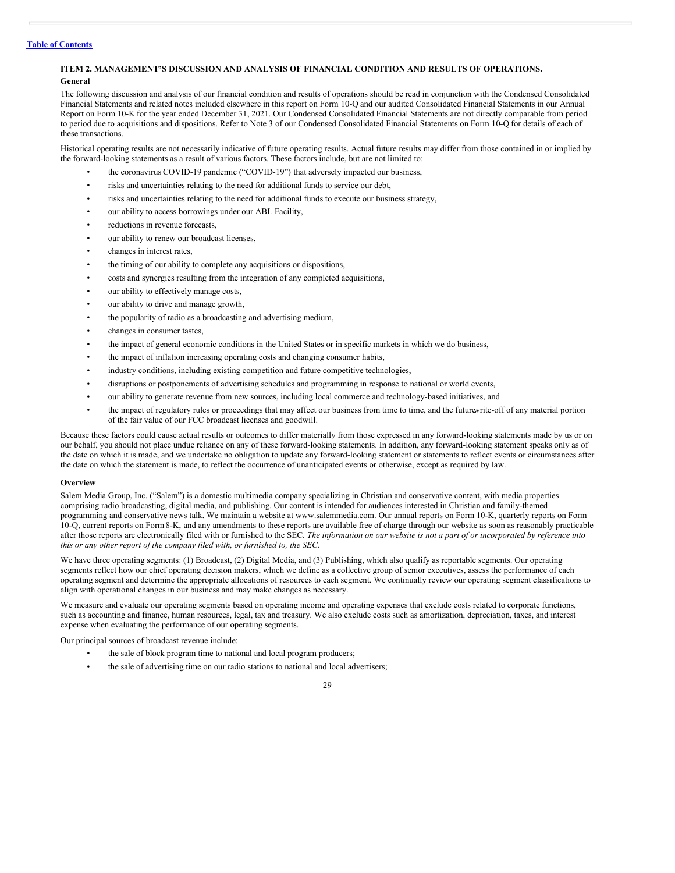# <span id="page-30-0"></span>**ITEM 2. MANAGEMENT'S DISCUSSION AND ANALYSIS OF FINANCIAL CONDITION AND RESULTS OF OPERATIONS.**

# **General**

The following discussion and analysis of our financial condition and results of operations should be read in conjunction with the Condensed Consolidated Financial Statements and related notes included elsewhere in this report on Form 10-Q and our audited Consolidated Financial Statements in our Annual Report on Form 10-K for the year ended December 31, 2021. Our Condensed Consolidated Financial Statements are not directly comparable from period to period due to acquisitions and dispositions. Refer to Note 3 of our Condensed Consolidated Financial Statements on Form 10-Q for details of each of these transactions.

Historical operating results are not necessarily indicative of future operating results. Actual future results may differ from those contained in or implied by the forward-looking statements as a result of various factors. These factors include, but are not limited to:

- the coronavirus COVID-19 pandemic ("COVID-19") that adversely impacted our business,
- risks and uncertainties relating to the need for additional funds to service our debt,
- risks and uncertainties relating to the need for additional funds to execute our business strategy,
- our ability to access borrowings under our ABL Facility,
- reductions in revenue forecasts,
- our ability to renew our broadcast licenses,
- changes in interest rates,
- the timing of our ability to complete any acquisitions or dispositions,
- costs and synergies resulting from the integration of any completed acquisitions,
- our ability to effectively manage costs,
- our ability to drive and manage growth,
- the popularity of radio as a broadcasting and advertising medium,
- changes in consumer tastes,
- the impact of general economic conditions in the United States or in specific markets in which we do business,
- the impact of inflation increasing operating costs and changing consumer habits,
- industry conditions, including existing competition and future competitive technologies,
- disruptions or postponements of advertising schedules and programming in response to national or world events,
- our ability to generate revenue from new sources, including local commerce and technology-based initiatives, and
- the impact of regulatory rules or proceedings that may affect our business from time to time, and the futurewrite-off of any material portion of the fair value of our FCC broadcast licenses and goodwill.

Because these factors could cause actual results or outcomes to differ materially from those expressed in any forward-looking statements made by us or on our behalf, you should not place undue reliance on any of these forward-looking statements. In addition, any forward-looking statement speaks only as of the date on which it is made, and we undertake no obligation to update any forward-looking statement or statements to reflect events or circumstances after the date on which the statement is made, to reflect the occurrence of unanticipated events or otherwise, except as required by law.

#### **Overview**

Salem Media Group, Inc. ("Salem") is a domestic multimedia company specializing in Christian and conservative content, with media properties comprising radio broadcasting, digital media, and publishing. Our content is intended for audiences interested in Christian and family-themed programming and conservative news talk. We maintain a website at www.salemmedia.com. Our annual reports on Form 10-K, quarterly reports on Form 10-Q, current reports on Form 8-K, and any amendments to these reports are available free of charge through our website as soon as reasonably practicable after those reports are electronically filed with or furnished to the SEC. The information on our website is not a part of or incorporated by reference into *this or any other report of the company filed with, or furnished to, the SEC.*

We have three operating segments: (1) Broadcast, (2) Digital Media, and (3) Publishing, which also qualify as reportable segments. Our operating segments reflect how our chief operating decision makers, which we define as a collective group of senior executives, assess the performance of each operating segment and determine the appropriate allocations of resources to each segment. We continually review our operating segment classifications to align with operational changes in our business and may make changes as necessary.

We measure and evaluate our operating segments based on operating income and operating expenses that exclude costs related to corporate functions, such as accounting and finance, human resources, legal, tax and treasury. We also exclude costs such as amortization, depreciation, taxes, and interest expense when evaluating the performance of our operating segments.

Our principal sources of broadcast revenue include:

- the sale of block program time to national and local program producers;
- the sale of advertising time on our radio stations to national and local advertisers;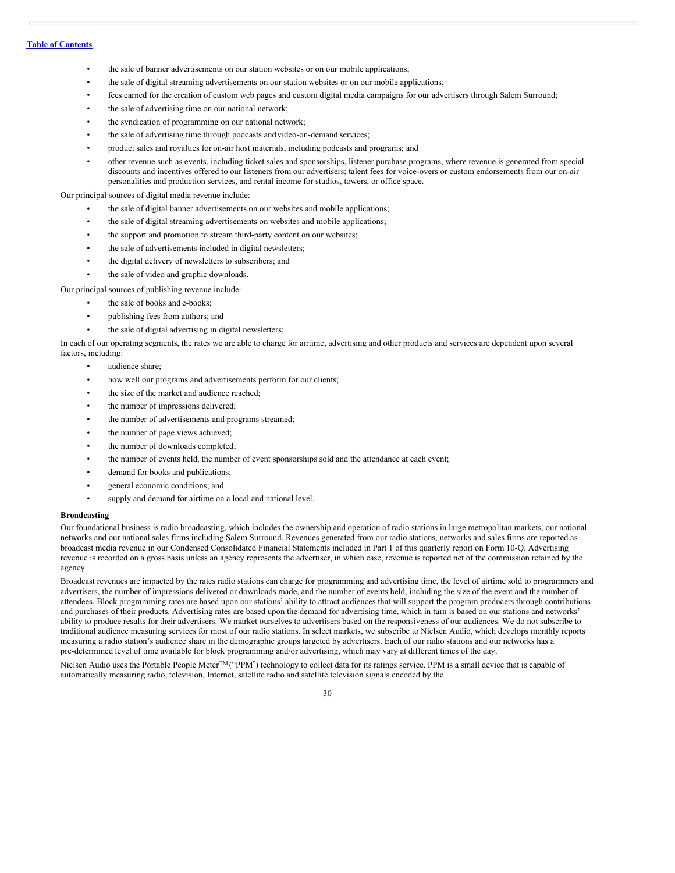- the sale of banner advertisements on our station websites or on our mobile applications;
- the sale of digital streaming advertisements on our station websites or on our mobile applications;
- fees earned for the creation of custom web pages and custom digital media campaigns for our advertisers through Salem Surround;
- the sale of advertising time on our national network;
- the syndication of programming on our national network;
- the sale of advertising time through podcasts and video-on-demand services;
- product sales and royalties for on-air host materials, including podcasts and programs; and
- other revenue such as events, including ticket sales and sponsorships, listener purchase programs, where revenue is generated from special discounts and incentives offered to our listeners from our advertisers; talent fees for voice-overs or custom endorsements from our on-air personalities and production services, and rental income for studios, towers, or office space.

Our principal sources of digital media revenue include:

- the sale of digital banner advertisements on our websites and mobile applications;
- the sale of digital streaming advertisements on websites and mobile applications;
- the support and promotion to stream third-party content on our websites;
- the sale of advertisements included in digital newsletters;
- the digital delivery of newsletters to subscribers; and
- the sale of video and graphic downloads.

Our principal sources of publishing revenue include:

- the sale of books and e-books;
- publishing fees from authors; and
- the sale of digital advertising in digital newsletters;

In each of our operating segments, the rates we are able to charge for airtime, advertising and other products and services are dependent upon several factors, including:

- audience share:
- how well our programs and advertisements perform for our clients;
- the size of the market and audience reached;
- the number of impressions delivered;
- the number of advertisements and programs streamed;
- the number of page views achieved;
- the number of downloads completed;
- the number of events held, the number of event sponsorships sold and the attendance at each event;
- demand for books and publications;
- general economic conditions; and
- supply and demand for airtime on a local and national level.

# **Broadcasting**

Our foundational business is radio broadcasting, which includes the ownership and operation of radio stations in large metropolitan markets, our national networks and our national sales firms including Salem Surround. Revenues generated from our radio stations, networks and sales firms are reported as broadcast media revenue in our Condensed Consolidated Financial Statements included in Part 1 of this quarterly report on Form 10-Q. Advertising revenue is recorded on a gross basis unless an agency represents the advertiser, in which case, revenue is reported net of the commission retained by the agency.

Broadcast revenues are impacted by the rates radio stations can charge for programming and advertising time, the level of airtime sold to programmers and advertisers, the number of impressions delivered or downloads made, and the number of events held, including the size of the event and the number of attendees. Block programming rates are based upon our stations' ability to attract audiences that will support the program producers through contributions and purchases of their products. Advertising rates are based upon the demand for advertising time, which in turn is based on our stations and networks' ability to produce results for their advertisers. We market ourselves to advertisers based on the responsiveness of our audiences. We do not subscribe to traditional audience measuring services for most of our radio stations. In select markets, we subscribe to Nielsen Audio, which develops monthly reports measuring a radio station's audience share in the demographic groups targeted by advertisers. Each of our radio stations and our networks has a pre-determined level of time available for block programming and/or advertising, which may vary at different times of the day.

Nielsen Audio uses the Portable People Meter<sup>TM</sup> ("PPM") technology to collect data for its ratings service. PPM is a small device that is capable of automatically measuring radio, television, Internet, satellite radio and satellite television signals encoded by the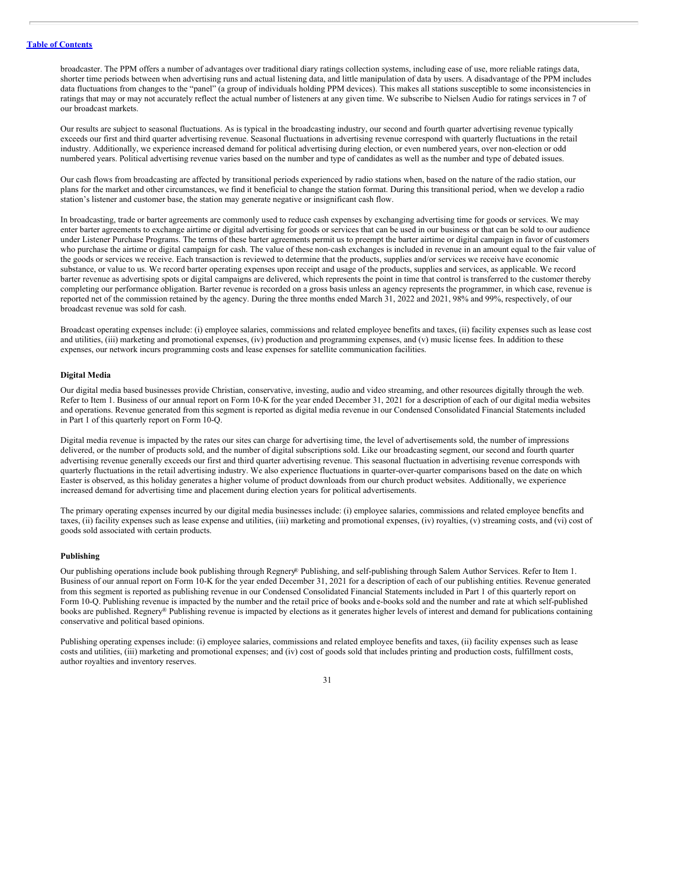broadcaster. The PPM offers a number of advantages over traditional diary ratings collection systems, including ease of use, more reliable ratings data, shorter time periods between when advertising runs and actual listening data, and little manipulation of data by users. A disadvantage of the PPM includes data fluctuations from changes to the "panel" (a group of individuals holding PPM devices). This makes all stations susceptible to some inconsistencies in ratings that may or may not accurately reflect the actual number of listeners at any given time. We subscribe to Nielsen Audio for ratings services in 7 of our broadcast markets.

Our results are subject to seasonal fluctuations. As is typical in the broadcasting industry, our second and fourth quarter advertising revenue typically exceeds our first and third quarter advertising revenue. Seasonal fluctuations in advertising revenue correspond with quarterly fluctuations in the retail industry. Additionally, we experience increased demand for political advertising during election, or even numbered years, over non-election or odd numbered years. Political advertising revenue varies based on the number and type of candidates as well as the number and type of debated issues.

Our cash flows from broadcasting are affected by transitional periods experienced by radio stations when, based on the nature of the radio station, our plans for the market and other circumstances, we find it beneficial to change the station format. During this transitional period, when we develop a radio station's listener and customer base, the station may generate negative or insignificant cash flow.

In broadcasting, trade or barter agreements are commonly used to reduce cash expenses by exchanging advertising time for goods or services. We may enter barter agreements to exchange airtime or digital advertising for goods or services that can be used in our business or that can be sold to our audience under Listener Purchase Programs. The terms of these barter agreements permit us to preempt the barter airtime or digital campaign in favor of customers who purchase the airtime or digital campaign for cash. The value of these non-cash exchanges is included in revenue in an amount equal to the fair value of the goods or services we receive. Each transaction is reviewed to determine that the products, supplies and/or services we receive have economic substance, or value to us. We record barter operating expenses upon receipt and usage of the products, supplies and services, as applicable. We record barter revenue as advertising spots or digital campaigns are delivered, which represents the point in time that control is transferred to the customer thereby completing our performance obligation. Barter revenue is recorded on a gross basis unless an agency represents the programmer, in which case, revenue is reported net of the commission retained by the agency. During the three months ended March 31, 2022 and 2021, 98% and 99%, respectively, of our broadcast revenue was sold for cash.

Broadcast operating expenses include: (i) employee salaries, commissions and related employee benefits and taxes, (ii) facility expenses such as lease cost and utilities, (iii) marketing and promotional expenses, (iv) production and programming expenses, and (v) music license fees. In addition to these expenses, our network incurs programming costs and lease expenses for satellite communication facilities.

## **Digital Media**

Our digital media based businesses provide Christian, conservative, investing, audio and video streaming, and other resources digitally through the web. Refer to Item 1. Business of our annual report on Form 10-K for the year ended December 31, 2021 for a description of each of our digital media websites and operations. Revenue generated from this segment is reported as digital media revenue in our Condensed Consolidated Financial Statements included in Part 1 of this quarterly report on Form 10-Q.

Digital media revenue is impacted by the rates our sites can charge for advertising time, the level of advertisements sold, the number of impressions delivered, or the number of products sold, and the number of digital subscriptions sold. Like our broadcasting segment, our second and fourth quarter advertising revenue generally exceeds our first and third quarter advertising revenue. This seasonal fluctuation in advertising revenue corresponds with quarterly fluctuations in the retail advertising industry. We also experience fluctuations in quarter-over-quarter comparisons based on the date on which Easter is observed, as this holiday generates a higher volume of product downloads from our church product websites. Additionally, we experience increased demand for advertising time and placement during election years for political advertisements.

The primary operating expenses incurred by our digital media businesses include: (i) employee salaries, commissions and related employee benefits and taxes, (ii) facility expenses such as lease expense and utilities, (iii) marketing and promotional expenses, (iv) royalties, (v) streaming costs, and (vi) cost of goods sold associated with certain products.

# **Publishing**

Our publishing operations include book publishing through Regnery® Publishing, and self-publishing through Salem Author Services. Refer to Item 1. Business of our annual report on Form 10-K for the year ended December 31, 2021 for a description of each of our publishing entities. Revenue generated from this segment is reported as publishing revenue in our Condensed Consolidated Financial Statements included in Part 1 of this quarterly report on Form 10-Q. Publishing revenue is impacted by the number and the retail price of books and e-books sold and the number and rate at which self-published books are published. Regnery® Publishing revenue is impacted by elections as it generates higher levels of interest and demand for publications containing conservative and political based opinions.

Publishing operating expenses include: (i) employee salaries, commissions and related employee benefits and taxes, (ii) facility expenses such as lease costs and utilities, (iii) marketing and promotional expenses; and (iv) cost of goods sold that includes printing and production costs, fulfillment costs, author royalties and inventory reserves.

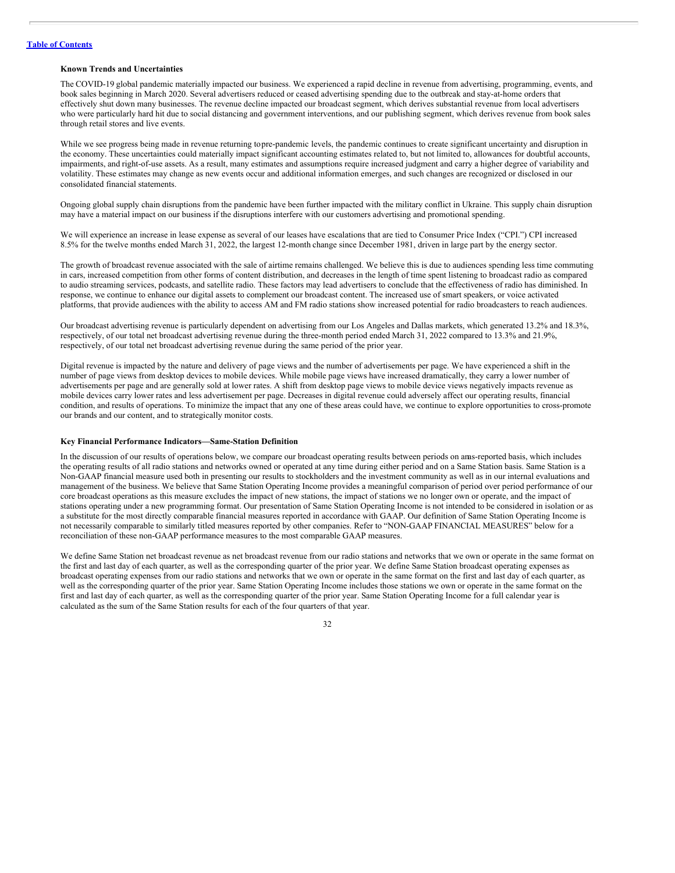#### **Known Trends and Uncertainties**

The COVID-19 global pandemic materially impacted our business. We experienced a rapid decline in revenue from advertising, programming, events, and book sales beginning in March 2020. Several advertisers reduced or ceased advertising spending due to the outbreak and stay-at-home orders that effectively shut down many businesses. The revenue decline impacted our broadcast segment, which derives substantial revenue from local advertisers who were particularly hard hit due to social distancing and government interventions, and our publishing segment, which derives revenue from book sales through retail stores and live events.

While we see progress being made in revenue returning topre-pandemic levels, the pandemic continues to create significant uncertainty and disruption in the economy. These uncertainties could materially impact significant accounting estimates related to, but not limited to, allowances for doubtful accounts, impairments, and right-of-use assets. As a result, many estimates and assumptions require increased judgment and carry a higher degree of variability and volatility. These estimates may change as new events occur and additional information emerges, and such changes are recognized or disclosed in our consolidated financial statements.

Ongoing global supply chain disruptions from the pandemic have been further impacted with the military conflict in Ukraine. This supply chain disruption may have a material impact on our business if the disruptions interfere with our customers advertising and promotional spending.

We will experience an increase in lease expense as several of our leases have escalations that are tied to Consumer Price Index ("CPI.") CPI increased 8.5% for the twelve months ended March 31, 2022, the largest 12-month change since December 1981, driven in large part by the energy sector.

The growth of broadcast revenue associated with the sale of airtime remains challenged. We believe this is due to audiences spending less time commuting in cars, increased competition from other forms of content distribution, and decreases in the length of time spent listening to broadcast radio as compared to audio streaming services, podcasts, and satellite radio. These factors may lead advertisers to conclude that the effectiveness of radio has diminished. In response, we continue to enhance our digital assets to complement our broadcast content. The increased use of smart speakers, or voice activated platforms, that provide audiences with the ability to access AM and FM radio stations show increased potential for radio broadcasters to reach audiences.

Our broadcast advertising revenue is particularly dependent on advertising from our Los Angeles and Dallas markets, which generated 13.2% and 18.3%, respectively, of our total net broadcast advertising revenue during the three-month period ended March 31, 2022 compared to 13.3% and 21.9%, respectively, of our total net broadcast advertising revenue during the same period of the prior year.

Digital revenue is impacted by the nature and delivery of page views and the number of advertisements per page. We have experienced a shift in the number of page views from desktop devices to mobile devices. While mobile page views have increased dramatically, they carry a lower number of advertisements per page and are generally sold at lower rates. A shift from desktop page views to mobile device views negatively impacts revenue as mobile devices carry lower rates and less advertisement per page. Decreases in digital revenue could adversely affect our operating results, financial condition, and results of operations. To minimize the impact that any one of these areas could have, we continue to explore opportunities to cross-promote our brands and our content, and to strategically monitor costs.

## **Key Financial Performance Indicators—Same-Station Definition**

In the discussion of our results of operations below, we compare our broadcast operating results between periods on anas-reported basis, which includes the operating results of all radio stations and networks owned or operated at any time during either period and on a Same Station basis. Same Station is a Non-GAAP financial measure used both in presenting our results to stockholders and the investment community as well as in our internal evaluations and management of the business. We believe that Same Station Operating Income provides a meaningful comparison of period over period performance of our core broadcast operations as this measure excludes the impact of new stations, the impact of stations we no longer own or operate, and the impact of stations operating under a new programming format. Our presentation of Same Station Operating Income is not intended to be considered in isolation or as a substitute for the most directly comparable financial measures reported in accordance with GAAP. Our definition of Same Station Operating Income is not necessarily comparable to similarly titled measures reported by other companies. Refer to "NON-GAAP FINANCIAL MEASURES" below for a reconciliation of these non-GAAP performance measures to the most comparable GAAP measures.

We define Same Station net broadcast revenue as net broadcast revenue from our radio stations and networks that we own or operate in the same format on the first and last day of each quarter, as well as the corresponding quarter of the prior year. We define Same Station broadcast operating expenses as broadcast operating expenses from our radio stations and networks that we own or operate in the same format on the first and last day of each quarter, as well as the corresponding quarter of the prior year. Same Station Operating Income includes those stations we own or operate in the same format on the first and last day of each quarter, as well as the corresponding quarter of the prior year. Same Station Operating Income for a full calendar year is calculated as the sum of the Same Station results for each of the four quarters of that year.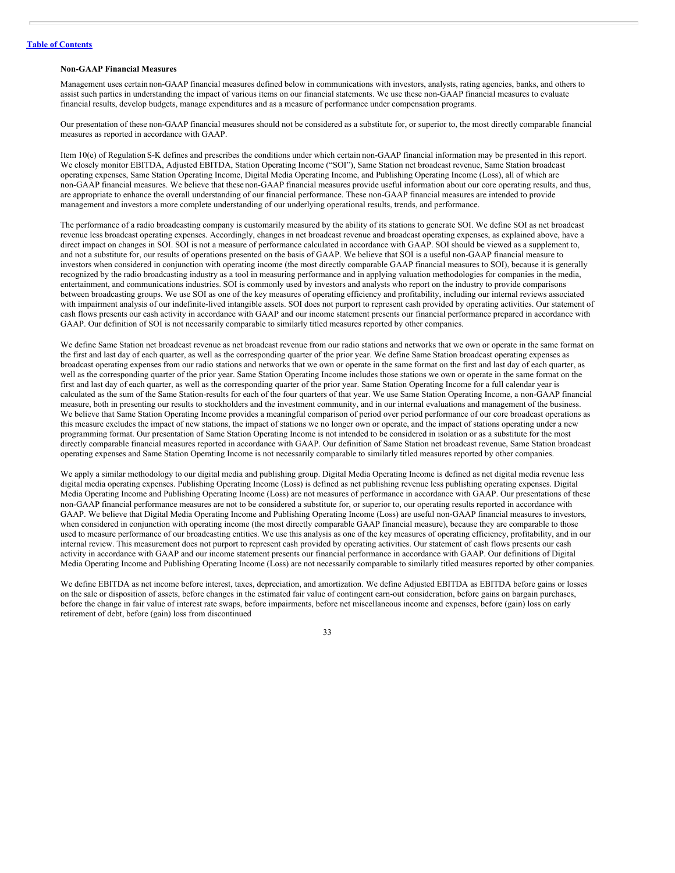#### **Non-GAAP Financial Measures**

Management uses certain non-GAAP financial measures defined below in communications with investors, analysts, rating agencies, banks, and others to assist such parties in understanding the impact of various items on our financial statements. We use these non-GAAP financial measures to evaluate financial results, develop budgets, manage expenditures and as a measure of performance under compensation programs.

Our presentation of these non-GAAP financial measures should not be considered as a substitute for, or superior to, the most directly comparable financial measures as reported in accordance with GAAP.

Item 10(e) of Regulation S-K defines and prescribes the conditions under which certain non-GAAP financial information may be presented in this report. We closely monitor EBITDA, Adjusted EBITDA, Station Operating Income ("SOI"), Same Station net broadcast revenue, Same Station broadcast operating expenses, Same Station Operating Income, Digital Media Operating Income, and Publishing Operating Income (Loss), all of which are non-GAAP financial measures. We believe that these non-GAAP financial measures provide useful information about our core operating results, and thus, are appropriate to enhance the overall understanding of our financial performance. These non-GAAP financial measures are intended to provide management and investors a more complete understanding of our underlying operational results, trends, and performance.

The performance of a radio broadcasting company is customarily measured by the ability of its stations to generate SOI. We define SOI as net broadcast revenue less broadcast operating expenses. Accordingly, changes in net broadcast revenue and broadcast operating expenses, as explained above, have a direct impact on changes in SOI. SOI is not a measure of performance calculated in accordance with GAAP. SOI should be viewed as a supplement to, and not a substitute for, our results of operations presented on the basis of GAAP. We believe that SOI is a useful non-GAAP financial measure to investors when considered in conjunction with operating income (the most directly comparable GAAP financial measures to SOI), because it is generally recognized by the radio broadcasting industry as a tool in measuring performance and in applying valuation methodologies for companies in the media, entertainment, and communications industries. SOI is commonly used by investors and analysts who report on the industry to provide comparisons between broadcasting groups. We use SOI as one of the key measures of operating efficiency and profitability, including our internal reviews associated with impairment analysis of our indefinite-lived intangible assets. SOI does not purport to represent cash provided by operating activities. Our statement of cash flows presents our cash activity in accordance with GAAP and our income statement presents our financial performance prepared in accordance with GAAP. Our definition of SOI is not necessarily comparable to similarly titled measures reported by other companies.

We define Same Station net broadcast revenue as net broadcast revenue from our radio stations and networks that we own or operate in the same format on the first and last day of each quarter, as well as the corresponding quarter of the prior year. We define Same Station broadcast operating expenses as broadcast operating expenses from our radio stations and networks that we own or operate in the same format on the first and last day of each quarter, as well as the corresponding quarter of the prior year. Same Station Operating Income includes those stations we own or operate in the same format on the first and last day of each quarter, as well as the corresponding quarter of the prior year. Same Station Operating Income for a full calendar year is calculated as the sum of the Same Station-results for each of the four quarters of that year. We use Same Station Operating Income, a non-GAAP financial measure, both in presenting our results to stockholders and the investment community, and in our internal evaluations and management of the business. We believe that Same Station Operating Income provides a meaningful comparison of period over period performance of our core broadcast operations as this measure excludes the impact of new stations, the impact of stations we no longer own or operate, and the impact of stations operating under a new programming format. Our presentation of Same Station Operating Income is not intended to be considered in isolation or as a substitute for the most directly comparable financial measures reported in accordance with GAAP. Our definition of Same Station net broadcast revenue, Same Station broadcast operating expenses and Same Station Operating Income is not necessarily comparable to similarly titled measures reported by other companies.

We apply a similar methodology to our digital media and publishing group. Digital Media Operating Income is defined as net digital media revenue less digital media operating expenses. Publishing Operating Income (Loss) is defined as net publishing revenue less publishing operating expenses. Digital Media Operating Income and Publishing Operating Income (Loss) are not measures of performance in accordance with GAAP. Our presentations of these non-GAAP financial performance measures are not to be considered a substitute for, or superior to, our operating results reported in accordance with GAAP. We believe that Digital Media Operating Income and Publishing Operating Income (Loss) are useful non-GAAP financial measures to investors, when considered in conjunction with operating income (the most directly comparable GAAP financial measure), because they are comparable to those used to measure performance of our broadcasting entities. We use this analysis as one of the key measures of operating efficiency, profitability, and in our internal review. This measurement does not purport to represent cash provided by operating activities. Our statement of cash flows presents our cash activity in accordance with GAAP and our income statement presents our financial performance in accordance with GAAP. Our definitions of Digital Media Operating Income and Publishing Operating Income (Loss) are not necessarily comparable to similarly titled measures reported by other companies.

We define EBITDA as net income before interest, taxes, depreciation, and amortization. We define Adjusted EBITDA as EBITDA before gains or losses on the sale or disposition of assets, before changes in the estimated fair value of contingent earn-out consideration, before gains on bargain purchases, before the change in fair value of interest rate swaps, before impairments, before net miscellaneous income and expenses, before (gain) loss on early retirement of debt, before (gain) loss from discontinued

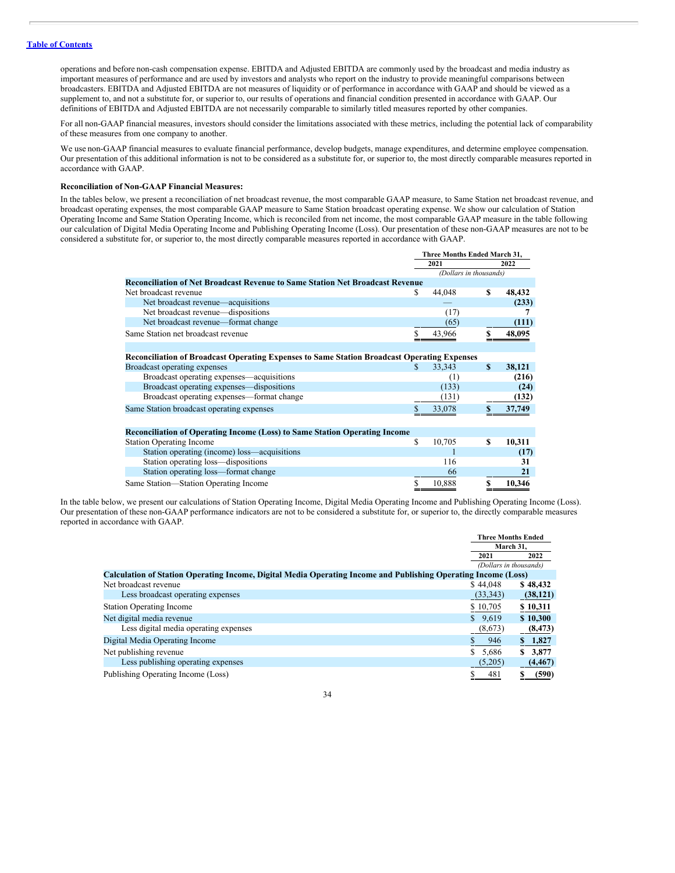operations and before non-cash compensation expense. EBITDA and Adjusted EBITDA are commonly used by the broadcast and media industry as important measures of performance and are used by investors and analysts who report on the industry to provide meaningful comparisons between broadcasters. EBITDA and Adjusted EBITDA are not measures of liquidity or of performance in accordance with GAAP and should be viewed as a supplement to, and not a substitute for, or superior to, our results of operations and financial condition presented in accordance with GAAP. Our definitions of EBITDA and Adjusted EBITDA are not necessarily comparable to similarly titled measures reported by other companies.

For all non-GAAP financial measures, investors should consider the limitations associated with these metrics, including the potential lack of comparability of these measures from one company to another.

We use non-GAAP financial measures to evaluate financial performance, develop budgets, manage expenditures, and determine employee compensation. Our presentation of this additional information is not to be considered as a substitute for, or superior to, the most directly comparable measures reported in accordance with GAAP.

# **Reconciliation of Non-GAAP Financial Measures:**

In the tables below, we present a reconciliation of net broadcast revenue, the most comparable GAAP measure, to Same Station net broadcast revenue, and broadcast operating expenses, the most comparable GAAP measure to Same Station broadcast operating expense. We show our calculation of Station Operating Income and Same Station Operating Income, which is reconciled from net income, the most comparable GAAP measure in the table following our calculation of Digital Media Operating Income and Publishing Operating Income (Loss). Our presentation of these non-GAAP measures are not to be considered a substitute for, or superior to, the most directly comparable measures reported in accordance with GAAP.

|                                                                                                    | Three Months Ended March 31, |        |                        |        |
|----------------------------------------------------------------------------------------------------|------------------------------|--------|------------------------|--------|
|                                                                                                    |                              | 2021   |                        | 2022   |
|                                                                                                    |                              |        | (Dollars in thousands) |        |
| <b>Reconciliation of Net Broadcast Revenue to Same Station Net Broadcast Revenue</b>               |                              |        |                        |        |
| Net broadcast revenue                                                                              | \$                           | 44,048 | S                      | 48,432 |
| Net broadcast revenue—acquisitions                                                                 |                              |        |                        | (233)  |
| Net broadcast revenue—dispositions                                                                 |                              | (17)   |                        | 7      |
| Net broadcast revenue—format change                                                                |                              | (65)   |                        | (111)  |
| Same Station net broadcast revenue                                                                 |                              | 43,966 |                        | 48,095 |
|                                                                                                    |                              |        |                        |        |
| <b>Reconciliation of Broadcast Operating Expenses to Same Station Broadcast Operating Expenses</b> |                              |        |                        |        |
| Broadcast operating expenses                                                                       | \$.                          | 33,343 | S                      | 38,121 |
| Broadcast operating expenses—acquisitions                                                          |                              | (1)    |                        | (216)  |
| Broadcast operating expenses—dispositions                                                          |                              | (133)  |                        | (24)   |
| Broadcast operating expenses—format change                                                         |                              | (131)  |                        | (132)  |
| Same Station broadcast operating expenses                                                          |                              | 33,078 |                        | 37,749 |
|                                                                                                    |                              |        |                        |        |
| <b>Reconciliation of Operating Income (Loss) to Same Station Operating Income</b>                  |                              |        |                        |        |
| <b>Station Operating Income</b>                                                                    | S                            | 10,705 | S                      | 10,311 |
| Station operating (income) loss—acquisitions                                                       |                              |        |                        | (17)   |
| Station operating loss—dispositions                                                                |                              | 116    |                        | 31     |
| Station operating loss—format change                                                               |                              | 66     |                        | 21     |
| Same Station-Station Operating Income                                                              |                              | 10,888 |                        | 10,346 |

In the table below, we present our calculations of Station Operating Income, Digital Media Operating Income and Publishing Operating Income (Loss). Our presentation of these non-GAAP performance indicators are not to be considered a substitute for, or superior to, the directly comparable measures reported in accordance with GAAP.

|                                                                                                                | <b>Three Months Ended</b> |             |  |
|----------------------------------------------------------------------------------------------------------------|---------------------------|-------------|--|
|                                                                                                                | March 31.                 |             |  |
|                                                                                                                | 2021                      | 2022        |  |
|                                                                                                                | (Dollars in thousands)    |             |  |
| Calculation of Station Operating Income, Digital Media Operating Income and Publishing Operating Income (Loss) |                           |             |  |
| Net broadcast revenue                                                                                          | \$44,048                  | \$48,432    |  |
| Less broadcast operating expenses                                                                              | (33,343)                  | (38, 121)   |  |
| <b>Station Operating Income</b>                                                                                | \$10,705                  | \$10,311    |  |
| Net digital media revenue                                                                                      | \$9.619                   | \$10,300    |  |
| Less digital media operating expenses                                                                          | (8,673)                   | (8, 473)    |  |
| Digital Media Operating Income                                                                                 | 946                       | 1,827<br>S. |  |
| Net publishing revenue                                                                                         | S.<br>5,686               | 3,877<br>S. |  |
| Less publishing operating expenses                                                                             | (5,205)                   | (4, 467)    |  |
| Publishing Operating Income (Loss)                                                                             | 481                       | (590)       |  |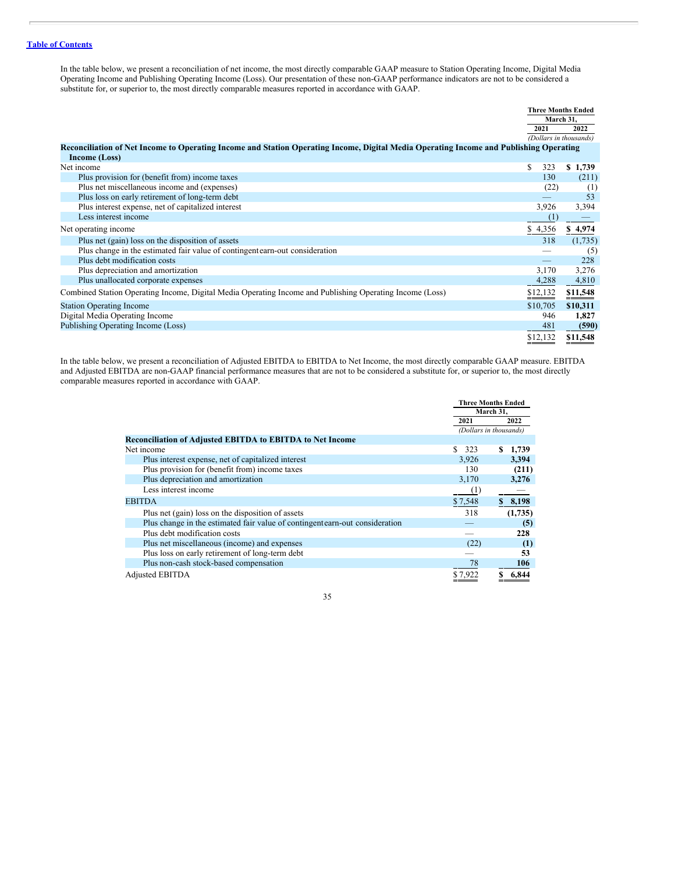In the table below, we present a reconciliation of net income, the most directly comparable GAAP measure to Station Operating Income, Digital Media Operating Income and Publishing Operating Income (Loss). Our presentation of these non-GAAP performance indicators are not to be considered a substitute for, or superior to, the most directly comparable measures reported in accordance with GAAP.

|                                                                                                                                        |          | <b>Three Months Ended</b><br>March 31. |
|----------------------------------------------------------------------------------------------------------------------------------------|----------|----------------------------------------|
|                                                                                                                                        | 2021     | 2022                                   |
| Reconciliation of Net Income to Operating Income and Station Operating Income, Digital Media Operating Income and Publishing Operating |          | (Dollars in thousands)                 |
| Income (Loss)                                                                                                                          |          |                                        |
| Net income                                                                                                                             | S<br>323 | \$1,739                                |
| Plus provision for (benefit from) income taxes                                                                                         | 130      | (211)                                  |
| Plus net miscellaneous income and (expenses)                                                                                           | (22)     | (1)                                    |
| Plus loss on early retirement of long-term debt                                                                                        |          | 53                                     |
| Plus interest expense, net of capitalized interest                                                                                     | 3,926    | 3,394                                  |
| Less interest income                                                                                                                   | (1)      |                                        |
| Net operating income.                                                                                                                  | \$4,356  | \$4,974                                |
| Plus net (gain) loss on the disposition of assets                                                                                      | 318      | (1,735)                                |
| Plus change in the estimated fair value of contingent earn-out consideration                                                           |          | (5)                                    |
| Plus debt modification costs                                                                                                           |          | 228                                    |
| Plus depreciation and amortization                                                                                                     | 3,170    | 3,276                                  |
| Plus unallocated corporate expenses                                                                                                    | 4,288    | 4,810                                  |
| Combined Station Operating Income, Digital Media Operating Income and Publishing Operating Income (Loss)                               | \$12,132 | \$11,548                               |
| <b>Station Operating Income</b>                                                                                                        | \$10,705 | \$10,311                               |
| Digital Media Operating Income                                                                                                         | 946      | 1,827                                  |
| Publishing Operating Income (Loss)                                                                                                     | 481      | (590)                                  |
|                                                                                                                                        | \$12,132 | \$11,548                               |

In the table below, we present a reconciliation of Adjusted EBITDA to EBITDA to Net Income, the most directly comparable GAAP measure. EBITDA and Adjusted EBITDA are non-GAAP financial performance measures that are not to be considered a substitute for, or superior to, the most directly and Adjusted EBITDA are non-GAAP financial performance measures that are not comparable measures reported in accordance with GAAP.

|                                                                              | <b>Three Months Ended</b><br>March 31, |             |
|------------------------------------------------------------------------------|----------------------------------------|-------------|
|                                                                              | 2021                                   | 2022        |
|                                                                              | (Dollars in thousands)                 |             |
| Reconciliation of Adjusted EBITDA to EBITDA to Net Income                    |                                        |             |
| Net income                                                                   | 323<br>S.                              | 1,739<br>S. |
| Plus interest expense, net of capitalized interest                           | 3,926                                  | 3,394       |
| Plus provision for (benefit from) income taxes                               | 130                                    | (211)       |
| Plus depreciation and amortization                                           | 3,170                                  | 3,276       |
| Less interest income                                                         | $^{(1)}$                               |             |
| <b>EBITDA</b>                                                                | \$7,548                                | 8,198       |
| Plus net (gain) loss on the disposition of assets                            | 318                                    | (1,735)     |
| Plus change in the estimated fair value of contingent earn-out consideration |                                        | (5)         |
| Plus debt modification costs                                                 |                                        | 228         |
| Plus net miscellaneous (income) and expenses                                 | (22)                                   | (1)         |
| Plus loss on early retirement of long-term debt                              |                                        | 53          |
| Plus non-cash stock-based compensation                                       | 78                                     | 106         |
| <b>Adjusted EBITDA</b>                                                       |                                        | 6.844       |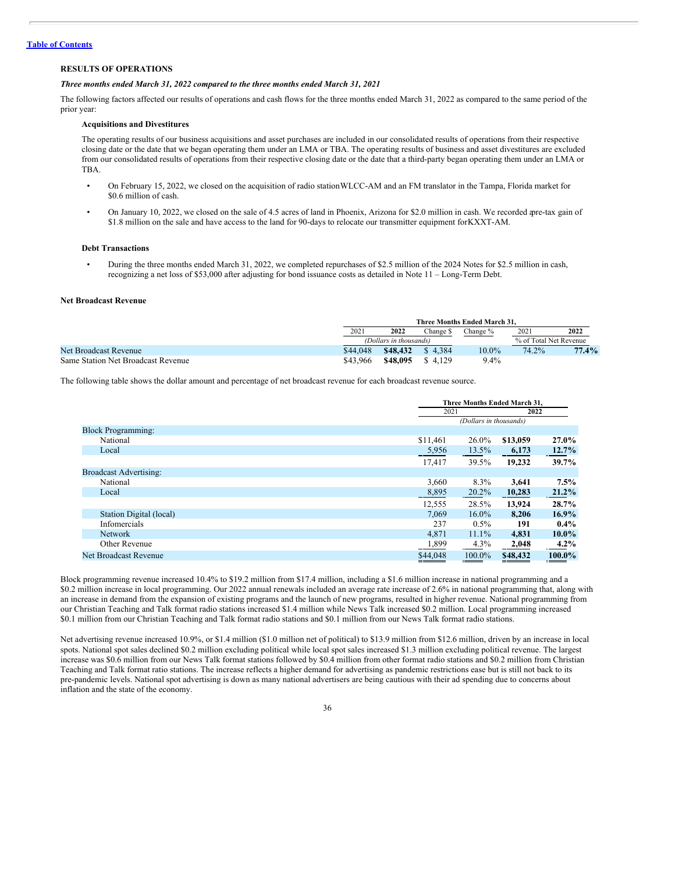### **RESULTS OF OPERATIONS**

# *Three months ended March 31, 2022 compared to the three months ended March 31, 2021*

The following factors affected our results of operations and cash flows for the three months ended March 31, 2022 as compared to the same period of the prior year:

#### **Acquisitions and Divestitures**

The operating results of our business acquisitions and asset purchases are included in our consolidated results of operations from their respective closing date or the date that we began operating them under an LMA or TBA. The operating results of business and asset divestitures are excluded from our consolidated results of operations from their respective closing date or the date that a third-party began operating them under an LMA or TBA.

- On February 15, 2022, we closed on the acquisition of radio stationWLCC-AM and an FM translator in the Tampa, Florida market for \$0.6 million of cash.
- On January 10, 2022, we closed on the sale of 4.5 acres of land in Phoenix, Arizona for \$2.0 million in cash. We recorded apre-tax gain of \$1.8 million on the sale and have access to the land for 90-days to relocate our transmitter equipment forKXXT-AM.

# **Debt Transactions**

• During the three months ended March 31, 2022, we completed repurchases of \$2.5 million of the 2024 Notes for \$2.5 million in cash, recognizing a net loss of \$53,000 after adjusting for bond issuance costs as detailed in Note 11 – Long-Term Debt.

#### **Net Broadcast Revenue**

|                                    |          | Three Months Ended March 31. |          |          |                        |       |  |
|------------------------------------|----------|------------------------------|----------|----------|------------------------|-------|--|
|                                    | 2021     | 2022                         | Change 9 | Thange % | 2021                   | 2022  |  |
|                                    |          | (Dollars in thousands)       |          |          | % of Total Net Revenue |       |  |
| Net Broadcast Revenue              | \$44,048 | \$48,432                     | \$4.384  | 10.0%    | 74.2%                  | 77.4% |  |
| Same Station Net Broadcast Revenue | \$43.966 | \$48.095                     | \$4.129  | $9.4\%$  |                        |       |  |

The following table shows the dollar amount and percentage of net broadcast revenue for each broadcast revenue source.

|                               |          | Three Months Ended March 31, |          |          |  |
|-------------------------------|----------|------------------------------|----------|----------|--|
|                               | 2021     |                              | 2022     |          |  |
|                               |          | (Dollars in thousands)       |          |          |  |
| <b>Block Programming:</b>     |          |                              |          |          |  |
| National                      | \$11,461 | $26.0\%$                     | \$13,059 | 27.0%    |  |
| Local                         | 5,956    | 13.5%                        | 6,173    | 12.7%    |  |
|                               | 17,417   | 39.5%                        | 19,232   | 39.7%    |  |
| <b>Broadcast Advertising:</b> |          |                              |          |          |  |
| National                      | 3,660    | 8.3%                         | 3,641    | 7.5%     |  |
| Local                         | 8,895    | 20.2%                        | 10,283   | 21.2%    |  |
|                               | 12,555   | 28.5%                        | 13,924   | 28.7%    |  |
| Station Digital (local)       | 7,069    | 16.0%                        | 8,206    | $16.9\%$ |  |
| Infomercials                  | 237      | $0.5\%$                      | 191      | $0.4\%$  |  |
| <b>Network</b>                | 4,871    | 11.1%                        | 4,831    | $10.0\%$ |  |
| Other Revenue                 | 1,899    | 4.3%                         | 2,048    | $4.2\%$  |  |
| Net Broadcast Revenue         | \$44,048 | 100.0%                       | \$48,432 | 100.0%   |  |

Block programming revenue increased 10.4% to \$19.2 million from \$17.4 million, including a \$1.6 million increase in national programming and a \$0.2 million increase in local programming. Our 2022 annual renewals included an average rate increase of 2.6% in national programming that, along with an increase in demand from the expansion of existing programs and the launch of new programs, resulted in higher revenue. National programming from our Christian Teaching and Talk format radio stations increased \$1.4 million while News Talk increased \$0.2 million. Local programming increased \$0.1 million from our Christian Teaching and Talk format radio stations and \$0.1 million from our News Talk format radio stations.

Net advertising revenue increased 10.9%, or \$1.4 million (\$1.0 million net of political) to \$13.9 million from \$12.6 million, driven by an increase in local spots. National spot sales declined \$0.2 million excluding political while local spot sales increased \$1.3 million excluding political revenue. The largest increase was \$0.6 million from our News Talk format stations followed by \$0.4 million from other format radio stations and \$0.2 million from Christian Teaching and Talk format ratio stations. The increase reflects a higher demand for advertising as pandemic restrictions ease but is still not back to its pre-pandemic levels. National spot advertising is down as many national advertisers are being cautious with their ad spending due to concerns about inflation and the state of the economy.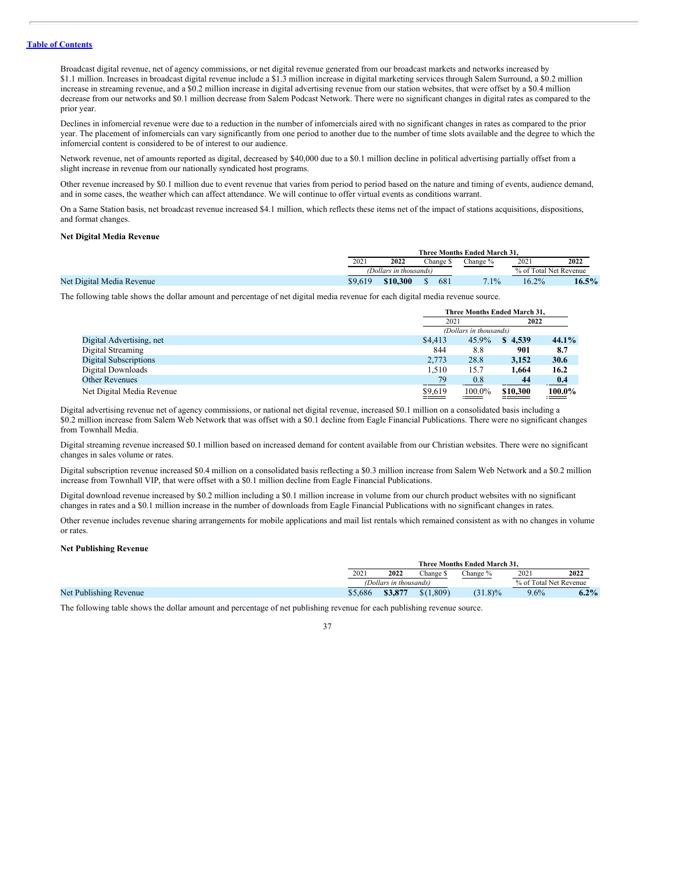Broadcast digital revenue, net of agency commissions, or net digital revenue generated from our broadcast markets and networks increased by \$1.1 million. Increases in broadcast digital revenue include a \$1.3 million increase in digital marketing services through Salem Surround, a \$0.2 million increase in streaming revenue, and a \$0.2 million increase in digital advertising revenue from our station websites, that were offset by a \$0.4 million decrease from our networks and \$0.1 million decrease from Salem Podcast Network. There were no significant changes in digital rates as compared to the prior year.

Declines in infomercial revenue were due to a reduction in the number of infomercials aired with no significant changes in rates as compared to the prior year. The placement of infomercials can vary significantly from one period to another due to the number of time slots available and the degree to which the infomercial content is considered to be of interest to our audience.

Network revenue, net of amounts reported as digital, decreased by \$40,000 due to a \$0.1 million decline in political advertising partially offset from a slight increase in revenue from our nationally syndicated host programs.

Other revenue increased by \$0.1 million due to event revenue that varies from period to period based on the nature and timing of events, audience demand, and in some cases, the weather which can affect attendance. We will continue to offer virtual events as conditions warrant.

On a Same Station basis, net broadcast revenue increased \$4.1 million, which reflects these items net of the impact of stations acquisitions, dispositions, and format changes.

#### **Net Digital Media Revenue**

|         | Three Months Ended March 31. |          |          |                        |          |
|---------|------------------------------|----------|----------|------------------------|----------|
| 2021    | 2022                         | Thange 5 | Thange % | 2021                   | 2022     |
|         | (Dollars in thousands)       |          |          | % of Total Net Revenue |          |
| \$9,619 | \$10,300                     | 681      | $1\%$    | $16.2\%$               | $16.5\%$ |

The following table shows the dollar amount and percentage of net digital media revenue for each digital media revenue source.

|                           | Three Months Ended March 31. |           |          |        |  |
|---------------------------|------------------------------|-----------|----------|--------|--|
|                           | 2021                         |           | 2022     |        |  |
|                           | (Dollars in thousands)       |           |          |        |  |
| Digital Advertising, net  | \$4,413                      | 45.9%     | \$4.539  | 44.1%  |  |
| Digital Streaming         | 844                          | 8.8       | 901      | 8.7    |  |
| Digital Subscriptions     | 2.773                        | 28.8      | 3.152    | 30.6   |  |
| Digital Downloads         | 1.510                        | 15.7      | 1.664    | 16.2   |  |
| <b>Other Revenues</b>     | 79                           | 0.8       | 44       | 0.4    |  |
| Net Digital Media Revenue | \$9,619                      | $100.0\%$ | \$10,300 | 100.0% |  |

Digital advertising revenue net of agency commissions, or national net digital revenue, increased \$0.1 million on a consolidated basis including a \$0.2 million increase from Salem Web Network that was offset with a \$0.1 decline from Eagle Financial Publications. There were no significant changes from Townhall Media.

Digital streaming revenue increased \$0.1 million based on increased demand for content available from our Christian websites. There were no significant changes in sales volume or rates.

Digital subscription revenue increased \$0.4 million on a consolidated basis reflecting a \$0.3 million increase from Salem Web Network and a \$0.2 million increase from Townhall VIP, that were offset with a \$0.1 million decline from Eagle Financial Publications.

Digital download revenue increased by \$0.2 million including a \$0.1 million increase in volume from our church product websites with no significant changes in rates and a \$0.1 million increase in the number of downloads from Eagle Financial Publications with no significant changes in rates.

Other revenue includes revenue sharing arrangements for mobile applications and mail list rentals which remained consistent as with no changes in volume or rates.

#### **Net Publishing Revenue**

| Three Months Ended March 31. |                        |           |            |                        |         |
|------------------------------|------------------------|-----------|------------|------------------------|---------|
| 2021                         | 2022                   | hange S   | Thange %   | 2021                   | 2022    |
|                              | (Dollars in thousands) |           |            | % of Total Net Revenue |         |
| \$5.686                      | \$3,877                | \$(1,809) | $(31.8)\%$ | $9.6\%$                | $6.2\%$ |

The following table shows the dollar amount and percentage of net publishing revenue for each publishing revenue source.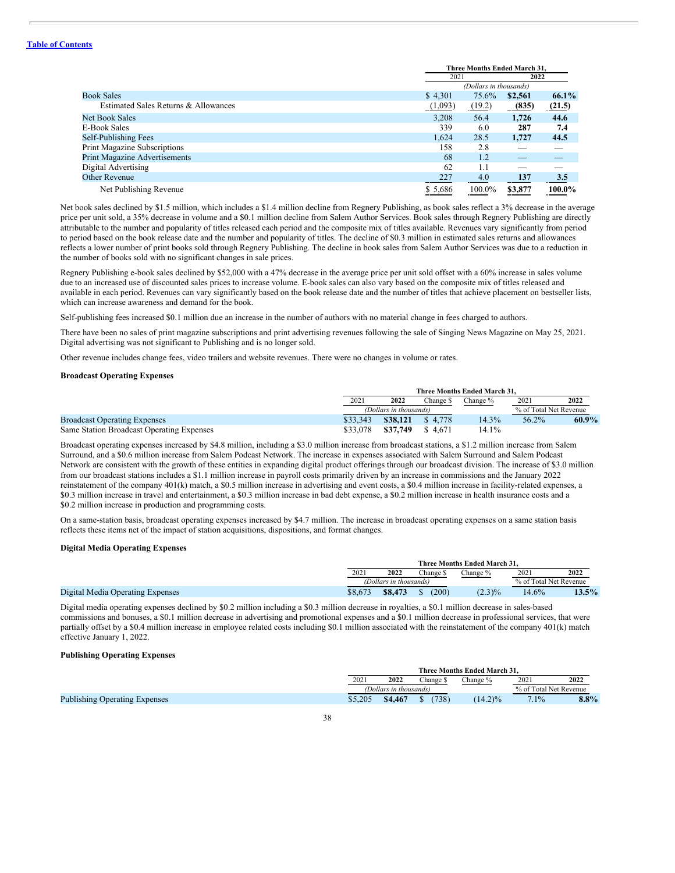|                                      | Three Months Ended March 31. |                        |         |          |
|--------------------------------------|------------------------------|------------------------|---------|----------|
|                                      | 2021<br>2022                 |                        |         |          |
|                                      |                              | (Dollars in thousands) |         |          |
| <b>Book Sales</b>                    | \$4,301                      | 75.6%                  | \$2,561 | $66.1\%$ |
| Estimated Sales Returns & Allowances | (1,093)                      | (19.2)                 | (835)   | (21.5)   |
| <b>Net Book Sales</b>                | 3.208                        | 56.4                   | 1.726   | 44.6     |
| E-Book Sales                         | 339                          | 6.0                    | 287     | 7.4      |
| Self-Publishing Fees                 | 1.624                        | 28.5                   | 1,727   | 44.5     |
| Print Magazine Subscriptions         | 158                          | 2.8                    |         |          |
| <b>Print Magazine Advertisements</b> | 68                           | 1.2                    |         |          |
| Digital Advertising                  | 62                           | 1.1                    |         |          |
| <b>Other Revenue</b>                 | 227                          | 4.0                    | 137     | 3.5      |
| Net Publishing Revenue               | \$5,686                      | 100.0%                 | \$3,877 | 100.0%   |

Net book sales declined by \$1.5 million, which includes a \$1.4 million decline from Regnery Publishing, as book sales reflect a 3% decrease in the average price per unit sold, a 35% decrease in volume and a \$0.1 million decline from Salem Author Services. Book sales through Regnery Publishing are directly attributable to the number and popularity of titles released each period and the composite mix of titles available. Revenues vary significantly from period to period based on the book release date and the number and popularity of titles. The decline of \$0.3 million in estimated sales returns and allowances reflects a lower number of print books sold through Regnery Publishing. The decline in book sales from Salem Author Services was due to a reduction in the number of books sold with no significant changes in sale prices.

Regnery Publishing e-book sales declined by \$52,000 with a 47% decrease in the average price per unit sold offset with a 60% increase in sales volume due to an increased use of discounted sales prices to increase volume. E-book sales can also vary based on the composite mix of titles released and available in each period. Revenues can vary significantly based on the book release date and the number of titles that achieve placement on bestseller lists, which can increase awareness and demand for the book.

Self-publishing fees increased \$0.1 million due an increase in the number of authors with no material change in fees charged to authors.

There have been no sales of print magazine subscriptions and print advertising revenues following the sale of Singing News Magazine on May 25, 2021. Digital advertising was not significant to Publishing and is no longer sold.

Other revenue includes change fees, video trailers and website revenues. There were no changes in volume or rates.

# **Broadcast Operating Expenses**

|                                           |          | Three Months Ended March 31. |           |          |                        |          |  |
|-------------------------------------------|----------|------------------------------|-----------|----------|------------------------|----------|--|
|                                           | 2021     | 2022                         | Change \$ | Thange % | 2021                   | 2022     |  |
|                                           |          | (Dollars in thousands)       |           |          | % of Total Net Revenue |          |  |
| <b>Broadcast Operating Expenses</b>       | \$33.343 | \$38,121                     | \$4.778   | $14.3\%$ | 56.2%                  | $60.9\%$ |  |
| Same Station Broadcast Operating Expenses | \$33.078 | \$37,749                     | \$4.671   | $14.1\%$ |                        |          |  |

Broadcast operating expenses increased by \$4.8 million, including a \$3.0 million increase from broadcast stations, a \$1.2 million increase from Salem Surround, and a \$0.6 million increase from Salem Podcast Network. The increase in expenses associated with Salem Surround and Salem Podcast Network are consistent with the growth of these entities in expanding digital product offerings through our broadcast division. The increase of \$3.0 million from our broadcast stations includes a \$1.1 million increase in payroll costs primarily driven by an increase in commissions and the January 2022 reinstatement of the company 401(k) match, a \$0.5 million increase in advertising and event costs, a \$0.4 million increase in facility-related expenses, a \$0.3 million increase in travel and entertainment, a \$0.3 million increase in bad debt expense, a \$0.2 million increase in health insurance costs and a \$0.2 million increase in production and programming costs.

On a same-station basis, broadcast operating expenses increased by \$4.7 million. The increase in broadcast operating expenses on a same station basis reflects these items net of the impact of station acquisitions, dispositions, and format changes.

#### **Digital Media Operating Expenses**

|                                  | Three Months Ended March 31. |         |       |            |                        |       |  |  |
|----------------------------------|------------------------------|---------|-------|------------|------------------------|-------|--|--|
|                                  | 2021<br>2022<br>Change \$    |         |       | $Change\%$ | 2021                   | 2022  |  |  |
|                                  | (Dollars in thousands)       |         |       |            | % of Total Net Revenue |       |  |  |
| Digital Media Operating Expenses | \$8,673                      | \$8,473 | (200) | $(2.3)\%$  | 14.6%                  | 13.5% |  |  |

Digital media operating expenses declined by \$0.2 million including a \$0.3 million decrease in royalties, a \$0.1 million decrease in sales-based commissions and bonuses, a \$0.1 million decrease in advertising and promotional expenses and a \$0.1 million decrease in professional services, that were partially offset by a \$0.4 million increase in employee related costs including \$0.1 million associated with the reinstatement of the company 401(k) match effective January 1, 2022.

#### **Publishing Operating Expenses**

|                                      | Three Months Ended March 31. |                        |           |            |                        |         |  |
|--------------------------------------|------------------------------|------------------------|-----------|------------|------------------------|---------|--|
|                                      | 202                          | 2022                   | ∵hange \$ | Change %   | 2021                   | 2022    |  |
|                                      |                              | (Dollars in thousands) |           |            | % of Total Net Revenue |         |  |
| <b>Publishing Operating Expenses</b> | \$5,205                      | \$4,467                | (738)     | $(14.2)\%$ | 7.1%                   | $8.8\%$ |  |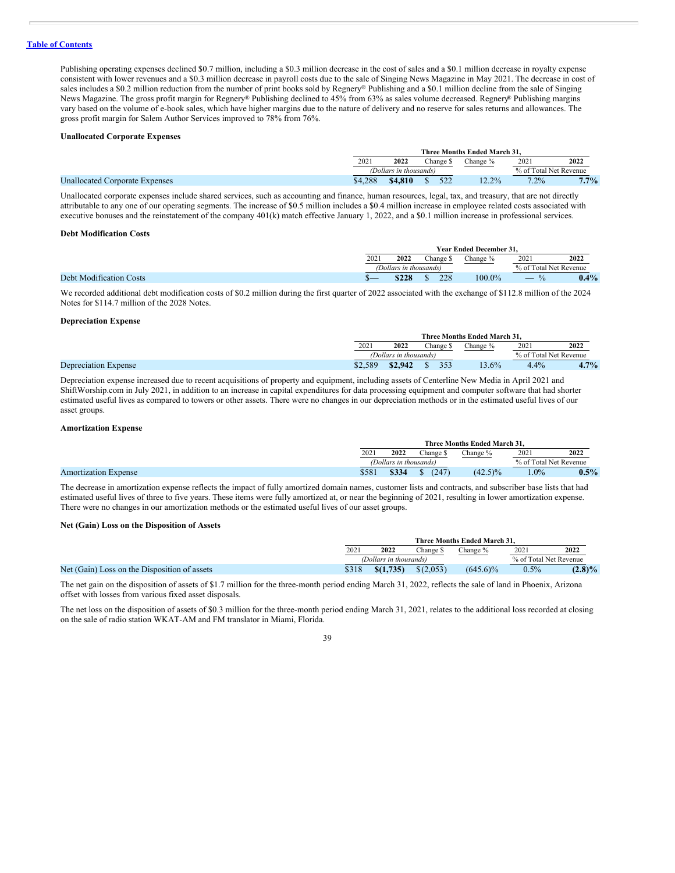Publishing operating expenses declined \$0.7 million, including a \$0.3 million decrease in the cost of sales and a \$0.1 million decrease in royalty expense consistent with lower revenues and a \$0.3 million decrease in payroll costs due to the sale of Singing News Magazine in May 2021. The decrease in cost of sales includes a \$0.2 million reduction from the number of print books sold by Regnery® Publishing and a \$0.1 million decline from the sale of Singing News Magazine. The gross profit margin for Regnery® Publishing declined to 45% from 63% as sales volume decreased. Regnery® Publishing margins vary based on the volume of e-book sales, which have higher margins due to the nature of delivery and no reserve for sales returns and allowances. The gross profit margin for Salem Author Services improved to 78% from 76%.

#### **Unallocated Corporate Expenses**

|                                       |         | Three Months Ended March 31.               |     |          |                        |         |      |      |
|---------------------------------------|---------|--------------------------------------------|-----|----------|------------------------|---------|------|------|
|                                       | 2021    | 2022<br>Change S<br>(Dollars in thousands) |     |          | hange %                |         | 2021 | 2022 |
|                                       |         |                                            |     |          | % of Total Net Revenue |         |      |      |
| <b>Unallocated Corporate Expenses</b> | \$4.288 | \$4.810                                    | 522 | $12.2\%$ | $7.2\%$                | $7.7\%$ |      |      |

Unallocated corporate expenses include shared services, such as accounting and finance, human resources, legal, tax, and treasury, that are not directly attributable to any one of our operating segments. The increase of \$0.5 million includes a \$0.4 million increase in employee related costs associated with executive bonuses and the reinstatement of the company 401(k) match effective January 1, 2022, and a \$0.1 million increase in professional services.

# **Debt Modification Costs**

|                                | <b>Year Ended December 31.</b> |  |     |        |                        |          |      |      |
|--------------------------------|--------------------------------|--|-----|--------|------------------------|----------|------|------|
|                                | 2022<br>2021                   |  |     |        | Change \$              | Change % | 2021 | 2022 |
|                                | (Dollars in thousands)         |  |     |        | % of Total Net Revenue |          |      |      |
| <b>Debt Modification Costs</b> | \$228                          |  | 228 | 100.0% | $\frac{0}{6}$<br>__    | $0.4\%$  |      |      |

We recorded additional debt modification costs of \$0.2 million during the first quarter of 2022 associated with the exchange of \$112.8 million of the 2024 Notes for \$114.7 million of the 2028 Notes.

#### **Depreciation Expense**

|                      | Three Months Ended March 31. |         |            |          |                        |      |  |  |
|----------------------|------------------------------|---------|------------|----------|------------------------|------|--|--|
|                      | 2021<br>2022<br>hange S      |         | $Change\%$ | 2021     | 2022                   |      |  |  |
|                      | (Dollars in thousands)       |         |            |          | % of Total Net Revenue |      |  |  |
| Depreciation Expense | \$2.589                      | \$2,942 | 353        | $13.6\%$ | 4.4%                   | 4.7% |  |  |

Depreciation expense increased due to recent acquisitions of property and equipment, including assets of Centerline New Media in April 2021 and ShiftWorship.com in July 2021, in addition to an increase in capital expenditures for data processing equipment and computer software that had shorter estimated useful lives as compared to towers or other assets. There were no changes in our depreciation methods or in the estimated useful lives of our asset groups.

#### **Amortization Expense**

|       | Three Months Ended March 31. |         |            |                        |      |  |  |
|-------|------------------------------|---------|------------|------------------------|------|--|--|
| 2021  | 2022                         | hange S | Change %   | 2021                   | 2022 |  |  |
|       | (Dollars in thousands)       |         |            | % of Total Net Revenue |      |  |  |
| \$581 | \$334                        | (247)   | $(42.5)\%$ | $.0\%$                 | 0.5% |  |  |

The decrease in amortization expense reflects the impact of fully amortized domain names, customer lists and contracts, and subscriber base lists that had estimated useful lives of three to five years. These items were fully amortized at, or near the beginning of 2021, resulting in lower amortization expense. There were no changes in our amortization methods or the estimated useful lives of our asset groups.

#### **Net (Gain) Loss on the Disposition of Assets**

|                                              |       | Three Months Ended March 31. |           |             |         |                        |  |  |
|----------------------------------------------|-------|------------------------------|-----------|-------------|---------|------------------------|--|--|
|                                              | 2021  | 2022                         | Change \$ | Change $\%$ | 2021    | 2022                   |  |  |
|                                              |       | (Dollars in thousands)       |           |             |         | % of Total Net Revenue |  |  |
| Net (Gain) Loss on the Disposition of assets | \$318 | \$(1,735)                    | \$(2.053) | $(645.6)\%$ | $0.5\%$ | $(2.8)\%$              |  |  |

The net gain on the disposition of assets of \$1.7 million for the three-month period ending March 31, 2022, reflects the sale of land in Phoenix, Arizona offset with losses from various fixed asset disposals.

The net loss on the disposition of assets of \$0.3 million for the three-month period ending March 31, 2021, relates to the additional loss recorded at closing on the sale of radio station WKAT-AM and FM translator in Miami, Florida.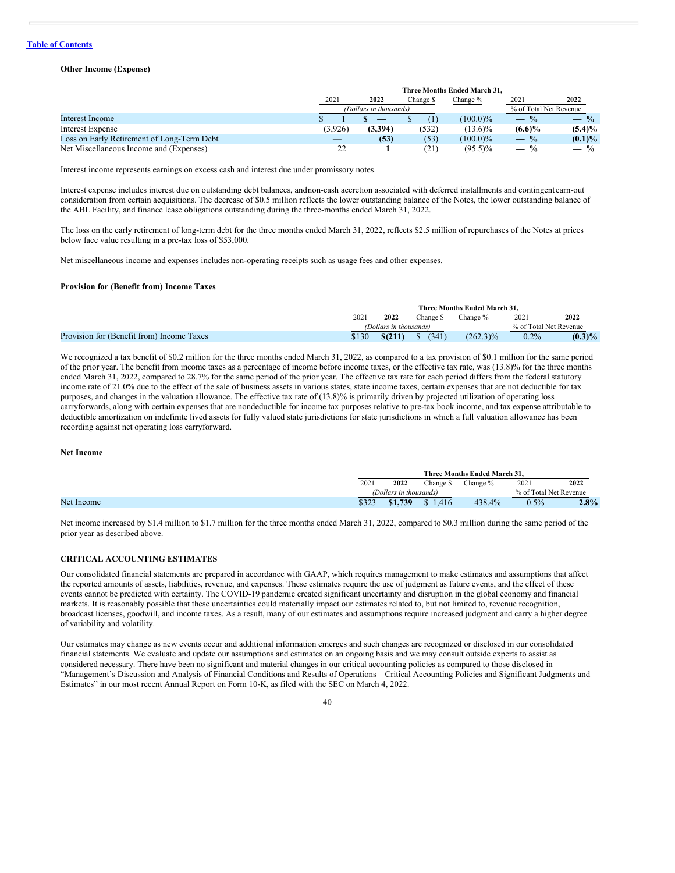#### **Other Income (Expense)**

|                                            |         | Three Months Ended March 31. |                        |             |               |                                           |  |  |  |
|--------------------------------------------|---------|------------------------------|------------------------|-------------|---------------|-------------------------------------------|--|--|--|
|                                            | 2021    | 2022                         | Change S               | Change %    | 2021          | 2022                                      |  |  |  |
|                                            |         | (Dollars in thousands)       | % of Total Net Revenue |             |               |                                           |  |  |  |
| Interest Income                            |         |                              |                        | $(100.0)\%$ | $\frac{0}{0}$ | $\frac{0}{0}$<br>$\equiv$                 |  |  |  |
| Interest Expense                           | (3.926) | (3.394)                      | (532)                  | $(13.6)\%$  | $(6.6)\%$     | $(5.4)\%$                                 |  |  |  |
| Loss on Early Retirement of Long-Term Debt | _       | (53)                         | (53)                   | $(100.0)\%$ | $-$ %         | $(0.1)\%$                                 |  |  |  |
| Net Miscellaneous Income and (Expenses)    |         |                              | (21)                   | $(95.5)\%$  | $-$ %         | $\frac{0}{0}$<br>$\overline{\phantom{0}}$ |  |  |  |

Interest income represents earnings on excess cash and interest due under promissory notes.

Interest expense includes interest due on outstanding debt balances, andnon-cash accretion associated with deferred installments and contingent earn-out consideration from certain acquisitions. The decrease of \$0.5 million reflects the lower outstanding balance of the Notes, the lower outstanding balance of the ABL Facility, and finance lease obligations outstanding during the three-months ended March 31, 2022.

The loss on the early retirement of long-term debt for the three months ended March 31, 2022, reflects \$2.5 million of repurchases of the Notes at prices below face value resulting in a pre-tax loss of \$53,000.

Net miscellaneous income and expenses includes non-operating receipts such as usage fees and other expenses.

#### **Provision for (Benefit from) Income Taxes**

|                                           | Three Months Ended March 31. |                        |       |             |         |                        |  |  |
|-------------------------------------------|------------------------------|------------------------|-------|-------------|---------|------------------------|--|--|
|                                           | 202                          | 2022<br>hange S        |       | $Change\%$  | 2021    | 2022                   |  |  |
|                                           |                              | (Dollars in thousands) |       |             |         | % of Total Net Revenue |  |  |
| Provision for (Benefit from) Income Taxes | \$130                        | \$(211)                | (341) | $(262.3)\%$ | $0.2\%$ | $(0.3)\%$              |  |  |

We recognized a tax benefit of \$0.2 million for the three months ended March 31, 2022, as compared to a tax provision of \$0.1 million for the same period of the prior year. The benefit from income taxes as a percentage of income before income taxes, or the effective tax rate, was (13.8)% for the three months ended March 31, 2022, compared to 28.7% for the same period of the prior year. The effective tax rate for each period differs from the federal statutory income rate of 21.0% due to the effect of the sale of business assets in various states, state income taxes, certain expenses that are not deductible for tax purposes, and changes in the valuation allowance. The effective tax rate of (13.8)% is primarily driven by projected utilization of operating loss carryforwards, along with certain expenses that are nondeductible for income tax purposes relative to pre-tax book income, and tax expense attributable to deductible amortization on indefinite lived assets for fully valued state jurisdictions for state jurisdictions in which a full valuation allowance has been recording against net operating loss carryforward.

# **Net Income**

| Three Months Ended March 31. |                        |           |                |                        |      |  |
|------------------------------|------------------------|-----------|----------------|------------------------|------|--|
| 2021                         | 2022                   | Change \$ | $\Box$ hange % | 2021                   | 2022 |  |
|                              | (Dollars in thousands) |           |                | % of Total Net Revenue |      |  |
| \$323                        | \$1,739                | .416      | 438.4%         | 0.5%                   | 2.8% |  |

Net income increased by \$1.4 million to \$1.7 million for the three months ended March 31, 2022, compared to \$0.3 million during the same period of the prior year as described above.

# **CRITICAL ACCOUNTING ESTIMATES**

Our consolidated financial statements are prepared in accordance with GAAP, which requires management to make estimates and assumptions that affect the reported amounts of assets, liabilities, revenue, and expenses. These estimates require the use of judgment as future events, and the effect of these events cannot be predicted with certainty. The COVID-19 pandemic created significant uncertainty and disruption in the global economy and financial markets. It is reasonably possible that these uncertainties could materially impact our estimates related to, but not limited to, revenue recognition, broadcast licenses, goodwill, and income taxes. As a result, many of our estimates and assumptions require increased judgment and carry a higher degree of variability and volatility.

Our estimates may change as new events occur and additional information emerges and such changes are recognized or disclosed in our consolidated financial statements. We evaluate and update our assumptions and estimates on an ongoing basis and we may consult outside experts to assist as considered necessary. There have been no significant and material changes in our critical accounting policies as compared to those disclosed in "Management's Discussion and Analysis of Financial Conditions and Results of Operations – Critical Accounting Policies and Significant Judgments and Estimates" in our most recent Annual Report on Form 10-K, as filed with the SEC on March 4, 2022.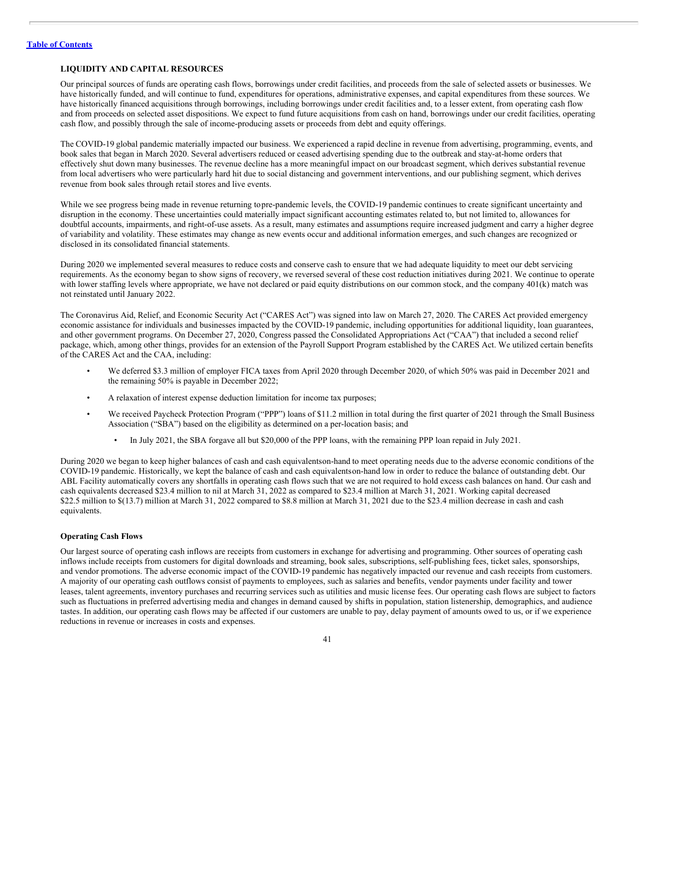# **LIQUIDITY AND CAPITAL RESOURCES**

Our principal sources of funds are operating cash flows, borrowings under credit facilities, and proceeds from the sale of selected assets or businesses. We have historically funded, and will continue to fund, expenditures for operations, administrative expenses, and capital expenditures from these sources. We have historically financed acquisitions through borrowings, including borrowings under credit facilities and, to a lesser extent, from operating cash flow and from proceeds on selected asset dispositions. We expect to fund future acquisitions from cash on hand, borrowings under our credit facilities, operating cash flow, and possibly through the sale of income-producing assets or proceeds from debt and equity offerings.

The COVID-19 global pandemic materially impacted our business. We experienced a rapid decline in revenue from advertising, programming, events, and book sales that began in March 2020. Several advertisers reduced or ceased advertising spending due to the outbreak and stay-at-home orders that effectively shut down many businesses. The revenue decline has a more meaningful impact on our broadcast segment, which derives substantial revenue from local advertisers who were particularly hard hit due to social distancing and government interventions, and our publishing segment, which derives revenue from book sales through retail stores and live events.

While we see progress being made in revenue returning topre-pandemic levels, the COVID-19 pandemic continues to create significant uncertainty and disruption in the economy. These uncertainties could materially impact significant accounting estimates related to, but not limited to, allowances for doubtful accounts, impairments, and right-of-use assets. As a result, many estimates and assumptions require increased judgment and carry a higher degree of variability and volatility. These estimates may change as new events occur and additional information emerges, and such changes are recognized or disclosed in its consolidated financial statements.

During 2020 we implemented several measures to reduce costs and conserve cash to ensure that we had adequate liquidity to meet our debt servicing requirements. As the economy began to show signs of recovery, we reversed several of these cost reduction initiatives during 2021. We continue to operate with lower staffing levels where appropriate, we have not declared or paid equity distributions on our common stock, and the company 401(k) match was not reinstated until January 2022.

The Coronavirus Aid, Relief, and Economic Security Act ("CARES Act") was signed into law on March 27, 2020. The CARES Act provided emergency economic assistance for individuals and businesses impacted by the COVID-19 pandemic, including opportunities for additional liquidity, loan guarantees, and other government programs. On December 27, 2020, Congress passed the Consolidated Appropriations Act ("CAA") that included a second relief package, which, among other things, provides for an extension of the Payroll Support Program established by the CARES Act. We utilized certain benefits of the CARES Act and the CAA, including:

- We deferred \$3.3 million of employer FICA taxes from April 2020 through December 2020, of which 50% was paid in December 2021 and the remaining 50% is payable in December 2022;
- A relaxation of interest expense deduction limitation for income tax purposes;
- We received Paycheck Protection Program ("PPP") loans of \$11.2 million in total during the first quarter of 2021 through the Small Business Association ("SBA") based on the eligibility as determined on a per-location basis; and
	- In July 2021, the SBA forgave all but \$20,000 of the PPP loans, with the remaining PPP loan repaid in July 2021.

During 2020 we began to keep higher balances of cash and cash equivalentson-hand to meet operating needs due to the adverse economic conditions of the COVID-19 pandemic. Historically, we kept the balance of cash and cash equivalentson-hand low in order to reduce the balance of outstanding debt. Our ABL Facility automatically covers any shortfalls in operating cash flows such that we are not required to hold excess cash balances on hand. Our cash and cash equivalents decreased \$23.4 million to nil at March 31, 2022 as compared to \$23.4 million at March 31, 2021. Working capital decreased \$22.5 million to \$(13.7) million at March 31, 2022 compared to \$8.8 million at March 31, 2021 due to the \$23.4 million decrease in cash and cash equivalents.

#### **Operating Cash Flows**

Our largest source of operating cash inflows are receipts from customers in exchange for advertising and programming. Other sources of operating cash inflows include receipts from customers for digital downloads and streaming, book sales, subscriptions, self-publishing fees, ticket sales, sponsorships, and vendor promotions. The adverse economic impact of the COVID-19 pandemic has negatively impacted our revenue and cash receipts from customers. A majority of our operating cash outflows consist of payments to employees, such as salaries and benefits, vendor payments under facility and tower leases, talent agreements, inventory purchases and recurring services such as utilities and music license fees. Our operating cash flows are subject to factors such as fluctuations in preferred advertising media and changes in demand caused by shifts in population, station listenership, demographics, and audience tastes. In addition, our operating cash flows may be affected if our customers are unable to pay, delay payment of amounts owed to us, or if we experience reductions in revenue or increases in costs and expenses.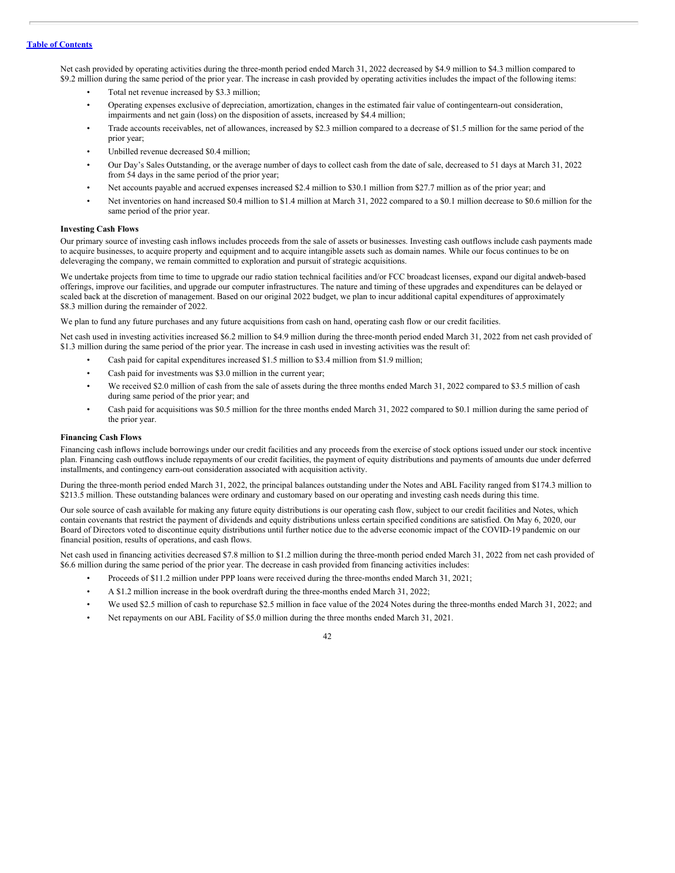Net cash provided by operating activities during the three-month period ended March 31, 2022 decreased by \$4.9 million to \$4.3 million compared to \$9.2 million during the same period of the prior year. The increase in cash provided by operating activities includes the impact of the following items:

- Total net revenue increased by \$3.3 million;
- Operating expenses exclusive of depreciation, amortization, changes in the estimated fair value of contingentearn-out consideration, impairments and net gain (loss) on the disposition of assets, increased by \$4.4 million;
- Trade accounts receivables, net of allowances, increased by \$2.3 million compared to a decrease of \$1.5 million for the same period of the prior year;
- Unbilled revenue decreased \$0.4 million;
- Our Day's Sales Outstanding, or the average number of days to collect cash from the date of sale, decreased to 51 days at March 31, 2022 from 54 days in the same period of the prior year;
- Net accounts payable and accrued expenses increased \$2.4 million to \$30.1 million from \$27.7 million as of the prior year; and
- Net inventories on hand increased \$0.4 million to \$1.4 million at March 31, 2022 compared to a \$0.1 million decrease to \$0.6 million for the same period of the prior year.

# **Investing Cash Flows**

Our primary source of investing cash inflows includes proceeds from the sale of assets or businesses. Investing cash outflows include cash payments made to acquire businesses, to acquire property and equipment and to acquire intangible assets such as domain names. While our focus continues to be on deleveraging the company, we remain committed to exploration and pursuit of strategic acquisitions.

We undertake projects from time to time to upgrade our radio station technical facilities and/or FCC broadcast licenses, expand our digital andweb-based offerings, improve our facilities, and upgrade our computer infrastructures. The nature and timing of these upgrades and expenditures can be delayed or scaled back at the discretion of management. Based on our original 2022 budget, we plan to incur additional capital expenditures of approximately \$8.3 million during the remainder of 2022.

We plan to fund any future purchases and any future acquisitions from cash on hand, operating cash flow or our credit facilities.

Net cash used in investing activities increased \$6.2 million to \$4.9 million during the three-month period ended March 31, 2022 from net cash provided of \$1.3 million during the same period of the prior year. The increase in cash used in investing activities was the result of:

- Cash paid for capital expenditures increased \$1.5 million to \$3.4 million from \$1.9 million;
- Cash paid for investments was \$3.0 million in the current year;
- We received \$2.0 million of cash from the sale of assets during the three months ended March 31, 2022 compared to \$3.5 million of cash during same period of the prior year; and
- Cash paid for acquisitions was \$0.5 million for the three months ended March 31, 2022 compared to \$0.1 million during the same period of the prior year.

# **Financing Cash Flows**

Financing cash inflows include borrowings under our credit facilities and any proceeds from the exercise of stock options issued under our stock incentive plan. Financing cash outflows include repayments of our credit facilities, the payment of equity distributions and payments of amounts due under deferred installments, and contingency earn-out consideration associated with acquisition activity.

During the three-month period ended March 31, 2022, the principal balances outstanding under the Notes and ABL Facility ranged from \$174.3 million to \$213.5 million. These outstanding balances were ordinary and customary based on our operating and investing cash needs during this time.

Our sole source of cash available for making any future equity distributions is our operating cash flow, subject to our credit facilities and Notes, which contain covenants that restrict the payment of dividends and equity distributions unless certain specified conditions are satisfied. On May 6, 2020, our Board of Directors voted to discontinue equity distributions until further notice due to the adverse economic impact of the COVID-19 pandemic on our financial position, results of operations, and cash flows.

Net cash used in financing activities decreased \$7.8 million to \$1.2 million during the three-month period ended March 31, 2022 from net cash provided of \$6.6 million during the same period of the prior year. The decrease in cash provided from financing activities includes:

- Proceeds of \$11.2 million under PPP loans were received during the three-months ended March 31, 2021;
- A \$1.2 million increase in the book overdraft during the three-months ended March 31, 2022;
- We used \$2.5 million of cash to repurchase \$2.5 million in face value of the 2024 Notes during the three-months ended March 31, 2022; and
- Net repayments on our ABL Facility of \$5.0 million during the three months ended March 31, 2021.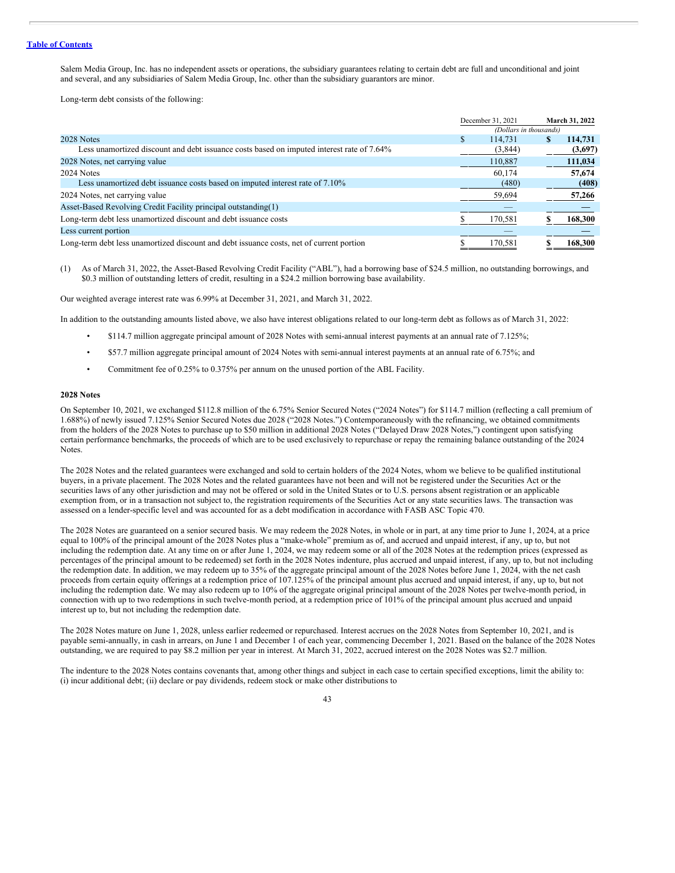Salem Media Group, Inc. has no independent assets or operations, the subsidiary guarantees relating to certain debt are full and unconditional and joint and several, and any subsidiaries of Salem Media Group, Inc. other than the subsidiary guarantors are minor.

Long-term debt consists of the following:

|                                                                                           | December 31, 2021 |                        | March 31, 2022 |         |
|-------------------------------------------------------------------------------------------|-------------------|------------------------|----------------|---------|
|                                                                                           |                   | (Dollars in thousands) |                |         |
| 2028 Notes                                                                                | S.                | 114.731                |                | 114,731 |
| Less unamortized discount and debt issuance costs based on imputed interest rate of 7.64% |                   | (3,844)                |                | (3,697) |
| 2028 Notes, net carrying value                                                            |                   | 110,887                |                | 111,034 |
| 2024 Notes                                                                                |                   | 60,174                 |                | 57,674  |
| Less unamortized debt issuance costs based on imputed interest rate of 7.10%              |                   | (480)                  |                | (408)   |
| 2024 Notes, net carrying value                                                            |                   | 59,694                 |                | 57,266  |
| Asset-Based Revolving Credit Facility principal outstanding (1)                           |                   |                        |                |         |
| Long-term debt less unamortized discount and debt issuance costs                          |                   | 170,581                |                | 168,300 |
| Less current portion                                                                      |                   |                        |                |         |
| Long-term debt less unamortized discount and debt issuance costs, net of current portion  |                   | 170.581                |                | 168,300 |

(1) As of March 31, 2022, the Asset-Based Revolving Credit Facility ("ABL"), had a borrowing base of \$24.5 million, no outstanding borrowings, and \$0.3 million of outstanding letters of credit, resulting in a \$24.2 million borrowing base availability.

Our weighted average interest rate was 6.99% at December 31, 2021, and March 31, 2022.

In addition to the outstanding amounts listed above, we also have interest obligations related to our long-term debt as follows as of March 31, 2022:

- \$114.7 million aggregate principal amount of 2028 Notes with semi-annual interest payments at an annual rate of 7.125%;
- \$57.7 million aggregate principal amount of 2024 Notes with semi-annual interest payments at an annual rate of 6.75%; and
- Commitment fee of 0.25% to 0.375% per annum on the unused portion of the ABL Facility.

# **2028 Notes**

On September 10, 2021, we exchanged \$112.8 million of the 6.75% Senior Secured Notes ("2024 Notes") for \$114.7 million (reflecting a call premium of 1.688%) of newly issued 7.125% Senior Secured Notes due 2028 ("2028 Notes.") Contemporaneously with the refinancing, we obtained commitments from the holders of the 2028 Notes to purchase up to \$50 million in additional 2028 Notes ("Delayed Draw 2028 Notes,") contingent upon satisfying certain performance benchmarks, the proceeds of which are to be used exclusively to repurchase or repay the remaining balance outstanding of the 2024 Notes.

The 2028 Notes and the related guarantees were exchanged and sold to certain holders of the 2024 Notes, whom we believe to be qualified institutional buyers, in a private placement. The 2028 Notes and the related guarantees have not been and will not be registered under the Securities Act or the securities laws of any other jurisdiction and may not be offered or sold in the United States or to U.S. persons absent registration or an applicable exemption from, or in a transaction not subject to, the registration requirements of the Securities Act or any state securities laws. The transaction was assessed on a lender-specific level and was accounted for as a debt modification in accordance with FASB ASC Topic 470.

The 2028 Notes are guaranteed on a senior secured basis. We may redeem the 2028 Notes, in whole or in part, at any time prior to June 1, 2024, at a price equal to 100% of the principal amount of the 2028 Notes plus a "make-whole" premium as of, and accrued and unpaid interest, if any, up to, but not including the redemption date. At any time on or after June 1, 2024, we may redeem some or all of the 2028 Notes at the redemption prices (expressed as percentages of the principal amount to be redeemed) set forth in the 2028 Notes indenture, plus accrued and unpaid interest, if any, up to, but not including the redemption date. In addition, we may redeem up to 35% of the aggregate principal amount of the 2028 Notes before June 1, 2024, with the net cash proceeds from certain equity offerings at a redemption price of 107.125% of the principal amount plus accrued and unpaid interest, if any, up to, but not including the redemption date. We may also redeem up to 10% of the aggregate original principal amount of the 2028 Notes per twelve-month period, in connection with up to two redemptions in such twelve-month period, at a redemption price of 101% of the principal amount plus accrued and unpaid interest up to, but not including the redemption date.

The 2028 Notes mature on June 1, 2028, unless earlier redeemed or repurchased. Interest accrues on the 2028 Notes from September 10, 2021, and is payable semi-annually, in cash in arrears, on June 1 and December 1 of each year, commencing December 1, 2021. Based on the balance of the 2028 Notes outstanding, we are required to pay \$8.2 million per year in interest. At March 31, 2022, accrued interest on the 2028 Notes was \$2.7 million.

The indenture to the 2028 Notes contains covenants that, among other things and subject in each case to certain specified exceptions, limit the ability to: (i) incur additional debt; (ii) declare or pay dividends, redeem stock or make other distributions to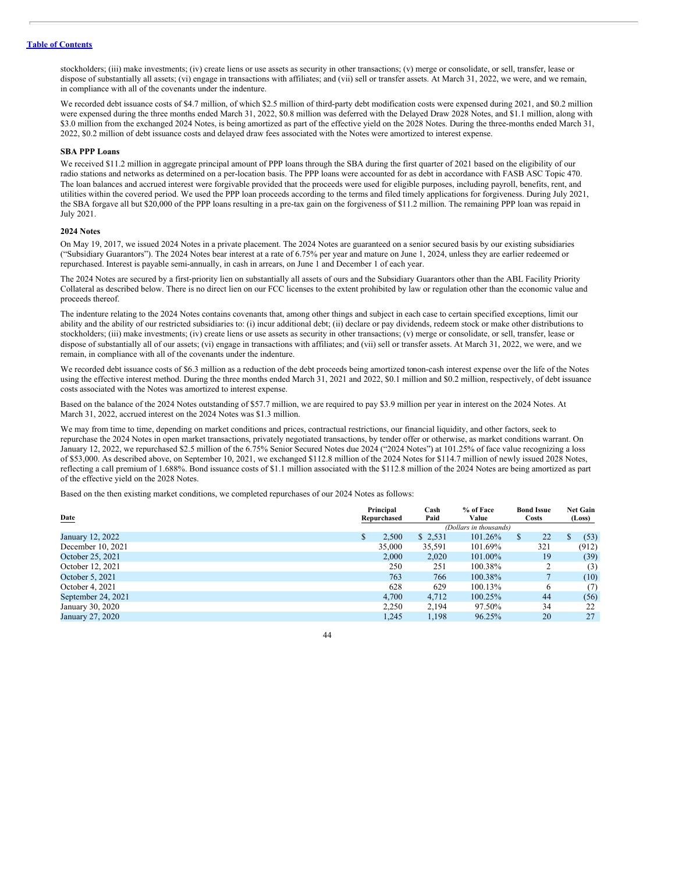stockholders; (iii) make investments; (iv) create liens or use assets as security in other transactions; (v) merge or consolidate, or sell, transfer, lease or dispose of substantially all assets; (vi) engage in transactions with affiliates; and (vii) sell or transfer assets. At March 31, 2022, we were, and we remain, in compliance with all of the covenants under the indenture.

We recorded debt issuance costs of \$4.7 million, of which \$2.5 million of third-party debt modification costs were expensed during 2021, and \$0.2 million were expensed during the three months ended March 31, 2022, \$0.8 million was deferred with the Delayed Draw 2028 Notes, and \$1.1 million, along with \$3.0 million from the exchanged 2024 Notes, is being amortized as part of the effective yield on the 2028 Notes. During the three-months ended March 31, 2022, \$0.2 million of debt issuance costs and delayed draw fees associated with the Notes were amortized to interest expense.

# **SBA PPP Loans**

We received \$11.2 million in aggregate principal amount of PPP loans through the SBA during the first quarter of 2021 based on the eligibility of our radio stations and networks as determined on a per-location basis. The PPP loans were accounted for as debt in accordance with FASB ASC Topic 470. The loan balances and accrued interest were forgivable provided that the proceeds were used for eligible purposes, including payroll, benefits, rent, and utilities within the covered period. We used the PPP loan proceeds according to the terms and filed timely applications for forgiveness. During July 2021, the SBA forgave all but \$20,000 of the PPP loans resulting in a pre-tax gain on the forgiveness of \$11.2 million. The remaining PPP loan was repaid in July 2021.

#### **2024 Notes**

On May 19, 2017, we issued 2024 Notes in a private placement. The 2024 Notes are guaranteed on a senior secured basis by our existing subsidiaries ("Subsidiary Guarantors"). The 2024 Notes bear interest at a rate of 6.75% per year and mature on June 1, 2024, unless they are earlier redeemed or repurchased. Interest is payable semi-annually, in cash in arrears, on June 1 and December 1 of each year.

The 2024 Notes are secured by a first-priority lien on substantially all assets of ours and the Subsidiary Guarantors other than the ABL Facility Priority Collateral as described below. There is no direct lien on our FCC licenses to the extent prohibited by law or regulation other than the economic value and proceeds thereof.

The indenture relating to the 2024 Notes contains covenants that, among other things and subject in each case to certain specified exceptions, limit our ability and the ability of our restricted subsidiaries to: (i) incur additional debt; (ii) declare or pay dividends, redeem stock or make other distributions to stockholders; (iii) make investments; (iv) create liens or use assets as security in other transactions; (v) merge or consolidate, or sell, transfer, lease or dispose of substantially all of our assets; (vi) engage in transactions with affiliates; and (vii) sell or transfer assets. At March 31, 2022, we were, and we remain, in compliance with all of the covenants under the indenture.

We recorded debt issuance costs of \$6.3 million as a reduction of the debt proceeds being amortized tonon-cash interest expense over the life of the Notes using the effective interest method. During the three months ended March 31, 2021 and 2022, \$0.1 million and \$0.2 million, respectively, of debt issuance costs associated with the Notes was amortized to interest expense.

Based on the balance of the 2024 Notes outstanding of \$57.7 million, we are required to pay \$3.9 million per year in interest on the 2024 Notes. At March 31, 2022, accrued interest on the 2024 Notes was \$1.3 million.

We may from time to time, depending on market conditions and prices, contractual restrictions, our financial liquidity, and other factors, seek to repurchase the 2024 Notes in open market transactions, privately negotiated transactions, by tender offer or otherwise, as market conditions warrant. On January 12, 2022, we repurchased \$2.5 million of the 6.75% Senior Secured Notes due 2024 ("2024 Notes") at 101.25% of face value recognizing a loss of \$53,000. As described above, on September 10, 2021, we exchanged \$112.8 million of the 2024 Notes for \$114.7 million of newly issued 2028 Notes, reflecting a call premium of 1.688%. Bond issuance costs of \$1.1 million associated with the \$112.8 million of the 2024 Notes are being amortized as part of the effective yield on the 2028 Notes.

Based on the then existing market conditions, we completed repurchases of our 2024 Notes as follows:

|                    |             | Principal |          | % of Face              | <b>Bond Issue</b> |     | <b>Net Gain</b> |  |
|--------------------|-------------|-----------|----------|------------------------|-------------------|-----|-----------------|--|
| Date               | Repurchased |           | Paid     | Value                  | <b>Costs</b>      |     | (Loss)          |  |
|                    |             |           |          | (Dollars in thousands) |                   |     |                 |  |
| January 12, 2022   | \$          | 2.500     | \$ 2,531 | 101.26%                | S                 | 22  | (53)<br>S       |  |
| December 10, 2021  |             | 35,000    | 35,591   | 101.69%                |                   | 321 | (912)           |  |
| October 25, 2021   |             | 2.000     | 2.020    | 101.00%                |                   | 19  | (39)            |  |
| October 12, 2021   |             | 250       | 251      | 100.38%                |                   | 2   | (3)             |  |
| October 5, 2021    |             | 763       | 766      | 100.38%                |                   |     | (10)            |  |
| October 4, 2021    |             | 628       | 629      | 100.13%                |                   | 6   | (7)             |  |
| September 24, 2021 |             | 4.700     | 4.712    | $100.25\%$             |                   | 44  | (56)            |  |
| January 30, 2020   |             | 2.250     | 2.194    | 97.50%                 |                   | 34  | 22              |  |
| January 27, 2020   |             | 1,245     | 1,198    | 96.25%                 |                   | 20  | 27              |  |
|                    |             |           |          |                        |                   |     |                 |  |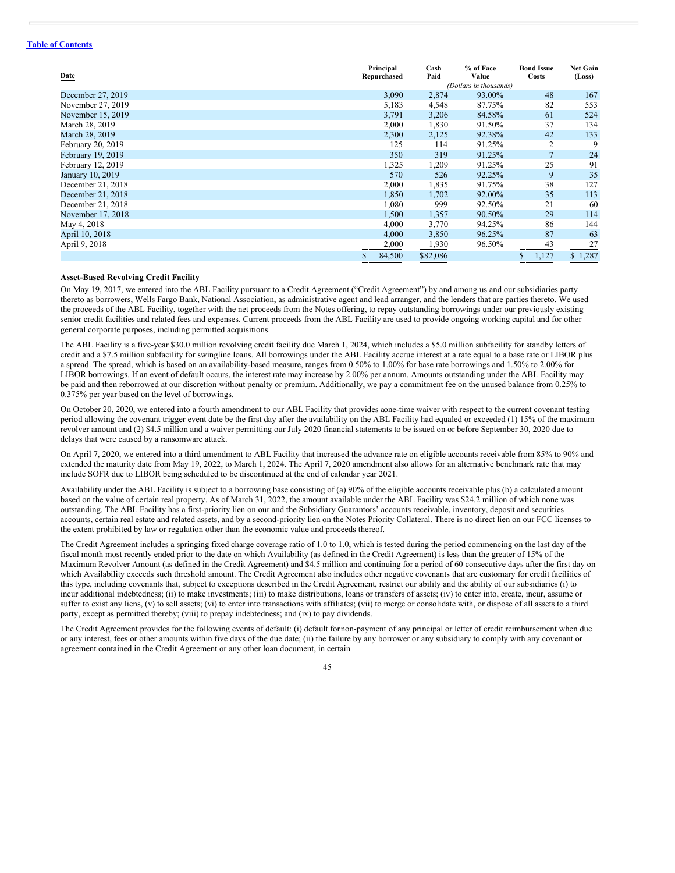| Date              |   | Principal<br>Repurchased | Cash<br>Paid | % of Face<br>Value               | <b>Bond Issue</b><br>Costs | <b>Net Gain</b><br>(Loss) |
|-------------------|---|--------------------------|--------------|----------------------------------|----------------------------|---------------------------|
| December 27, 2019 |   | 3,090                    | 2,874        | (Dollars in thousands)<br>93.00% |                            | 48<br>167                 |
| November 27, 2019 |   | 5,183                    | 4,548        | 87.75%                           |                            | 82<br>553                 |
| November 15, 2019 |   | 3,791                    | 3,206        | 84.58%                           |                            | 61<br>524                 |
| March 28, 2019    |   | 2,000                    | 1,830        | 91.50%                           |                            | 37<br>134                 |
| March 28, 2019    |   | 2,300                    | 2,125        | 92.38%                           |                            | 133<br>42                 |
| February 20, 2019 |   | 125                      | 114          | 91.25%                           |                            | 9<br>2                    |
| February 19, 2019 |   | 350                      | 319          | 91.25%                           |                            | 24                        |
| February 12, 2019 |   | 1,325                    | 1,209        | 91.25%                           |                            | 25<br>91                  |
| January 10, 2019  |   | 570                      | 526          | 92.25%                           |                            | 35<br>9                   |
| December 21, 2018 |   | 2,000                    | 1,835        | 91.75%                           |                            | 127<br>38                 |
| December 21, 2018 |   | 1,850                    | 1,702        | 92.00%                           |                            | 113<br>35                 |
| December 21, 2018 |   | 1,080                    | 999          | 92.50%                           |                            | 21<br>60                  |
| November 17, 2018 |   | 1,500                    | 1,357        | 90.50%                           |                            | 29<br>114                 |
| May 4, 2018       |   | 4,000                    | 3,770        | 94.25%                           |                            | 86<br>144                 |
| April 10, 2018    |   | 4,000                    | 3,850        | 96.25%                           |                            | 87<br>63                  |
| April 9, 2018     |   | 2,000                    | 1,930        | 96.50%                           |                            | 27<br>43                  |
|                   | S | 84,500                   | \$82,086     |                                  | 1,127<br>\$                | \$1,287                   |

# **Asset-Based Revolving Credit Facility**

On May 19, 2017, we entered into the ABL Facility pursuant to a Credit Agreement ("Credit Agreement") by and among us and our subsidiaries party thereto as borrowers, Wells Fargo Bank, National Association, as administrative agent and lead arranger, and the lenders that are parties thereto. We used the proceeds of the ABL Facility, together with the net proceeds from the Notes offering, to repay outstanding borrowings under our previously existing senior credit facilities and related fees and expenses. Current proceeds from the ABL Facility are used to provide ongoing working capital and for other general corporate purposes, including permitted acquisitions.

The ABL Facility is a five-year \$30.0 million revolving credit facility due March 1, 2024, which includes a \$5.0 million subfacility for standby letters of credit and a \$7.5 million subfacility for swingline loans. All borrowings under the ABL Facility accrue interest at a rate equal to a base rate or LIBOR plus a spread. The spread, which is based on an availability-based measure, ranges from 0.50% to 1.00% for base rate borrowings and 1.50% to 2.00% for LIBOR borrowings. If an event of default occurs, the interest rate may increase by 2.00% per annum. Amounts outstanding under the ABL Facility may be paid and then reborrowed at our discretion without penalty or premium. Additionally, we pay a commitment fee on the unused balance from 0.25% to 0.375% per year based on the level of borrowings.

On October 20, 2020, we entered into a fourth amendment to our ABL Facility that provides aone-time waiver with respect to the current covenant testing period allowing the covenant trigger event date be the first day after the availability on the ABL Facility had equaled or exceeded (1) 15% of the maximum revolver amount and (2) \$4.5 million and a waiver permitting our July 2020 financial statements to be issued on or before September 30, 2020 due to delays that were caused by a ransomware attack.

On April 7, 2020, we entered into a third amendment to ABL Facility that increased the advance rate on eligible accounts receivable from 85% to 90% and extended the maturity date from May 19, 2022, to March 1, 2024. The April 7, 2020 amendment also allows for an alternative benchmark rate that may include SOFR due to LIBOR being scheduled to be discontinued at the end of calendar year 2021.

Availability under the ABL Facility is subject to a borrowing base consisting of (a) 90% of the eligible accounts receivable plus (b) a calculated amount based on the value of certain real property. As of March 31, 2022, the amount available under the ABL Facility was \$24.2 million of which none was outstanding. The ABL Facility has a first-priority lien on our and the Subsidiary Guarantors' accounts receivable, inventory, deposit and securities accounts, certain real estate and related assets, and by a second-priority lien on the Notes Priority Collateral. There is no direct lien on our FCC licenses to the extent prohibited by law or regulation other than the economic value and proceeds thereof.

The Credit Agreement includes a springing fixed charge coverage ratio of 1.0 to 1.0, which is tested during the period commencing on the last day of the fiscal month most recently ended prior to the date on which Availability (as defined in the Credit Agreement) is less than the greater of 15% of the Maximum Revolver Amount (as defined in the Credit Agreement) and \$4.5 million and continuing for a period of 60 consecutive days after the first day on which Availability exceeds such threshold amount. The Credit Agreement also includes other negative covenants that are customary for credit facilities of this type, including covenants that, subject to exceptions described in the Credit Agreement, restrict our ability and the ability of our subsidiaries (i) to incur additional indebtedness; (ii) to make investments; (iii) to make distributions, loans or transfers of assets; (iv) to enter into, create, incur, assume or suffer to exist any liens, (v) to sell assets; (vi) to enter into transactions with affiliates; (vii) to merge or consolidate with, or dispose of all assets to a third party, except as permitted thereby; (viii) to prepay indebtedness; and (ix) to pay dividends.

The Credit Agreement provides for the following events of default: (i) default fornon-payment of any principal or letter of credit reimbursement when due or any interest, fees or other amounts within five days of the due date; (ii) the failure by any borrower or any subsidiary to comply with any covenant or agreement contained in the Credit Agreement or any other loan document, in certain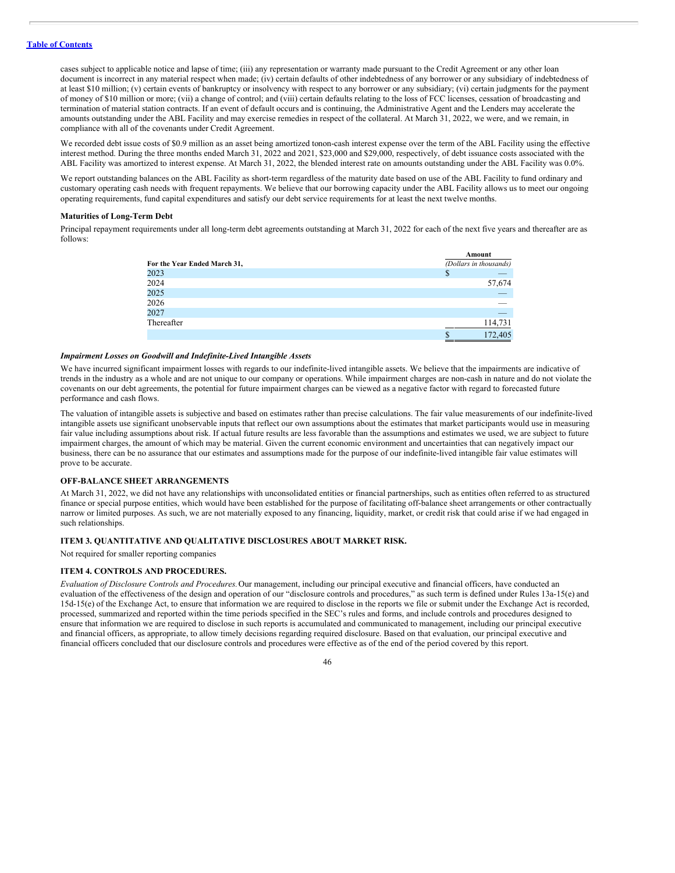cases subject to applicable notice and lapse of time; (iii) any representation or warranty made pursuant to the Credit Agreement or any other loan document is incorrect in any material respect when made; (iv) certain defaults of other indebtedness of any borrower or any subsidiary of indebtedness of at least \$10 million; (v) certain events of bankruptcy or insolvency with respect to any borrower or any subsidiary; (vi) certain judgments for the payment of money of \$10 million or more; (vii) a change of control; and (viii) certain defaults relating to the loss of FCC licenses, cessation of broadcasting and termination of material station contracts. If an event of default occurs and is continuing, the Administrative Agent and the Lenders may accelerate the amounts outstanding under the ABL Facility and may exercise remedies in respect of the collateral. At March 31, 2022, we were, and we remain, in compliance with all of the covenants under Credit Agreement.

We recorded debt issue costs of \$0.9 million as an asset being amortized tonon-cash interest expense over the term of the ABL Facility using the effective interest method. During the three months ended March 31, 2022 and 2021, \$23,000 and \$29,000, respectively, of debt issuance costs associated with the ABL Facility was amortized to interest expense. At March 31, 2022, the blended interest rate on amounts outstanding under the ABL Facility was 0.0%.

We report outstanding balances on the ABL Facility as short-term regardless of the maturity date based on use of the ABL Facility to fund ordinary and customary operating cash needs with frequent repayments. We believe that our borrowing capacity under the ABL Facility allows us to meet our ongoing operating requirements, fund capital expenditures and satisfy our debt service requirements for at least the next twelve months.

# **Maturities of Long-Term Debt**

Principal repayment requirements under all long-term debt agreements outstanding at March 31, 2022 for each of the next five years and thereafter are as follows:

|                              | Amount                 |
|------------------------------|------------------------|
| For the Year Ended March 31, | (Dollars in thousands) |
| 2023                         |                        |
| 2024                         | 57,674                 |
| 2025                         |                        |
| 2026                         |                        |
| 2027                         |                        |
| Thereafter                   | 114,731                |
|                              | 172,405                |

# *Impairment Losses on Goodwill and Indefinite-Lived Intangible Assets*

We have incurred significant impairment losses with regards to our indefinite-lived intangible assets. We believe that the impairments are indicative of trends in the industry as a whole and are not unique to our company or operations. While impairment charges are non-cash in nature and do not violate the covenants on our debt agreements, the potential for future impairment charges can be viewed as a negative factor with regard to forecasted future performance and cash flows.

The valuation of intangible assets is subjective and based on estimates rather than precise calculations. The fair value measurements of our indefinite-lived intangible assets use significant unobservable inputs that reflect our own assumptions about the estimates that market participants would use in measuring fair value including assumptions about risk. If actual future results are less favorable than the assumptions and estimates we used, we are subject to future impairment charges, the amount of which may be material. Given the current economic environment and uncertainties that can negatively impact our business, there can be no assurance that our estimates and assumptions made for the purpose of our indefinite-lived intangible fair value estimates will prove to be accurate.

# **OFF-BALANCE SHEET ARRANGEMENTS**

At March 31, 2022, we did not have any relationships with unconsolidated entities or financial partnerships, such as entities often referred to as structured finance or special purpose entities, which would have been established for the purpose of facilitating off-balance sheet arrangements or other contractually narrow or limited purposes. As such, we are not materially exposed to any financing, liquidity, market, or credit risk that could arise if we had engaged in such relationships.

# <span id="page-47-0"></span>**ITEM 3. QUANTITATIVE AND QUALITATIVE DISCLOSURES ABOUT MARKET RISK.**

Not required for smaller reporting companies

# <span id="page-47-1"></span>**ITEM 4. CONTROLS AND PROCEDURES.**

*Evaluation of Disclosure Controls and Procedures.*Our management, including our principal executive and financial officers, have conducted an evaluation of the effectiveness of the design and operation of our "disclosure controls and procedures," as such term is defined under Rules 13a-15(e) and 15d-15(e) of the Exchange Act, to ensure that information we are required to disclose in the reports we file or submit under the Exchange Act is recorded, processed, summarized and reported within the time periods specified in the SEC's rules and forms, and include controls and procedures designed to ensure that information we are required to disclose in such reports is accumulated and communicated to management, including our principal executive and financial officers, as appropriate, to allow timely decisions regarding required disclosure. Based on that evaluation, our principal executive and financial officers concluded that our disclosure controls and procedures were effective as of the end of the period covered by this report.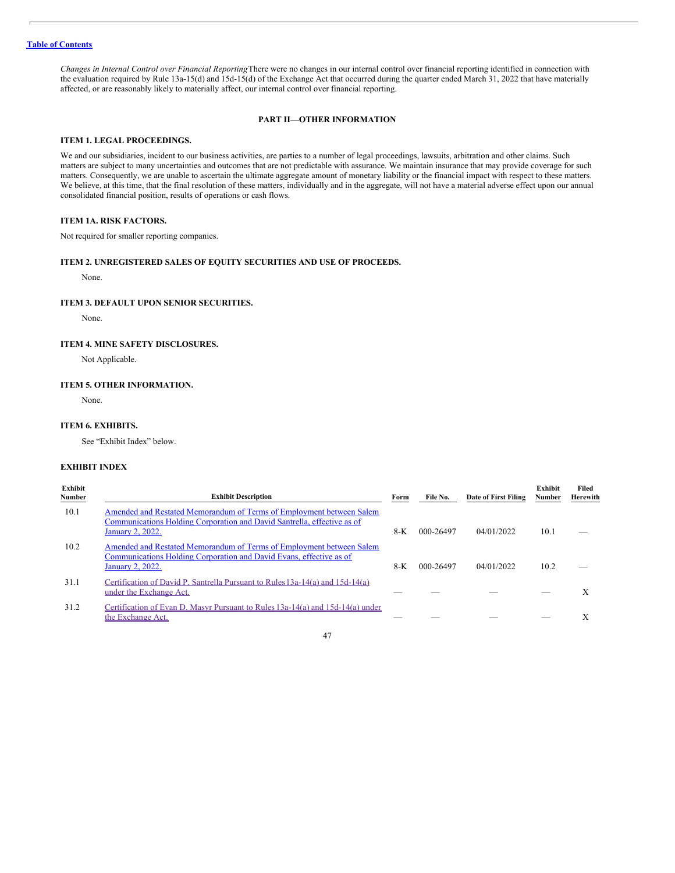*Changes in Internal Control over Financial Reporting*There were no changes in our internal control over financial reporting identified in connection with the evaluation required by Rule 13a-15(d) and 15d-15(d) of the Exchange Act that occurred during the quarter ended March 31, 2022 that have materially affected, or are reasonably likely to materially affect, our internal control over financial reporting.

## **PART II—OTHER INFORMATION**

# <span id="page-48-0"></span>**ITEM 1. LEGAL PROCEEDINGS.**

We and our subsidiaries, incident to our business activities, are parties to a number of legal proceedings, lawsuits, arbitration and other claims. Such matters are subject to many uncertainties and outcomes that are not predictable with assurance. We maintain insurance that may provide coverage for such matters. Consequently, we are unable to ascertain the ultimate aggregate amount of monetary liability or the financial impact with respect to these matters. We believe, at this time, that the final resolution of these matters, individually and in the aggregate, will not have a material adverse effect upon our annual consolidated financial position, results of operations or cash flows.

# <span id="page-48-1"></span>**ITEM 1A. RISK FACTORS.**

Not required for smaller reporting companies.

## <span id="page-48-2"></span>**ITEM 2. UNREGISTERED SALES OF EQUITY SECURITIES AND USE OF PROCEEDS.**

None.

# <span id="page-48-3"></span>**ITEM 3. DEFAULT UPON SENIOR SECURITIES.**

None.

# <span id="page-48-4"></span>**ITEM 4. MINE SAFETY DISCLOSURES.**

Not Applicable.

# <span id="page-48-5"></span>**ITEM 5. OTHER INFORMATION.**

None.

# <span id="page-48-6"></span>**ITEM 6. EXHIBITS.**

See "Exhibit Index" below.

# <span id="page-48-7"></span>**EXHIBIT INDEX**

| Exhibit<br>Number | <b>Exhibit Description</b>                                                                                                                                          | Form  | File No.  | Date of First Filing | <b>Exhibit</b><br>Number | Filed<br>Herewith |
|-------------------|---------------------------------------------------------------------------------------------------------------------------------------------------------------------|-------|-----------|----------------------|--------------------------|-------------------|
| 10.1              | Amended and Restated Memorandum of Terms of Employment between Salem<br>Communications Holding Corporation and David Santrella, effective as of<br>January 2, 2022. | 8-K   | 000-26497 | 04/01/2022           | 10.1                     |                   |
| 10.2              | Amended and Restated Memorandum of Terms of Employment between Salem<br>Communications Holding Corporation and David Evans, effective as of<br>January 2, 2022.     | $8-K$ | 000-26497 | 04/01/2022           | 10.2                     |                   |
| 31.1              | Certification of David P. Santrella Pursuant to Rules 13a-14(a) and 15d-14(a)<br>under the Exchange Act.                                                            |       |           |                      |                          | Х                 |
| 31.2              | Certification of Evan D. Masyr Pursuant to Rules 13a-14(a) and 15d-14(a) under<br>the Exchange Act.                                                                 |       |           |                      |                          | Х                 |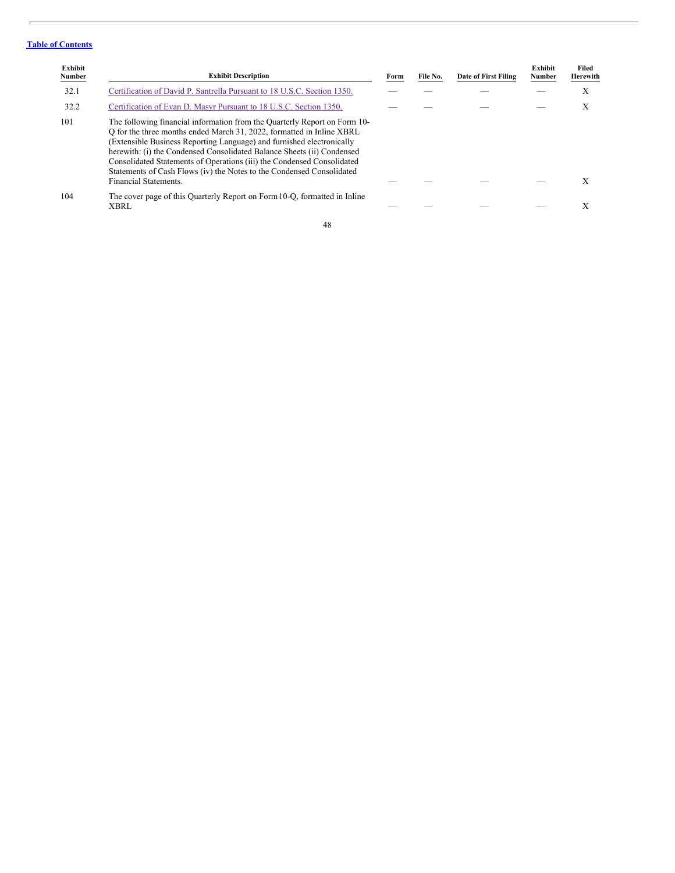| Exhibit<br>Number | <b>Exhibit Description</b>                                                                                                                                                                                                                                                                                                                                                                                                                                                               | Form | File No. | Date of First Filing | Exhibit<br>Number | Filed<br>Herewith |
|-------------------|------------------------------------------------------------------------------------------------------------------------------------------------------------------------------------------------------------------------------------------------------------------------------------------------------------------------------------------------------------------------------------------------------------------------------------------------------------------------------------------|------|----------|----------------------|-------------------|-------------------|
| 32.1              | Certification of David P. Santrella Pursuant to 18 U.S.C. Section 1350.                                                                                                                                                                                                                                                                                                                                                                                                                  |      |          |                      |                   | X                 |
| 32.2              | Certification of Evan D. Masyr Pursuant to 18 U.S.C. Section 1350.                                                                                                                                                                                                                                                                                                                                                                                                                       |      |          |                      |                   | X                 |
| 101               | The following financial information from the Quarterly Report on Form 10-<br>O for the three months ended March 31, 2022, formatted in Inline XBRL<br>(Extensible Business Reporting Language) and furnished electronically<br>herewith: (i) the Condensed Consolidated Balance Sheets (ii) Condensed<br>Consolidated Statements of Operations (iii) the Condensed Consolidated<br>Statements of Cash Flows (iv) the Notes to the Condensed Consolidated<br><b>Financial Statements.</b> |      |          |                      |                   | X                 |
| 104               | The cover page of this Quarterly Report on Form 10-Q, formatted in Inline<br>XBRL                                                                                                                                                                                                                                                                                                                                                                                                        |      |          |                      |                   | X                 |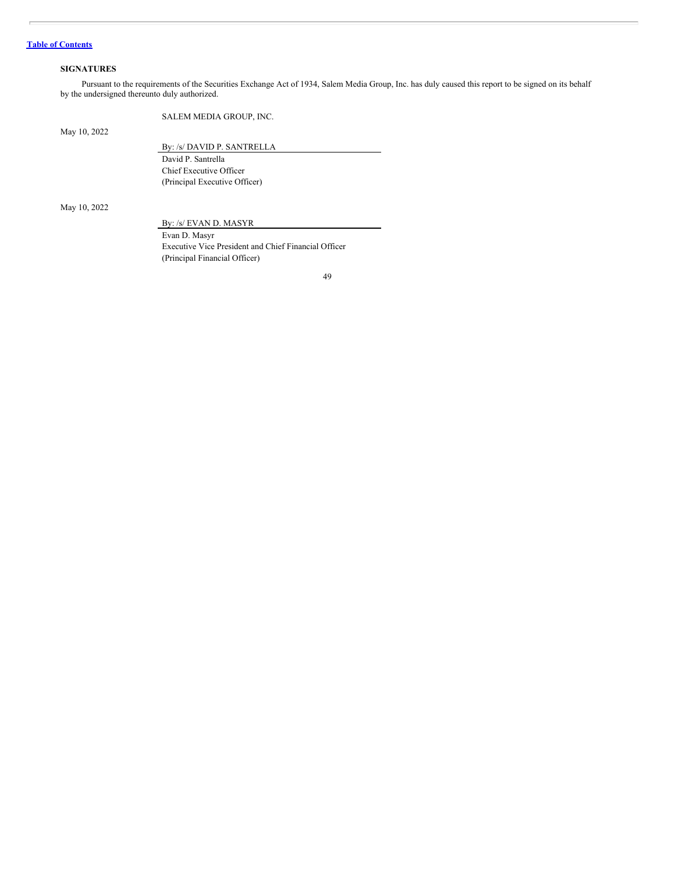# <span id="page-50-0"></span>**SIGNATURES**

Pursuant to the requirements of the Securities Exchange Act of 1934, Salem Media Group, Inc. has duly caused this report to be signed on its behalf by the undersigned thereunto duly authorized.

SALEM MEDIA GROUP, INC.

May 10, 2022

By: /s/ DAVID P. SANTRELLA

David P. Santrella Chief Executive Officer (Principal Executive Officer)

May 10, 2022

By: /s/ EVAN D. MASYR

Evan D. Masyr Executive Vice President and Chief Financial Officer (Principal Financial Officer)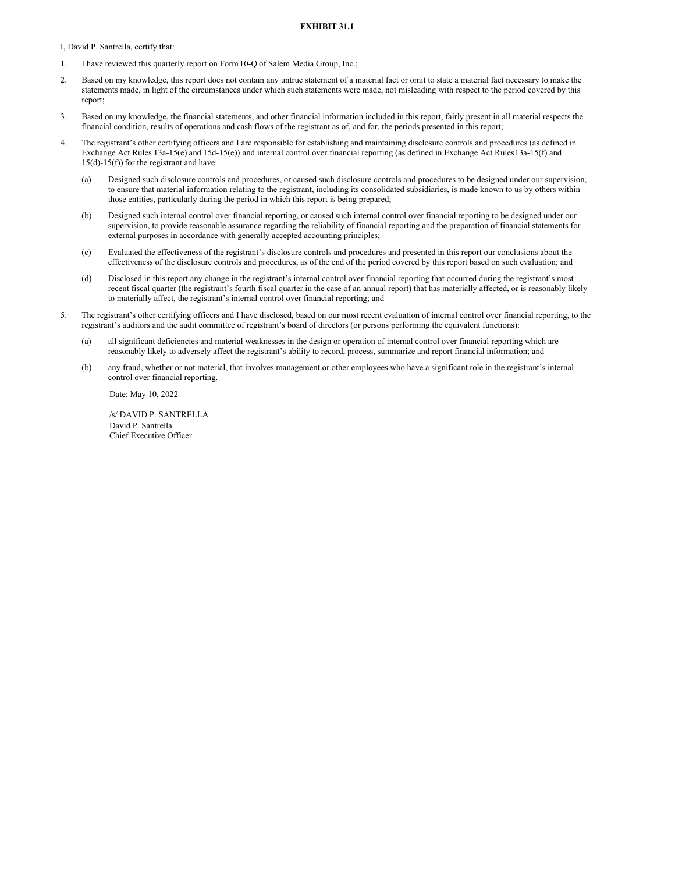## **EXHIBIT 31.1**

<span id="page-51-0"></span>I, David P. Santrella, certify that:

- 1. I have reviewed this quarterly report on Form10-Q of Salem Media Group, Inc.;
- 2. Based on my knowledge, this report does not contain any untrue statement of a material fact or omit to state a material fact necessary to make the statements made, in light of the circumstances under which such statements were made, not misleading with respect to the period covered by this report;
- 3. Based on my knowledge, the financial statements, and other financial information included in this report, fairly present in all material respects the financial condition, results of operations and cash flows of the registrant as of, and for, the periods presented in this report;
- 4. The registrant's other certifying officers and I are responsible for establishing and maintaining disclosure controls and procedures (as defined in Exchange Act Rules 13a-15(e) and 15d-15(e)) and internal control over financial reporting (as defined in Exchange Act Rules13a-15(f) and  $15(d)-15(f)$  for the registrant and have:
	- (a) Designed such disclosure controls and procedures, or caused such disclosure controls and procedures to be designed under our supervision, to ensure that material information relating to the registrant, including its consolidated subsidiaries, is made known to us by others within those entities, particularly during the period in which this report is being prepared;
	- (b) Designed such internal control over financial reporting, or caused such internal control over financial reporting to be designed under our supervision, to provide reasonable assurance regarding the reliability of financial reporting and the preparation of financial statements for external purposes in accordance with generally accepted accounting principles;
	- (c) Evaluated the effectiveness of the registrant's disclosure controls and procedures and presented in this report our conclusions about the effectiveness of the disclosure controls and procedures, as of the end of the period covered by this report based on such evaluation; and
	- (d) Disclosed in this report any change in the registrant's internal control over financial reporting that occurred during the registrant's most recent fiscal quarter (the registrant's fourth fiscal quarter in the case of an annual report) that has materially affected, or is reasonably likely to materially affect, the registrant's internal control over financial reporting; and
- 5. The registrant's other certifying officers and I have disclosed, based on our most recent evaluation of internal control over financial reporting, to the registrant's auditors and the audit committee of registrant's board of directors (or persons performing the equivalent functions):
	- (a) all significant deficiencies and material weaknesses in the design or operation of internal control over financial reporting which are reasonably likely to adversely affect the registrant's ability to record, process, summarize and report financial information; and
	- (b) any fraud, whether or not material, that involves management or other employees who have a significant role in the registrant's internal control over financial reporting.

Date: May 10, 2022

/s/ DAVID P. SANTRELLA David P. Santrella

Chief Executive Officer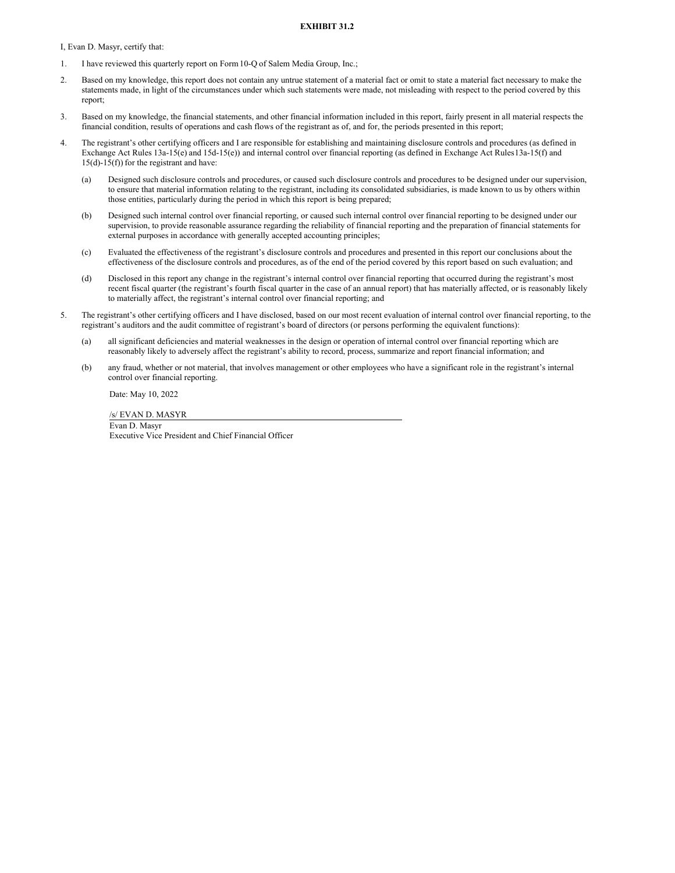#### **EXHIBIT 31.2**

<span id="page-52-0"></span>I, Evan D. Masyr, certify that:

- 1. I have reviewed this quarterly report on Form10-Q of Salem Media Group, Inc.;
- 2. Based on my knowledge, this report does not contain any untrue statement of a material fact or omit to state a material fact necessary to make the statements made, in light of the circumstances under which such statements were made, not misleading with respect to the period covered by this report;
- 3. Based on my knowledge, the financial statements, and other financial information included in this report, fairly present in all material respects the financial condition, results of operations and cash flows of the registrant as of, and for, the periods presented in this report;
- 4. The registrant's other certifying officers and I are responsible for establishing and maintaining disclosure controls and procedures (as defined in Exchange Act Rules 13a-15(e) and 15d-15(e)) and internal control over financial reporting (as defined in Exchange Act Rules13a-15(f) and  $15(d)-15(f)$  for the registrant and have:
	- (a) Designed such disclosure controls and procedures, or caused such disclosure controls and procedures to be designed under our supervision, to ensure that material information relating to the registrant, including its consolidated subsidiaries, is made known to us by others within those entities, particularly during the period in which this report is being prepared;
	- (b) Designed such internal control over financial reporting, or caused such internal control over financial reporting to be designed under our supervision, to provide reasonable assurance regarding the reliability of financial reporting and the preparation of financial statements for external purposes in accordance with generally accepted accounting principles;
	- (c) Evaluated the effectiveness of the registrant's disclosure controls and procedures and presented in this report our conclusions about the effectiveness of the disclosure controls and procedures, as of the end of the period covered by this report based on such evaluation; and
	- (d) Disclosed in this report any change in the registrant's internal control over financial reporting that occurred during the registrant's most recent fiscal quarter (the registrant's fourth fiscal quarter in the case of an annual report) that has materially affected, or is reasonably likely to materially affect, the registrant's internal control over financial reporting; and
- 5. The registrant's other certifying officers and I have disclosed, based on our most recent evaluation of internal control over financial reporting, to the registrant's auditors and the audit committee of registrant's board of directors (or persons performing the equivalent functions):
	- (a) all significant deficiencies and material weaknesses in the design or operation of internal control over financial reporting which are reasonably likely to adversely affect the registrant's ability to record, process, summarize and report financial information; and
	- (b) any fraud, whether or not material, that involves management or other employees who have a significant role in the registrant's internal control over financial reporting.

Date: May 10, 2022

/s/ EVAN D. MASYR Evan D. Masyr Executive Vice President and Chief Financial Officer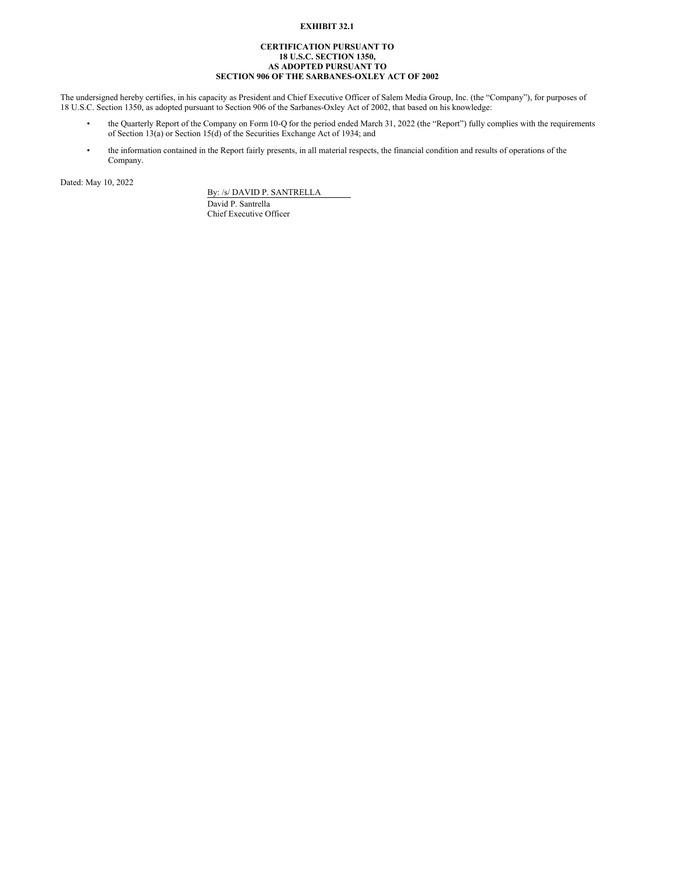# **EXHIBIT 32.1**

## **CERTIFICATION PURSUANT TO 18 U.S.C. SECTION 1350, AS ADOPTED PURSUANT TO SECTION 906 OF THE SARBANES-OXLEY ACT OF 2002**

<span id="page-53-0"></span>The undersigned hereby certifies, in his capacity as President and Chief Executive Officer of Salem Media Group, Inc. (the "Company"), for purposes of 18 U.S.C. Section 1350, as adopted pursuant to Section 906 of the Sarbanes-Oxley Act of 2002, that based on his knowledge:

- the Quarterly Report of the Company on Form10-Q for the period ended March 31, 2022 (the "Report") fully complies with the requirements of Section 13(a) or Section 15(d) of the Securities Exchange Act of 1934; and
- the information contained in the Report fairly presents, in all material respects, the financial condition and results of operations of the Company.

Dated: May 10, 2022

By: /s/ DAVID P. SANTRELLA

David P. Santrella Chief Executive Officer